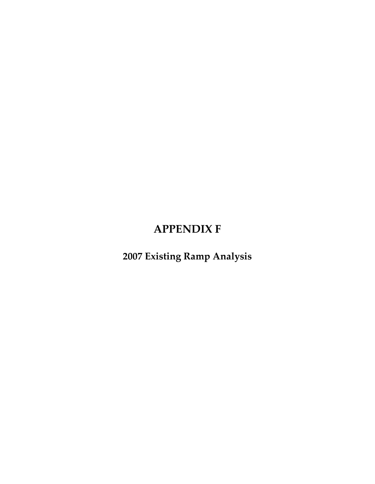## **APPENDIX F**

**2007 Existing Ramp Analysis**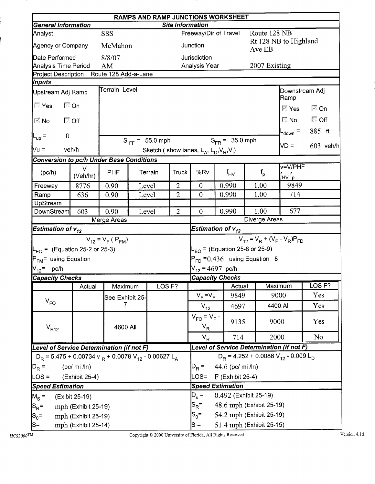|                                                 | RAMPS AND RAMP JUNCTIONS WORKSHEET                                                                |                         |                           |                     |                         |                                      |                       |                    |                                                                          |                                                               |                            |             |  |
|-------------------------------------------------|---------------------------------------------------------------------------------------------------|-------------------------|---------------------------|---------------------|-------------------------|--------------------------------------|-----------------------|--------------------|--------------------------------------------------------------------------|---------------------------------------------------------------|----------------------------|-------------|--|
| <b>General Information</b>                      |                                                                                                   |                         |                           |                     | <b>Site Information</b> |                                      |                       |                    |                                                                          |                                                               |                            |             |  |
| Analyst                                         |                                                                                                   | SSS                     |                           |                     |                         | Freeway/Dir of Travel                |                       |                    | Route 128 NB                                                             |                                                               |                            |             |  |
| Agency or Company                               |                                                                                                   | McMahon                 |                           |                     |                         | Junction                             |                       |                    | Ave EB                                                                   | Rt 128 NB to Highland                                         |                            |             |  |
| Date Performed                                  |                                                                                                   | 8/8/07                  |                           |                     |                         | Jurisdiction                         |                       |                    |                                                                          |                                                               |                            |             |  |
| Analysis Time Period                            |                                                                                                   | AM                      |                           |                     |                         | Analysis Year                        |                       |                    | 2007 Existing                                                            |                                                               |                            |             |  |
| Project Description Route 128 Add-a-Lane        |                                                                                                   |                         |                           |                     |                         |                                      |                       |                    |                                                                          |                                                               |                            |             |  |
| <b>Inputs</b>                                   |                                                                                                   | <b>Terrain Level</b>    |                           |                     |                         |                                      |                       |                    |                                                                          |                                                               |                            |             |  |
| Upstream Adj Ramp                               |                                                                                                   |                         |                           |                     |                         |                                      |                       |                    |                                                                          | Downstream Adj<br>Ramp                                        |                            |             |  |
| <b>Nes</b>                                      | 厂 On                                                                                              |                         |                           |                     |                         |                                      |                       |                    |                                                                          | ि Yes                                                         | $\overline{\mathbb{M}}$ On |             |  |
| $\nabla$ No                                     | $\Box$ Off                                                                                        |                         |                           |                     |                         |                                      |                       |                    |                                                                          | $\mathbb{N}$ No $\mathbb{N}$                                  | $\Box$ Off                 |             |  |
| ft<br>$-$ up $=$                                |                                                                                                   |                         |                           |                     |                         |                                      |                       |                    |                                                                          | L <sub>down</sub> =                                           | 885 ft                     |             |  |
|                                                 |                                                                                                   |                         |                           | $S_{FF} = 55.0$ mph |                         |                                      | $S_{FR} = 35.0$ mph   |                    |                                                                          | ND =                                                          |                            | $603$ veh/h |  |
|                                                 | $Vu =$<br>veh/h<br>Sketch (show lanes, $L_A$ , $L_D$ , $V_R$ , $V_f$ )                            |                         |                           |                     |                         |                                      |                       |                    |                                                                          |                                                               |                            |             |  |
| <b>Conversion to pc/h Under Base Conditions</b> |                                                                                                   |                         |                           |                     |                         |                                      |                       |                    |                                                                          |                                                               |                            |             |  |
| (pc/h)                                          | V<br>(Veh/hr)                                                                                     | <b>PHF</b>              | Truck<br>Terrain<br>Level |                     | %Rv                     | $f_{\mathsf{HV}}$                    |                       | $f_{\sf p}$        | v=V/PHF<br>$\mathsf{f}_{\mathsf{H}\mathsf{V}}\, \mathsf{f}_{\mathsf{p}}$ |                                                               |                            |             |  |
| Freeway                                         | 8776                                                                                              | 0.90                    |                           |                     | $\overline{2}$          | $\overline{0}$                       | 0.990                 |                    | 1.00                                                                     | 9849                                                          |                            |             |  |
| Ramp                                            | 636                                                                                               | 0.90                    |                           | Level               | $\overline{2}$          | $\theta$                             | 0.990                 |                    | 1.00                                                                     | 714                                                           |                            |             |  |
| UpStream                                        |                                                                                                   |                         |                           |                     |                         |                                      |                       |                    |                                                                          |                                                               |                            |             |  |
| <b>DownStream</b>                               | 603                                                                                               | 0.90                    |                           | Level               | $\overline{2}$          | $\overline{0}$                       | 0.990                 |                    | 1.00                                                                     | 677                                                           |                            |             |  |
|                                                 |                                                                                                   | Merge Areas             |                           |                     |                         |                                      |                       |                    | Diverge Areas                                                            |                                                               |                            |             |  |
| Estimation of $v_{12}^{\dagger}$                |                                                                                                   |                         |                           |                     |                         | Estimation of $v_{12}$               |                       |                    |                                                                          |                                                               |                            |             |  |
|                                                 |                                                                                                   | $V_{12} = V_F (P_{FM})$ |                           |                     |                         |                                      |                       |                    |                                                                          | $V_{12} = V_R + (V_F - V_R)P_{FD}$                            |                            |             |  |
| $L_{EQ}$ = (Equation 25-2 or 25-3)              |                                                                                                   |                         |                           |                     |                         | $L_{EQ}$ = (Equation 25-8 or 25-9)   |                       |                    |                                                                          |                                                               |                            |             |  |
| P <sub>FM</sub> = using Equation                |                                                                                                   |                         |                           |                     |                         |                                      |                       |                    | $P_{FD}$ = 0.436 using Equation 8                                        |                                                               |                            |             |  |
| $V_{12}$ = pc/h                                 |                                                                                                   |                         |                           |                     |                         | $V_{12}$ = 4697 pc/h                 |                       |                    |                                                                          |                                                               |                            |             |  |
| <b>Capacity Checks</b>                          |                                                                                                   |                         |                           |                     |                         | <b>Capacity Checks</b>               |                       |                    |                                                                          |                                                               |                            |             |  |
|                                                 | Actual                                                                                            | Maximum                 |                           | LOS <sub>F?</sub>   |                         |                                      |                       | <b>I</b> Actual    |                                                                          | Maximum                                                       | $\textsf{OS} \mathsf{F?}$  |             |  |
|                                                 |                                                                                                   | See Exhibit 25-         |                           |                     |                         | $V_{FI} = V_F$                       |                       | 9849               |                                                                          | 9000                                                          | Yes                        |             |  |
| $V_{FO}$                                        |                                                                                                   | 7                       |                           |                     |                         | $V_{12}$                             |                       | 4697               |                                                                          | 4400:All                                                      | Yes                        |             |  |
| $V_{R12}$                                       |                                                                                                   | 4600:All                |                           |                     |                         | $V_{FO} = V_F -$<br>$V_R$            |                       | 9135               | 9000                                                                     |                                                               | Yes                        |             |  |
|                                                 |                                                                                                   |                         |                           |                     |                         | $V_R$                                |                       | 714                | 2000                                                                     |                                                               | No                         |             |  |
| Level of Service Determination (if not F)       |                                                                                                   |                         |                           |                     |                         |                                      |                       |                    |                                                                          | Level of Service Determination (if not F)                     |                            |             |  |
|                                                 |                                                                                                   |                         |                           |                     |                         |                                      |                       |                    |                                                                          | $D_R$ = 4.252 + 0.0086 V <sub>12</sub> - 0.009 L <sub>D</sub> |                            |             |  |
| $ D_R =$                                        | $D_R$ = 5.475 + 0.00734 v $_R$ + 0.0078 V <sub>12</sub> - 0.00627 L <sub>A</sub><br>$(pc/mi$ /ln) |                         |                           |                     |                         |                                      |                       | 44.6 (pc/ mi /ln)  |                                                                          |                                                               |                            |             |  |
| $\textsf{LOS} =$                                | (Exhibit 25-4)                                                                                    |                         |                           |                     |                         |                                      |                       | $F$ (Exhibit 25-4) |                                                                          |                                                               |                            |             |  |
|                                                 | <b>Speed Estimation</b>                                                                           |                         |                           |                     |                         |                                      |                       |                    |                                                                          |                                                               |                            |             |  |
|                                                 |                                                                                                   |                         |                           |                     |                         | <b>Speed Estimation</b><br>$D_{s}$ = | 0.492 (Exhibit 25-19) |                    |                                                                          |                                                               |                            |             |  |
| $M_{\rm s}$ =                                   | (Exibit 25-19)                                                                                    |                         |                           |                     |                         | 48.6 mph (Exhibit 25-19)             |                       |                    |                                                                          |                                                               |                            |             |  |
| $ S_{\mathsf{R}}$ =                             | mph (Exhibit 25-19)                                                                               |                         |                           |                     |                         | $S_{\mathsf{R}}^{\vphantom{1}}$ =    |                       |                    |                                                                          |                                                               |                            |             |  |
| $ S_0=$                                         | mph (Exhibit 25-19)                                                                               |                         | $S_0 =$                   |                     |                         | 54.2 mph (Exhibit 25-19)             |                       |                    |                                                                          |                                                               |                            |             |  |
| $ S=$                                           | mph (Exhibit 25-14)                                                                               |                         |                           |                     |                         | $S =$                                |                       |                    | 51.4 mph (Exhibit 25-15)                                                 |                                                               |                            |             |  |

i<br>I

ļ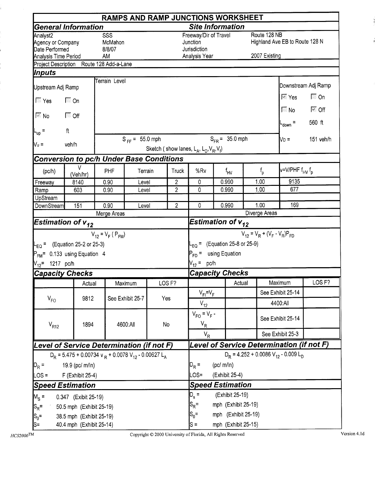|                                                                                     |                                                                                  |                                |                           |     |                   | <b>RAMPS AND RAMP JUNCTIONS WORKSHEET</b>                          |                     |                                           |                               |                                                   |                                       |
|-------------------------------------------------------------------------------------|----------------------------------------------------------------------------------|--------------------------------|---------------------------|-----|-------------------|--------------------------------------------------------------------|---------------------|-------------------------------------------|-------------------------------|---------------------------------------------------|---------------------------------------|
|                                                                                     | <b>General Information</b>                                                       |                                |                           |     |                   | <b>Site Information</b>                                            |                     |                                           |                               |                                                   |                                       |
| Analyst <sub>2</sub><br>Agency or Company<br>Date Performed<br>Analysis Time Period |                                                                                  | SSS<br>McMahon<br>8/8/07<br>AM |                           |     |                   | Freeway/Dir of Travel<br>Junction<br>Jurisdiction<br>Analysis Year |                     |                                           | Route 128 NB<br>2007 Existing | Highland Ave EB to Route 128 N                    |                                       |
|                                                                                     | Project Description Route 128 Add-a-Lane                                         |                                |                           |     |                   |                                                                    |                     |                                           |                               |                                                   |                                       |
| <i><b> Inputs</b></i>                                                               |                                                                                  |                                |                           |     |                   |                                                                    |                     |                                           |                               |                                                   |                                       |
| Upstream Adj Ramp                                                                   |                                                                                  | Terrain Level                  |                           |     |                   |                                                                    |                     |                                           |                               |                                                   | Downstream Adj Ramp                   |
|                                                                                     | $\Box$ On                                                                        |                                |                           |     |                   |                                                                    |                     |                                           |                               | । Yes                                             | $\Box$ On                             |
| $ \mathbb{K}$ No                                                                    | ি Off                                                                            |                                |                           |     |                   |                                                                    |                     |                                           |                               | $\overline{\mathbb{N}}$ No<br>$L_{\text{down}} =$ | $\overline{\mathbb{M}}$ Off<br>560 ft |
| $\mathsf{L}_{\mathsf{up}}$ =                                                        | $\ensuremath{\mathsf{ft}}$                                                       |                                |                           |     |                   |                                                                    |                     |                                           |                               |                                                   |                                       |
| $V_u =$                                                                             | veh/h                                                                            |                                | $S_{FF} = 55.0$ mph       |     |                   | Sketch (show lanes, $L_A$ , $L_D$ , $V_R$ , $V_f$ )                | $S_{FB} = 35.0$ mph |                                           |                               | Np =                                              | 151 veh/h                             |
|                                                                                     | Conversion to pc/h Under Base Conditions                                         |                                |                           |     |                   |                                                                    |                     |                                           |                               |                                                   |                                       |
| (pc/h)                                                                              | v<br>(Veh/hr)                                                                    | PHF                            | Terrain<br>Truck<br>Level |     |                   | %Rv                                                                | $f_{HV}$            |                                           | $f_{\sf p}$                   | v=V/PHF f <sub>HV</sub> f <sub>p</sub>            |                                       |
| Freeway                                                                             | 8140                                                                             | 0.90                           |                           |     | $\overline{2}$    | 0                                                                  | 0.990               |                                           | 1.00                          | 9135                                              |                                       |
| Ramp                                                                                | 603                                                                              | 0.90                           | Level                     |     | $\overline{2}$    | 0                                                                  | 0.990               |                                           | 1.00                          | 677                                               |                                       |
| UpStream                                                                            |                                                                                  |                                |                           |     |                   |                                                                    |                     |                                           |                               |                                                   |                                       |
| DownStream                                                                          | 151                                                                              | 0.90                           | Level                     |     | $\overline{c}$    | 0                                                                  | 0.990               |                                           | 1.00                          | 169                                               |                                       |
|                                                                                     | Estimation of $\bm{{\mathsf{v}}}_{\bm{12}}$                                      | Merge Areas                    |                           |     |                   | Estimation of $v_{12}$                                             |                     |                                           | Diverge Areas                 |                                                   |                                       |
|                                                                                     |                                                                                  | $V_{12} = V_F (P_{FM})$        |                           |     |                   |                                                                    |                     |                                           |                               | $V_{12} = V_R + (V_F - V_R)P_{FD}$                |                                       |
|                                                                                     | $L_{\text{EO}} =$ (Equation 25-2 or 25-3)<br>$P_{FM}$ = 0.133 using Equation 4   |                                |                           |     |                   | P <sub>FD</sub> = using Equation                                   |                     | $L_{\text{EQ}} = (Equation 25-8 or 25-9)$ |                               |                                                   |                                       |
| $V_{12}$ = 1217 pc/h                                                                |                                                                                  |                                |                           |     |                   | $V_{12} = pc/h$                                                    |                     |                                           |                               |                                                   |                                       |
|                                                                                     | <b>Capacity Checks</b>                                                           |                                |                           |     |                   | <b>Capacity Checks</b>                                             |                     |                                           |                               |                                                   |                                       |
|                                                                                     | Actual                                                                           |                                | Maximum                   |     | LOS <sub>F?</sub> |                                                                    |                     | Actual                                    |                               | Maximum                                           | LOS <sub>F?</sub>                     |
|                                                                                     |                                                                                  |                                |                           |     |                   | $V_{FI} = V_F$                                                     |                     |                                           |                               | See Exhibit 25-14                                 |                                       |
| $V_{FO}$                                                                            | 9812                                                                             |                                | See Exhibit 25-7          | Yes |                   | $V_{12}$                                                           |                     |                                           |                               | 4400:All                                          |                                       |
| $V_{R12}$                                                                           | 1894                                                                             |                                | 4600:All                  |     | No                | $V_{FO} = V_F -$<br>$V_R$                                          |                     |                                           |                               | See Exhibit 25-14                                 |                                       |
|                                                                                     |                                                                                  |                                |                           |     |                   | $V_R$                                                              |                     |                                           |                               | See Exhibit 25-3                                  |                                       |
|                                                                                     | Level of Service Determination (if not F)                                        |                                |                           |     |                   |                                                                    |                     |                                           |                               | Level of Service Determination (if not F)         |                                       |
|                                                                                     | $D_R$ = 5.475 + 0.00734 v $_R$ + 0.0078 V <sub>12</sub> - 0.00627 L <sub>A</sub> |                                |                           |     |                   |                                                                    |                     |                                           |                               | $D_p = 4.252 + 0.0086 V_{12} - 0.009 L_p$         |                                       |
| $D_R =$                                                                             | 19.9 (pc/ m/ln)                                                                  |                                |                           |     |                   | $D_R =$                                                            | (pc/m/ln)           |                                           |                               |                                                   |                                       |
| $LOS =$                                                                             | F (Exhibit 25-4)                                                                 |                                |                           |     |                   | LOS=                                                               | (Exhibit 25-4)      |                                           |                               |                                                   |                                       |
|                                                                                     | <b>Speed Estimation</b>                                                          |                                |                           |     |                   | <b>Speed Estimation</b>                                            |                     |                                           |                               |                                                   |                                       |
| $M_s =$                                                                             | 0.347 (Exibit 25-19)                                                             |                                |                           |     |                   | $D_{s} =$                                                          |                     | (Exhibit 25-19)                           |                               |                                                   |                                       |
| $ S_R$ =                                                                            | 50.5 mph (Exhibit 25-19)                                                         |                                |                           |     |                   | $S_R =$                                                            |                     | mph (Exhibit 25-19)                       |                               |                                                   |                                       |
| $S_0 =$                                                                             | 38.5 mph (Exhibit 25-19)                                                         |                                |                           |     |                   | $S_0 =$                                                            |                     | mph (Exhibit 25-19)                       |                               |                                                   |                                       |
| $ S=$                                                                               | 40.4 mph (Exhibit 25-14)                                                         |                                |                           |     |                   | $s =$                                                              |                     | mph (Exhibit 25-15)                       |                               |                                                   |                                       |

Copyright © 2000 University of Florida, All Rights Reserved

Version  $4.1\mathrm{d}$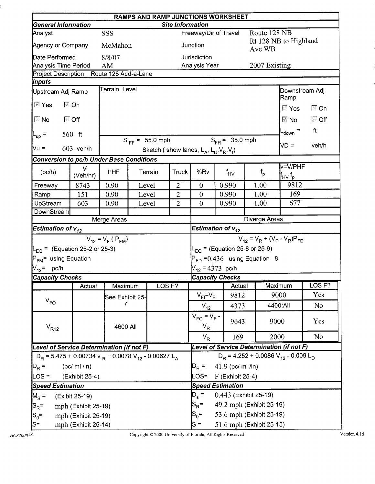|                                                                                  |                     |                         |                              |                     |                         |                                                     | <b>RAMPS AND RAMP JUNCTIONS WORKSHEET</b> |      |               |                                                               |                   |
|----------------------------------------------------------------------------------|---------------------|-------------------------|------------------------------|---------------------|-------------------------|-----------------------------------------------------|-------------------------------------------|------|---------------|---------------------------------------------------------------|-------------------|
| <b>General Information</b>                                                       |                     |                         |                              |                     | <b>Site Information</b> |                                                     |                                           |      |               |                                                               |                   |
| Analyst<br>Agency or Company                                                     |                     | SSS<br>McMahon          |                              |                     |                         | Junction                                            | Freeway/Dir of Travel                     |      | Route 128 NB  | Rt 128 NB to Highland                                         |                   |
|                                                                                  |                     |                         |                              |                     |                         |                                                     |                                           |      | Ave WB        |                                                               |                   |
| Date Performed<br>Analysis Time Period                                           |                     | 8/8/07<br>AM            |                              |                     |                         | Jurisdiction<br>Analysis Year                       |                                           |      | 2007 Existing |                                                               |                   |
| Project Description Route 128 Add-a-Lane                                         |                     |                         |                              |                     |                         |                                                     |                                           |      |               |                                                               |                   |
| <i><b>Inputs</b></i>                                                             |                     |                         |                              |                     |                         |                                                     |                                           |      |               |                                                               |                   |
| Upstream Adj Ramp                                                                |                     | Terrain Level           |                              |                     |                         |                                                     |                                           |      |               | Downstream Adj<br>Ramp                                        |                   |
| ⊠ Yes                                                                            | <b>⊠ On</b>         |                         |                              |                     |                         |                                                     |                                           |      |               | ि Yes                                                         | $\Box$ On         |
| ा जिल्ला जिल्ला हो। अस् <sup>1</sup>                                             |                     |                         |                              |                     |                         |                                                     |                                           |      |               | $\mathbb{R}$ No $\blacksquare$                                | $\Box$ Off        |
| $ L_{up} $ =                                                                     | 560 $ft$            |                         |                              |                     |                         |                                                     |                                           |      |               | L <sub>down</sub> =                                           | ft                |
| $Nu =$                                                                           | 603 veh/h           |                         |                              | $S_{FF} = 55.0$ mph |                         | Sketch (show lanes, $L_A$ , $L_D$ , $V_R$ , $V_f$ ) | $S_{FR}$ = 35.0 mph                       |      |               | VD =                                                          | veh/h             |
| Conversion to pc/h Under Base Conditions                                         |                     |                         |                              |                     |                         |                                                     |                                           |      |               |                                                               |                   |
|                                                                                  | $\vee$              |                         |                              |                     |                         |                                                     | v=V/PHF                                   |      |               |                                                               |                   |
| (pc/h)                                                                           | (Veh/hr)            | <b>PHF</b>              | <b>Truck</b><br>Terrain<br>2 |                     |                         | %Rv                                                 | $f_{HV}$                                  |      | $f_{\sf p}$   | $\mathsf{f}_{\mathsf{H}\mathsf{V}}\,\mathsf{f}_\mathsf{p}$    |                   |
| Freeway                                                                          | 8743                | 0.90                    | Level                        |                     |                         | $\overline{0}$                                      | 0.990                                     | 1.00 |               | 9812                                                          |                   |
| Ramp                                                                             | 151                 | 0.90                    |                              | Level               | $\overline{2}$          | $\overline{0}$                                      | 0.990                                     | 1.00 |               | 169                                                           |                   |
| UpStream                                                                         | 603                 | 0.90                    |                              | Level               | $\overline{2}$          | $\theta$                                            | 0.990                                     | 1.00 |               | 677                                                           |                   |
| DownStream                                                                       |                     |                         |                              |                     |                         |                                                     |                                           |      | Diverge Areas |                                                               |                   |
| <b>Estimation of <math>v_{12}</math></b>                                         |                     | Merge Areas             |                              |                     |                         |                                                     | Estimation of $v_{12}$                    |      |               |                                                               |                   |
|                                                                                  |                     | $V_{12} = V_F (P_{FM})$ |                              |                     |                         |                                                     |                                           |      |               | $V_{12} = V_R + (V_F - V_R)P_{FD}$                            |                   |
| $L_{\text{EQ}}$ = (Equation 25-2 or 25-3)                                        |                     |                         |                              |                     |                         |                                                     | $L_{EQ}$ = (Equation 25-8 or 25-9)        |      |               |                                                               |                   |
| $P_{FM}$ using Equation                                                          |                     |                         |                              |                     |                         |                                                     | $P_{FD}$ = 0.436 using Equation 8         |      |               |                                                               |                   |
| $N_{12}$ = pc/h                                                                  |                     |                         |                              |                     |                         |                                                     | $V_{12}$ = 4373 pc/h                      |      |               |                                                               |                   |
| <b>Capacity Checks</b>                                                           |                     |                         |                              |                     |                         |                                                     | <b>Capacity Checks</b>                    |      |               |                                                               |                   |
|                                                                                  | Actual              | Maximum                 |                              | LOS <sub>F?</sub>   |                         |                                                     | Actual                                    |      | Maximum       |                                                               | LOS <sub>F?</sub> |
|                                                                                  |                     | See Exhibit 25-         |                              |                     |                         | $V_{FI} = V_F$                                      | 9812                                      |      | 9000          |                                                               | Yes               |
| $V_{FO}$                                                                         |                     | 7                       |                              |                     |                         | $V_{12}$                                            | 4373                                      |      | 4400:All      |                                                               | N <sub>o</sub>    |
| $V_{R12}$                                                                        |                     | 4600:All                |                              |                     |                         | $V_{FO} = V_F -$<br>$V_R$                           | 9643                                      |      | 9000          |                                                               | Yes               |
|                                                                                  |                     |                         |                              |                     |                         | $V_R$                                               | 169                                       |      | 2000          |                                                               | <b>No</b>         |
| Level of Service Determination (if not F)                                        |                     |                         |                              |                     |                         |                                                     | Level of Service Determination (if not F) |      |               |                                                               |                   |
| $D_R$ = 5.475 + 0.00734 v $_R$ + 0.0078 V <sub>12</sub> - 0.00627 L <sub>A</sub> |                     |                         |                              |                     |                         |                                                     |                                           |      |               | $D_R$ = 4.252 + 0.0086 V <sub>12</sub> - 0.009 L <sub>D</sub> |                   |
| $ D_R =$                                                                         | (pc/mi / ln)        |                         |                              |                     |                         | $D_R =$                                             | 41.9 (pc/ mi /ln)                         |      |               |                                                               |                   |
| $\textsf{LOS} =$                                                                 | (Exhibit 25-4)      |                         |                              |                     |                         | LOS=                                                | $F$ (Exhibit 25-4)                        |      |               |                                                               |                   |
| <b>Speed Estimation</b>                                                          |                     |                         |                              |                     |                         |                                                     | <b>Speed Estimation</b>                   |      |               |                                                               |                   |
| $M_S =$                                                                          | (Exibit 25-19)      |                         |                              |                     |                         | $D_{s}$ =                                           | 0.443 (Exhibit 25-19)                     |      |               |                                                               |                   |
| $ S_R =$                                                                         | mph (Exhibit 25-19) |                         |                              |                     |                         | $S_{\mathsf{R}}^{\vphantom{1}}$ =                   | 49.2 mph (Exhibit 25-19)                  |      |               |                                                               |                   |
| $ S_0=$                                                                          | mph (Exhibit 25-19) |                         |                              |                     |                         | $S_0 =$                                             | 53.6 mph (Exhibit 25-19)                  |      |               |                                                               |                   |
| $\mathsf{S}$ =                                                                   | mph (Exhibit 25-14) |                         |                              |                     |                         | $S =$                                               | 51.6 mph (Exhibit 25-15)                  |      |               |                                                               |                   |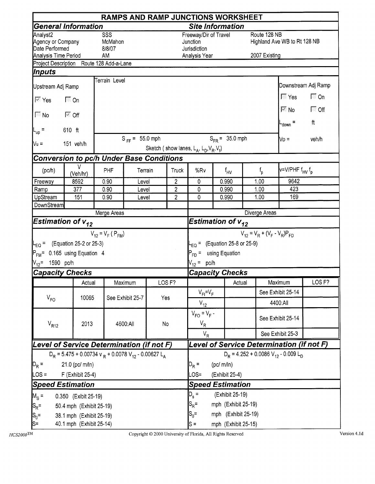|                                                                         | <b>RAMPS AND RAMP JUNCTIONS WORKSHEET</b>                                                |                                                    |                     |                         |                   |                                                                                     |          |                     |             |                                    |                                                                                   |                         |  |
|-------------------------------------------------------------------------|------------------------------------------------------------------------------------------|----------------------------------------------------|---------------------|-------------------------|-------------------|-------------------------------------------------------------------------------------|----------|---------------------|-------------|------------------------------------|-----------------------------------------------------------------------------------|-------------------------|--|
|                                                                         | <b>General Information</b>                                                               |                                                    |                     |                         |                   | <b>Site Information</b>                                                             |          |                     |             |                                    |                                                                                   |                         |  |
| Analyst2<br>Agency or Company<br>Date Performed<br>Analysis Time Period |                                                                                          | $\overline{\text{SSS}}$<br>McMahon<br>8/8/07<br>AM |                     |                         |                   | Freeway/Dir of Travel<br>Junction<br>Jurisdiction<br>Analysis Year                  |          |                     |             | Route 128 NB<br>2007 Existing      | Highland Ave WB to Rt 128 NB                                                      |                         |  |
|                                                                         | Project Description Route 128 Add-a-Lane                                                 |                                                    |                     |                         |                   |                                                                                     |          |                     |             |                                    |                                                                                   |                         |  |
| Inputs                                                                  |                                                                                          |                                                    |                     |                         |                   |                                                                                     |          |                     |             |                                    |                                                                                   |                         |  |
| Upstream Adj Ramp                                                       |                                                                                          | Terrain Level                                      |                     |                         |                   |                                                                                     |          |                     |             |                                    |                                                                                   | Downstream Adj Ramp     |  |
| $\overline{\mathbb{M}}$ Yes                                             | $\Box$ On                                                                                |                                                    |                     |                         |                   |                                                                                     |          |                     |             |                                    | $\overline{\mathbb{N}}$ Yes<br>$\overline{\mathbb{M}}$ No $\overline{\mathbb{M}}$ | $\Box$ On<br>$\Box$ Off |  |
| $ \Box$ No                                                              | ि Off                                                                                    |                                                    |                     |                         |                   |                                                                                     |          |                     |             |                                    | $L_{\text{down}} =$                                                               | ft                      |  |
| $ L_{up} $                                                              | 610 ft                                                                                   |                                                    |                     |                         |                   |                                                                                     |          |                     |             |                                    |                                                                                   |                         |  |
| Nu =                                                                    | 151 veh/h                                                                                |                                                    | $S_{FF} = 55.0$ mph |                         |                   | Sketch (show lanes, $L_A$ , $L_D$ , $V_R$ , $V_f$ )                                 |          | $S_{FR} = 35.0$ mph |             |                                    | $\mathsf{N}\mathsf{D} =$                                                          | veh/h                   |  |
| Conversion to pc/h Under Base Conditions                                |                                                                                          |                                                    |                     |                         |                   |                                                                                     |          |                     |             |                                    |                                                                                   |                         |  |
| (pc/h)                                                                  | V<br>(Veh/hr)                                                                            | PHF<br>Terrain<br>Truck<br>2<br>0.90<br>Level      |                     |                         | %Rv               |                                                                                     | $f_{HV}$ |                     | $f_{\sf p}$ | $V = V / PHF f_{HV} f_p$           |                                                                                   |                         |  |
| Freeway                                                                 | 8592                                                                                     |                                                    |                     |                         |                   | $\mathbf 0$                                                                         |          | 0.990               | 1.00        |                                    | 9642                                                                              |                         |  |
| Ramp                                                                    | 377                                                                                      | 0.90                                               | Level               |                         | $\overline{2}$    | 0                                                                                   |          | 0.990               | 1.00        |                                    | 423                                                                               |                         |  |
| UpStream<br>DownStream                                                  | 151                                                                                      | 0.90                                               | Level               |                         | 2                 | 0                                                                                   |          | 0.990               |             | 1.00                               | 169                                                                               |                         |  |
|                                                                         |                                                                                          | Merge Areas                                        |                     |                         |                   |                                                                                     |          |                     |             | Diverge Areas                      |                                                                                   |                         |  |
| <b>Estimation of <math>v_{12}</math></b>                                |                                                                                          |                                                    |                     |                         |                   | Estimation of $v_{12}$                                                              |          |                     |             |                                    |                                                                                   |                         |  |
| $P_{FM}$ = 0.165 using Equation 4<br>$V_{12}$ = 1590 pc/h               | $L_{EQ}$ = (Equation 25-2 or 25-3)                                                       | $V_{12} = V_F (P_{FM})$                            |                     |                         |                   | $L_{EQ}$ = (Equation 25-8 or 25-9)<br>$P_{FD}$ = using Equation<br>$V_{12} = p c/h$ |          |                     |             | $V_{12} = V_R + (V_F - V_R)P_{FD}$ |                                                                                   |                         |  |
| <b>Capacity Checks</b>                                                  |                                                                                          |                                                    |                     |                         |                   | <b>Capacity Checks</b>                                                              |          |                     |             |                                    |                                                                                   |                         |  |
|                                                                         | Actual                                                                                   |                                                    | Maximum             |                         | LOS <sub>F?</sub> |                                                                                     |          | Actual              |             |                                    | Maximum                                                                           | LOS <sub>F?</sub>       |  |
|                                                                         |                                                                                          |                                                    |                     |                         |                   | $V_{\text{FI}} = V_{\text{F}}$                                                      |          |                     |             |                                    | See Exhibit 25-14                                                                 |                         |  |
| $V_{FO}$                                                                | 10065                                                                                    |                                                    | See Exhibit 25-7    | Yes                     |                   | $V_{12}$                                                                            |          |                     |             |                                    | 4400:All                                                                          |                         |  |
| $V_{R12}$                                                               | 2013                                                                                     |                                                    | 4600:All            | No                      |                   | $V_{FO} = V_F -$<br>$V_R$                                                           |          |                     |             |                                    | See Exhibit 25-14                                                                 |                         |  |
|                                                                         |                                                                                          |                                                    |                     |                         |                   | $V_R$                                                                               |          |                     |             |                                    | See Exhibit 25-3                                                                  |                         |  |
| Level of Service Determination (if not F)                               |                                                                                          |                                                    |                     |                         |                   |                                                                                     |          |                     |             |                                    | Level of Service Determination (if not F)                                         |                         |  |
|                                                                         | $D_R = 5.475 + 0.00734$ v <sub>R</sub> + 0.0078 V <sub>12</sub> - 0.00627 L <sub>A</sub> |                                                    |                     |                         |                   |                                                                                     |          |                     |             |                                    | $D_R = 4.252 + 0.0086 V_{12} - 0.009 L_D$                                         |                         |  |
| $D_R =$                                                                 | 21.0 (pc/ m/ln)                                                                          |                                                    |                     |                         |                   |                                                                                     |          | (pc/m/ln)           |             |                                    |                                                                                   |                         |  |
| $\textsf{LOS} =$                                                        | F (Exhibit 25-4)                                                                         |                                                    |                     |                         |                   | $OS =$                                                                              |          | (Exhibit 25-4)      |             |                                    |                                                                                   |                         |  |
| <b>Speed Estimation</b>                                                 |                                                                                          |                                                    |                     | <b>Speed Estimation</b> |                   |                                                                                     |          |                     |             |                                    |                                                                                   |                         |  |
| $M_S =$                                                                 | 0.350 (Exibit 25-19)                                                                     |                                                    |                     |                         |                   | $D_{s}$ =                                                                           |          | (Exhibit 25-19)     |             |                                    |                                                                                   |                         |  |
| $ S_R =$                                                                | 50.4 mph (Exhibit 25-19)                                                                 |                                                    |                     |                         |                   | $S_R =$                                                                             |          | mph (Exhibit 25-19) |             |                                    |                                                                                   |                         |  |
| $\mathsf{S}_0$ =                                                        | 38.1 mph (Exhibit 25-19)                                                                 |                                                    |                     |                         |                   | $S_0 =$                                                                             |          | mph (Exhibit 25-19) |             |                                    |                                                                                   |                         |  |
| ls=                                                                     | 40.1 mph (Exhibit 25-14)                                                                 |                                                    |                     |                         |                   | ls =                                                                                |          | mph (Exhibit 25-15) |             |                                    |                                                                                   |                         |  |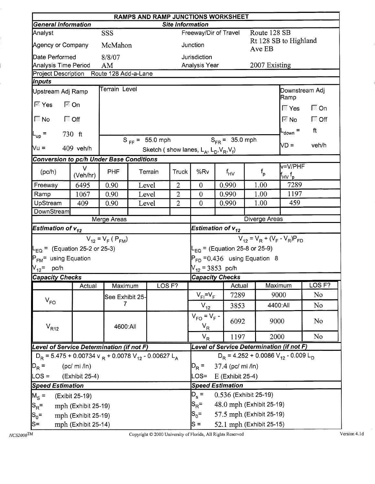|                                                                                  | RAMPS AND RAMP JUNCTIONS WORKSHEET<br><b>Site Information</b> |                         |                                                                                                                |                     |                |                                                     |                                           |  |               |                                                                                |                   |  |  |
|----------------------------------------------------------------------------------|---------------------------------------------------------------|-------------------------|----------------------------------------------------------------------------------------------------------------|---------------------|----------------|-----------------------------------------------------|-------------------------------------------|--|---------------|--------------------------------------------------------------------------------|-------------------|--|--|
| <b>General Information</b>                                                       |                                                               |                         |                                                                                                                |                     |                |                                                     |                                           |  |               |                                                                                |                   |  |  |
| Analyst                                                                          |                                                               | SSS                     |                                                                                                                |                     |                |                                                     | Freeway/Dir of Travel                     |  | Route 128 SB  | Rt 128 SB to Highland                                                          |                   |  |  |
| Agency or Company                                                                |                                                               | McMahon                 |                                                                                                                |                     |                | Junction                                            |                                           |  | Ave EB        |                                                                                |                   |  |  |
| Date Performed                                                                   |                                                               | 8/8/07                  |                                                                                                                |                     |                | Jurisdiction                                        |                                           |  |               |                                                                                |                   |  |  |
| <b>Analysis Time Period</b>                                                      |                                                               | AM                      |                                                                                                                |                     |                | Analysis Year                                       |                                           |  | 2007 Existing |                                                                                |                   |  |  |
| Project Description Route 128 Add-a-Lane<br>Inputs                               |                                                               |                         |                                                                                                                |                     |                |                                                     |                                           |  |               |                                                                                |                   |  |  |
| Upstream Adj Ramp                                                                |                                                               | Terrain Level           |                                                                                                                |                     |                |                                                     |                                           |  |               | Downstream Adj                                                                 |                   |  |  |
| $\mathbb{F}$ Yes                                                                 | $\overline{\mathbb{M}}$ On                                    |                         |                                                                                                                |                     |                |                                                     |                                           |  |               | Ramp<br>l <sup>ि</sup> Yes                                                     | $\Box$ On         |  |  |
| $\sqrt{2}$ No<br>ि Off                                                           |                                                               |                         |                                                                                                                |                     |                |                                                     |                                           |  |               | $\mathbb{Z}$ No $\blacksquare$                                                 | $\Box$ Off        |  |  |
| $L_{\text{up}}$ =                                                                | $730$ ft                                                      |                         |                                                                                                                |                     |                |                                                     |                                           |  |               | $L_{\text{down}} =$                                                            | ft                |  |  |
|                                                                                  |                                                               |                         |                                                                                                                | $S_{FF} = 55.0$ mph |                |                                                     | $S_{FR} = 35.0$ mph.                      |  |               | VD =                                                                           | veh/h             |  |  |
| Nu =                                                                             | 409 veh/h                                                     |                         |                                                                                                                |                     |                | Sketch (show lanes, $L_A$ , $L_D$ , $V_R$ , $V_f$ ) |                                           |  |               |                                                                                |                   |  |  |
|                                                                                  |                                                               |                         |                                                                                                                |                     |                |                                                     |                                           |  |               |                                                                                |                   |  |  |
| (pc/h)                                                                           | V<br>(Veh/hr)                                                 | <b>PHF</b>              | <b>Conversion to pc/h Under Base Conditions</b><br><b>Truck</b><br>Terrain<br>$\overline{2}$<br>Level<br>Level |                     |                | %Rv                                                 | $f_{HV}$                                  |  | $f_{\sf p}$   | v=V/PHF<br>$\mathsf{f}_{\mathsf{H}\mathsf{V}}\,{}^{\mathsf{f}}{}_{\mathsf{p}}$ |                   |  |  |
| Freeway                                                                          | 6495                                                          | 0.90                    |                                                                                                                |                     |                | $\overline{0}$                                      | 0.990                                     |  | 1.00          | 7289                                                                           |                   |  |  |
| Ramp                                                                             | 1067                                                          | 0.90                    |                                                                                                                |                     | $\overline{2}$ | $\overline{0}$                                      | 0.990                                     |  | 1.00          | 1197                                                                           |                   |  |  |
| UpStream                                                                         | 409                                                           | 0.90                    |                                                                                                                | Level               | $\overline{2}$ | $\overline{0}$                                      | 0.990                                     |  | 1.00          | 459                                                                            |                   |  |  |
| DownStream                                                                       |                                                               |                         |                                                                                                                |                     |                |                                                     |                                           |  |               |                                                                                |                   |  |  |
|                                                                                  |                                                               | Merge Areas             |                                                                                                                |                     |                |                                                     |                                           |  | Diverge Areas |                                                                                |                   |  |  |
| Estimation of $\mathsf{v}_{\bm{12}}$                                             |                                                               |                         |                                                                                                                |                     |                |                                                     | Estimation of $v_{12}$                    |  |               |                                                                                |                   |  |  |
|                                                                                  |                                                               | $V_{12} = V_F (P_{FM})$ |                                                                                                                |                     |                |                                                     |                                           |  |               | $V_{12} = V_R + (V_F - V_R)P_{FD}$                                             |                   |  |  |
| $L_{EQ}$ = (Equation 25-2 or 25-3)                                               |                                                               |                         |                                                                                                                |                     |                |                                                     | L <sub>EQ</sub> = (Equation 25-8 or 25-9) |  |               |                                                                                |                   |  |  |
| P <sub>FM</sub> = using Equation                                                 |                                                               |                         |                                                                                                                |                     |                |                                                     | $P_{FD} = 0.436$ using Equation 8         |  |               |                                                                                |                   |  |  |
| $N_{12}$ = pc/h                                                                  |                                                               |                         |                                                                                                                |                     |                | $V_{12}$ = 3853 pc/h                                |                                           |  |               |                                                                                |                   |  |  |
| <b>Capacity Checks</b>                                                           |                                                               |                         |                                                                                                                |                     |                |                                                     | <b>Capacity Checks</b>                    |  |               |                                                                                |                   |  |  |
|                                                                                  | Actual                                                        | Maximum                 |                                                                                                                | LOS F?              |                |                                                     | Actual                                    |  | Maximum       |                                                                                | LOS <sub>F?</sub> |  |  |
| $V_{FO}$                                                                         |                                                               | See Exhibit 25-         |                                                                                                                |                     |                | $V_{FI} = V_F$                                      | 7289                                      |  | 9000          |                                                                                | N <sub>o</sub>    |  |  |
|                                                                                  |                                                               | 7                       |                                                                                                                |                     |                | $V_{12}$                                            | 3853                                      |  |               | 4400:All                                                                       | N <sub>0</sub>    |  |  |
| $V_{R12}$                                                                        |                                                               | 4600:All                |                                                                                                                |                     |                | $V_{FO} = V_F -$<br>$V_R$                           | 6092                                      |  | 9000          |                                                                                | No                |  |  |
|                                                                                  |                                                               |                         |                                                                                                                |                     |                | $V_R$                                               | 1197                                      |  | 2000          |                                                                                | No                |  |  |
| Level of Service Determination (if not F)                                        |                                                               |                         |                                                                                                                |                     |                |                                                     | Level of Service Determination (if not F) |  |               |                                                                                |                   |  |  |
| $D_R$ = 5.475 + 0.00734 v $_R$ + 0.0078 V <sub>12</sub> - 0.00627 L <sub>A</sub> |                                                               |                         |                                                                                                                |                     |                |                                                     |                                           |  |               | $D_R$ = 4.252 + 0.0086 V <sub>12</sub> - 0.009 L <sub>D</sub>                  |                   |  |  |
| $D_R =$                                                                          | (pc/mi / ln)                                                  |                         |                                                                                                                |                     |                | $D_R =$                                             | 37.4 (pc/ mi /ln)                         |  |               |                                                                                |                   |  |  |
| $\textsf{LOS} =$                                                                 | (Exhibit 25-4)                                                |                         |                                                                                                                |                     |                | LOS=                                                | E (Exhibit 25-4)                          |  |               |                                                                                |                   |  |  |
| <b>Speed Estimation</b>                                                          |                                                               |                         |                                                                                                                |                     |                |                                                     | <b>Speed Estimation</b>                   |  |               |                                                                                |                   |  |  |
| $M_S =$                                                                          | (Exibit 25-19)                                                |                         |                                                                                                                |                     |                | $D_s =$                                             | 0.536 (Exhibit 25-19)                     |  |               |                                                                                |                   |  |  |
| $ S_R =$                                                                         | mph (Exhibit 25-19)                                           |                         |                                                                                                                |                     |                | $\mathsf{S}_{\mathsf{R}}^{\vphantom{1}}$ =          | 48.0 mph (Exhibit 25-19)                  |  |               |                                                                                |                   |  |  |
| $ S_0=$                                                                          | mph (Exhibit 25-19)                                           |                         |                                                                                                                |                     |                | $S_0 =$                                             | 57.5 mph (Exhibit 25-19)                  |  |               |                                                                                |                   |  |  |
| S=                                                                               | mph (Exhibit 25-14)                                           |                         |                                                                                                                |                     |                | $S =$                                               | 52.1 mph (Exhibit 25-15)                  |  |               |                                                                                |                   |  |  |

 $\overline{ }$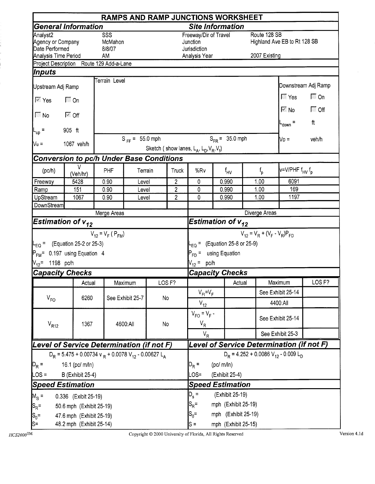|                                                 | <b>RAMPS AND RAMP JUNCTIONS WORKSHEET</b>                                        |                                                            |                     |                   |        |                                                     |  |                                    |                                    |                                           |                                  |  |  |
|-------------------------------------------------|----------------------------------------------------------------------------------|------------------------------------------------------------|---------------------|-------------------|--------|-----------------------------------------------------|--|------------------------------------|------------------------------------|-------------------------------------------|----------------------------------|--|--|
|                                                 | General Information                                                              |                                                            |                     |                   |        | <b>Site Information</b>                             |  |                                    |                                    |                                           |                                  |  |  |
| Analyst2<br>Agency or Company<br>Date Performed |                                                                                  | SSS<br>McMahon<br>8/8/07                                   |                     |                   |        | Freeway/Dir of Travel<br>Junction<br>Jurisdiction   |  |                                    | Route 128 SB                       | Highland Ave EB to Rt 128 SB              |                                  |  |  |
| Analysis Time Period                            |                                                                                  | AM                                                         |                     |                   |        | Analysis Year                                       |  |                                    | 2007 Existing                      |                                           |                                  |  |  |
| Inputs                                          | Project Description Route 129 Add-a-Lane                                         |                                                            |                     |                   |        |                                                     |  |                                    |                                    |                                           |                                  |  |  |
|                                                 |                                                                                  | Terrain Level                                              |                     |                   |        |                                                     |  |                                    |                                    |                                           |                                  |  |  |
| Upstream Adj Ramp                               |                                                                                  |                                                            |                     |                   |        |                                                     |  |                                    |                                    | $\blacksquare$ Yes                        | Downstream Adj Ramp<br>$\Box$ On |  |  |
| $\overline{\mathbb{M}}$ Yes                     | $\Box$ On                                                                        |                                                            |                     |                   |        |                                                     |  |                                    |                                    | $\mathbb{R}$ No $\blacksquare$            | $\sqrt{a}$ Off                   |  |  |
| $\sqrt{N}$ No                                   | ि Off                                                                            |                                                            |                     |                   |        |                                                     |  |                                    |                                    | $L_{\text{down}} =$                       | ft                               |  |  |
| $L_{\text{up}}$ =                               | 905 ft                                                                           |                                                            |                     |                   |        |                                                     |  |                                    |                                    |                                           |                                  |  |  |
| $V_{\mathsf{u}}$ =                              | 1067 veh/h                                                                       |                                                            | $S_{FF} = 55.0$ mph |                   |        |                                                     |  | $S_{FR} = 35.0$ mph                |                                    | $Vo =$                                    | veh/h                            |  |  |
|                                                 |                                                                                  |                                                            |                     |                   |        | Sketch (show lanes, $L_A$ , $L_D$ , $V_R$ , $V_f$ ) |  |                                    |                                    |                                           |                                  |  |  |
|                                                 | <b>Conversion to pc/h Under Base Conditions</b>                                  |                                                            |                     |                   |        |                                                     |  |                                    |                                    |                                           |                                  |  |  |
| (pc/h)                                          | V<br>(Veh/hr)                                                                    | PHF<br>Terrain<br>Truck<br>$\overline{2}$<br>0.90<br>Level |                     |                   |        | %Rv                                                 |  | $f_{HV}$                           | $f_{\sf p}$                        | v=V/PHF f <sub>HV</sub> f <sub>p</sub>    |                                  |  |  |
| Freeway                                         | 5428                                                                             |                                                            |                     |                   |        | 0                                                   |  | 0.990                              | 1.00                               | 6091                                      |                                  |  |  |
| Ramp<br>UpStream                                | 151<br>1067                                                                      | 0.90<br>0.90                                               | Level               |                   | 2<br>2 | 0<br>0                                              |  | 0.990<br>0.990                     | 1.00<br>1.00                       | 169<br>1197                               |                                  |  |  |
| DownStream                                      |                                                                                  |                                                            | Level               |                   |        |                                                     |  |                                    |                                    |                                           |                                  |  |  |
|                                                 |                                                                                  | Merge Areas                                                |                     |                   |        |                                                     |  |                                    | Diverge Areas                      |                                           |                                  |  |  |
| Estimation of $v_{12}$                          |                                                                                  |                                                            |                     |                   |        | <b>Estimation of <math>v_{12}</math></b>            |  |                                    |                                    |                                           |                                  |  |  |
|                                                 |                                                                                  | $V_{12} = V_F (P_{FM})$                                    |                     |                   |        |                                                     |  |                                    | $V_{12} = V_R + (V_F - V_R)P_{FD}$ |                                           |                                  |  |  |
|                                                 | $-EO =$ (Equation 25-2 or 25-3)                                                  |                                                            |                     |                   |        |                                                     |  | $E_{EQ}$ = (Equation 25-8 or 25-9) |                                    |                                           |                                  |  |  |
|                                                 | P <sub>FM</sub> = 0.197 using Equation 4                                         |                                                            |                     |                   |        | P <sub>FD</sub> = using Equation                    |  |                                    |                                    |                                           |                                  |  |  |
| $V_{12}$ = 1198 pc/h                            |                                                                                  |                                                            |                     |                   |        | $V_{12} = pc/h$                                     |  |                                    |                                    |                                           |                                  |  |  |
| <b>Capacity Checks</b>                          |                                                                                  |                                                            |                     |                   |        | <b>Capacity Checks</b>                              |  |                                    |                                    |                                           |                                  |  |  |
|                                                 | Actual                                                                           |                                                            | Maximum             | LOS <sub>F?</sub> |        |                                                     |  | Actual                             |                                    | Maximum                                   | LOS <sub>F?</sub>                |  |  |
|                                                 |                                                                                  |                                                            |                     |                   |        | $V_{FI} = V_F$                                      |  |                                    |                                    | See Exhibit 25-14                         |                                  |  |  |
| $V_{FO}$                                        | 6260                                                                             |                                                            | See Exhibit 25-7    | No                |        | $V_{12}$                                            |  |                                    |                                    | 4400:All                                  |                                  |  |  |
| $V_{R12}$                                       | 1367                                                                             |                                                            | 4600:All            | No                |        | $V_{FO} = V_F -$<br>$V_R$                           |  |                                    |                                    | See Exhibit 25-14                         |                                  |  |  |
|                                                 |                                                                                  |                                                            |                     |                   |        | $V_R$                                               |  |                                    |                                    | See Exhibit 25-3                          |                                  |  |  |
| Level of Service Determination (if not F)       |                                                                                  |                                                            |                     |                   |        |                                                     |  |                                    |                                    | Level of Service Determination (if not F) |                                  |  |  |
|                                                 | $D_R$ = 5.475 + 0.00734 v $_R$ + 0.0078 V <sub>12</sub> - 0.00627 L <sub>A</sub> |                                                            |                     |                   |        |                                                     |  |                                    |                                    | $D_R = 4.252 + 0.0086 V_{12} - 0.009 L_D$ |                                  |  |  |
| $D_R =$                                         | 16.1 (pc/ m/ln)                                                                  |                                                            |                     |                   |        |                                                     |  | (pc/m/ln)                          |                                    |                                           |                                  |  |  |
| $LOS =$                                         | <b>B</b> (Exhibit 25-4)                                                          |                                                            |                     |                   |        | LOS=                                                |  | (Exhibit 25-4)                     |                                    |                                           |                                  |  |  |
| <b>Speed Estimation</b>                         |                                                                                  |                                                            |                     |                   |        |                                                     |  | <b>Speed Estimation</b>            |                                    |                                           |                                  |  |  |
| $M_S =$                                         | 0.336 (Exibit 25-19)                                                             |                                                            |                     |                   |        | $D_{s} =$                                           |  | (Exhibit 25-19)                    |                                    |                                           |                                  |  |  |
| $ S_R =$                                        | 50.6 mph (Exhibit 25-19)                                                         |                                                            |                     |                   |        | $S_R =$                                             |  | mph (Exhibit 25-19)                |                                    |                                           |                                  |  |  |
| $S_0 =$                                         | 47.6 mph (Exhibit 25-19)                                                         |                                                            |                     |                   |        | $S_0 =$                                             |  | mph (Exhibit 25-19)                |                                    |                                           |                                  |  |  |
| ls=                                             | 48.2 mph (Exhibit 25-14)                                                         |                                                            |                     |                   |        | $s =$                                               |  | mph (Exhibit 25-15)                |                                    |                                           |                                  |  |  |

ļ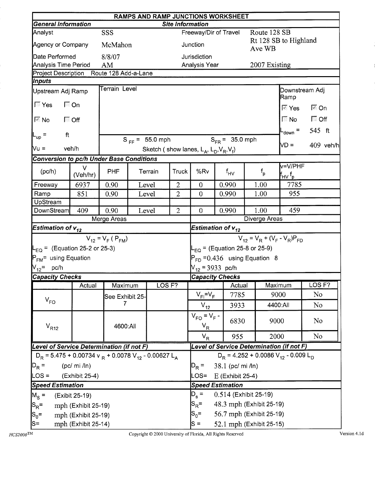|                                                                                  | RAMPS AND RAMP JUNCTIONS WORKSHEET<br><b>General Information</b><br><b>Site Information</b> |                                                                   |  |                     |                |                                                     |                 |                                    |                                                                          |                                                               |                            |             |  |
|----------------------------------------------------------------------------------|---------------------------------------------------------------------------------------------|-------------------------------------------------------------------|--|---------------------|----------------|-----------------------------------------------------|-----------------|------------------------------------|--------------------------------------------------------------------------|---------------------------------------------------------------|----------------------------|-------------|--|
|                                                                                  |                                                                                             |                                                                   |  |                     |                |                                                     |                 |                                    |                                                                          |                                                               |                            |             |  |
| Analyst                                                                          |                                                                                             | SSS                                                               |  |                     |                | Freeway/Dir of Travel                               |                 |                                    | Route 128 SB                                                             | Rt 128 SB to Highland                                         |                            |             |  |
| Agency or Company                                                                |                                                                                             | McMahon                                                           |  |                     |                | Junction                                            |                 |                                    | Ave WB                                                                   |                                                               |                            |             |  |
| Date Performed                                                                   |                                                                                             | 8/8/07                                                            |  |                     |                | Jurisdiction                                        |                 |                                    |                                                                          |                                                               |                            |             |  |
| Analysis Time Period<br>Project Description                                      |                                                                                             | AM<br>Route 128 Add-a-Lane                                        |  |                     |                | Analysis Year                                       |                 |                                    | 2007 Existing                                                            |                                                               |                            |             |  |
| Inputs                                                                           |                                                                                             |                                                                   |  |                     |                |                                                     |                 |                                    |                                                                          |                                                               |                            |             |  |
| Upstream Adj Ramp                                                                |                                                                                             | Terrain Level                                                     |  |                     |                |                                                     |                 |                                    |                                                                          | Downstream Adj                                                |                            |             |  |
| <b>Nes</b>                                                                       | $\Box$ On                                                                                   |                                                                   |  |                     |                |                                                     |                 |                                    |                                                                          | Ramp                                                          |                            |             |  |
|                                                                                  |                                                                                             |                                                                   |  |                     |                |                                                     |                 |                                    |                                                                          | ⊠ Yes                                                         | $\overline{\mathbb{Z}}$ On |             |  |
| $\overline{\mathbb{M}}$ No                                                       | $\Box$ Off                                                                                  |                                                                   |  |                     |                |                                                     |                 |                                    |                                                                          | $\sqrt{2}$ No $\sqrt{2}$ Off                                  | 545 ft                     |             |  |
| ft<br>$L_{\text{up}}$ =                                                          |                                                                                             |                                                                   |  | $S_{FF} = 55.0$ mph |                |                                                     |                 | $S_{FR}$ = 35.0 mph                |                                                                          | $-$ <sub>down</sub> =                                         |                            |             |  |
| $Vu =$                                                                           | veh/h                                                                                       |                                                                   |  |                     |                | Sketch (show lanes, $L_A$ , $L_D$ , $V_R$ , $V_f$ ) |                 |                                    |                                                                          | $VD =$                                                        |                            | $409$ veh/h |  |
| Conversion to pc/h Under Base Conditions                                         |                                                                                             |                                                                   |  |                     |                |                                                     |                 |                                    |                                                                          |                                                               |                            |             |  |
| (pc/h)                                                                           | $\vee$<br>(Veh/hr)                                                                          | <b>PHF</b><br>Terrain<br>Truck<br>0.90<br>Level<br>$\overline{2}$ |  |                     | %Rv            |                                                     | $f_{\text{HV}}$ | $f_{\sf p}$                        | v=V/PHF<br>$\mathsf{f}_{\mathsf{H}\mathsf{V}}\, \mathsf{f}_{\mathsf{p}}$ |                                                               |                            |             |  |
| Freeway                                                                          | 6937                                                                                        |                                                                   |  |                     | $\overline{0}$ | 0.990                                               |                 | 1.00                               | 7785                                                                     |                                                               |                            |             |  |
| Ramp                                                                             | 851                                                                                         | 0.90                                                              |  | Level               | $\overline{2}$ | $\theta$                                            | 0.990           |                                    | 1.00                                                                     | 955                                                           |                            |             |  |
| UpStream                                                                         |                                                                                             |                                                                   |  |                     |                |                                                     |                 |                                    |                                                                          |                                                               |                            |             |  |
| DownStream                                                                       | 409                                                                                         | 0.90                                                              |  | Level               | $\overline{2}$ | $\theta$                                            | 0.990           |                                    | 1.00                                                                     | 459                                                           |                            |             |  |
|                                                                                  |                                                                                             | Merge Areas                                                       |  |                     |                |                                                     |                 |                                    | Diverge Areas                                                            |                                                               |                            |             |  |
| Estimation of $v_{12}$                                                           |                                                                                             |                                                                   |  |                     |                | Estimation of $v_{12}$                              |                 |                                    |                                                                          |                                                               |                            |             |  |
|                                                                                  |                                                                                             | $V_{12} = V_F (P_{FM})$                                           |  |                     |                |                                                     |                 |                                    |                                                                          | $V_{12} = V_R + (V_F - V_R)P_{FD}$                            |                            |             |  |
| $L_{EQ}$ = (Equation 25-2 or 25-3)                                               |                                                                                             |                                                                   |  |                     |                |                                                     |                 | $L_{EQ}$ = (Equation 25-8 or 25-9) |                                                                          |                                                               |                            |             |  |
| P <sub>FM</sub> = using Equation                                                 |                                                                                             |                                                                   |  |                     |                |                                                     |                 | $P_{FD} = 0.436$ using Equation 8  |                                                                          |                                                               |                            |             |  |
| $V_{12}$ = pc/h                                                                  |                                                                                             |                                                                   |  |                     |                | $V_{12}$ = 3933 pc/h                                |                 |                                    |                                                                          |                                                               |                            |             |  |
| <b>Capacity Checks</b>                                                           |                                                                                             |                                                                   |  |                     |                | <b>Capacity Checks</b>                              |                 |                                    |                                                                          |                                                               | LOS <sub>F?</sub>          |             |  |
|                                                                                  | Actual                                                                                      | Maximum                                                           |  | LOS <sub>F?</sub>   |                |                                                     |                 | Actual<br>7785                     |                                                                          | Maximum<br>9000                                               | No                         |             |  |
| $V_{FO}$                                                                         |                                                                                             | See Exhibit 25-<br>7                                              |  |                     |                | $V_{FI} = V_F$                                      |                 |                                    |                                                                          |                                                               |                            |             |  |
|                                                                                  |                                                                                             |                                                                   |  |                     |                | $V_{12}$                                            |                 | 3933                               |                                                                          | 4400:All                                                      | N <sub>o</sub>             |             |  |
| $V_{R12}$                                                                        |                                                                                             | 4600:All                                                          |  |                     |                | $V_{FO} = V_F -$<br>$V_R$                           |                 | 6830                               | 9000                                                                     |                                                               | No                         |             |  |
|                                                                                  |                                                                                             |                                                                   |  |                     |                | $V_R$                                               |                 | 955                                | 2000                                                                     |                                                               | N <sub>o</sub>             |             |  |
| Level of Service Determination (if not F)                                        |                                                                                             |                                                                   |  |                     |                |                                                     |                 |                                    |                                                                          | Level of Service Determination (if not F)                     |                            |             |  |
| $D_R$ = 5.475 + 0.00734 v $_R$ + 0.0078 V <sub>12</sub> - 0.00627 L <sub>A</sub> |                                                                                             |                                                                   |  |                     |                |                                                     |                 |                                    |                                                                          | $D_R$ = 4.252 + 0.0086 V <sub>12</sub> - 0.009 L <sub>D</sub> |                            |             |  |
| $D_R =$                                                                          | (pc/mi /ln)                                                                                 |                                                                   |  |                     |                | $D_R =$                                             |                 | 38.1 (pc/ mi /ln)                  |                                                                          |                                                               |                            |             |  |
| $\textsf{LOS} =$                                                                 | (Exhibit 25-4)                                                                              |                                                                   |  |                     |                | LOS=                                                |                 | E (Exhibit 25-4)                   |                                                                          |                                                               |                            |             |  |
| <b>Speed Estimation</b>                                                          |                                                                                             |                                                                   |  |                     |                | <b>Speed Estimation</b>                             |                 |                                    |                                                                          |                                                               |                            |             |  |
| $M_{\rm s}$ =                                                                    | (Exibit 25-19)                                                                              |                                                                   |  |                     |                | $D_{s} =$                                           |                 | 0.514 (Exhibit 25-19)              |                                                                          |                                                               |                            |             |  |
| $ {\mathsf S}_{\mathsf R}$ =                                                     | mph (Exhibit 25-19)                                                                         |                                                                   |  |                     |                | $S_{\mathsf{R}}^{\vphantom{1}}$ =                   |                 | 48.3 mph (Exhibit 25-19)           |                                                                          |                                                               |                            |             |  |
| $ S_0=$                                                                          | mph (Exhibit 25-19)                                                                         |                                                                   |  |                     |                | $S_0 =$                                             |                 | 56.7 mph (Exhibit 25-19)           |                                                                          |                                                               |                            |             |  |
| $ S=$                                                                            | mph (Exhibit 25-14)                                                                         |                                                                   |  |                     |                | $S =$                                               |                 | 52.1 mph (Exhibit 25-15)           |                                                                          |                                                               |                            |             |  |

Copyright © 2000 University of Florida, All Rights Reserved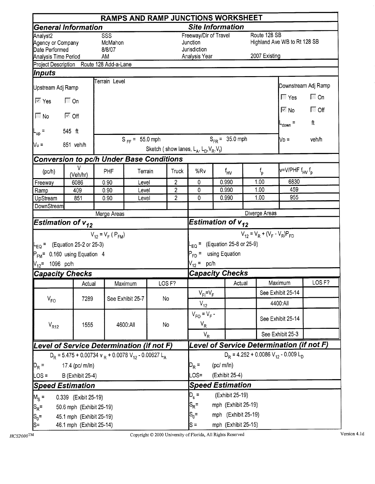|                                                                                     |                                                                                  |                                                                                                         |                     |    |                   | <b>RAMPS AND RAMP JUNCTIONS WORKSHEET</b>                          |          |                     |                                        |                                                           |                         |
|-------------------------------------------------------------------------------------|----------------------------------------------------------------------------------|---------------------------------------------------------------------------------------------------------|---------------------|----|-------------------|--------------------------------------------------------------------|----------|---------------------|----------------------------------------|-----------------------------------------------------------|-------------------------|
|                                                                                     | <b>General Information</b>                                                       |                                                                                                         |                     |    |                   | <b>Site Information</b>                                            |          |                     |                                        |                                                           |                         |
| Analyst <sub>2</sub><br>Agency or Company<br>Date Performed<br>Analysis Time Period |                                                                                  | SSS<br>McMahon<br>8/8/07<br><b>AM</b>                                                                   |                     |    |                   | Freeway/Dir of Travel<br>Junction<br>Jurisdiction<br>Analysis Year |          |                     | Route 128 SB<br>2007 Existing          | Highland Ave WB to Rt 128 SB                              |                         |
|                                                                                     | Project Description Route 128 Add-a-Lane                                         |                                                                                                         |                     |    |                   |                                                                    |          |                     |                                        |                                                           |                         |
| <i><b>Inputs</b></i>                                                                |                                                                                  |                                                                                                         |                     |    |                   |                                                                    |          |                     |                                        |                                                           |                         |
| Upstream Adj Ramp                                                                   |                                                                                  | Terrain Level                                                                                           |                     |    |                   |                                                                    |          |                     |                                        |                                                           | Downstream Adj Ramp     |
|                                                                                     | $\Box$ On                                                                        |                                                                                                         |                     |    |                   |                                                                    |          |                     |                                        | $\overline{\mathbb{N}}$ Yes<br>$\overline{\mathbb{M}}$ No | $\Box$ On<br>$\Box$ Off |
| $\Box$ No                                                                           | । ™ Off                                                                          |                                                                                                         |                     |    |                   |                                                                    |          |                     |                                        | $-$ <sub>down</sub> =                                     | ft                      |
|                                                                                     | 545 ft                                                                           |                                                                                                         |                     |    |                   |                                                                    |          |                     |                                        |                                                           |                         |
| $N_u =$                                                                             | 851 veh/h                                                                        |                                                                                                         | $S_{FF} = 55.0$ mph |    |                   | Sketch (show lanes, $L_A$ , $L_D$ , $V_R$ , $V_f$ )                |          | $S_{FR} = 35.0$ mph |                                        | $\mathsf{V}\mathsf{D}$ =                                  | veh/h                   |
|                                                                                     |                                                                                  |                                                                                                         |                     |    |                   |                                                                    |          |                     |                                        |                                                           |                         |
| (pc/h)                                                                              | v<br>(Veh/hr)                                                                    | <b>Conversion to pc/h Under Base Conditions</b><br><b>PHF</b><br>Terrain<br>Truck<br>2<br>0.90<br>Level |                     |    | %Rv               |                                                                    | $f_{HV}$ | $f_{\rm p}$         | v=V/PHF f <sub>HV</sub> f <sub>p</sub> |                                                           |                         |
| Freeway                                                                             | 6086                                                                             |                                                                                                         |                     |    |                   | 0                                                                  |          | 0.990               | 1.00                                   | 6830                                                      |                         |
| Ramp                                                                                | 409                                                                              | 0.90                                                                                                    | Level               |    | $\overline{2}$    | 0                                                                  |          | 0.990               | 1.00                                   | 459<br>955                                                |                         |
| UpStream<br>DownStream                                                              | 851                                                                              | 0.90                                                                                                    | Level               |    | $\overline{2}$    | 0                                                                  |          | 0.990               | 1.00                                   |                                                           |                         |
|                                                                                     |                                                                                  | Merge Areas                                                                                             |                     |    |                   |                                                                    |          |                     | Diverge Areas                          |                                                           |                         |
| <b>Estimation of <math>v_{12}</math></b>                                            |                                                                                  |                                                                                                         |                     |    |                   | Estimation of $v_{12}$                                             |          |                     |                                        |                                                           |                         |
|                                                                                     |                                                                                  | $V_{12} = V_F (P_{FM})$                                                                                 |                     |    |                   |                                                                    |          |                     | $V_{12} = V_R + (V_F - V_R)P_{FD}$     |                                                           |                         |
|                                                                                     | $L_{\text{EQ}}$ = (Equation 25-2 or 25-3)                                        |                                                                                                         |                     |    |                   | $L_{EQ}$ = (Equation 25-8 or 25-9)                                 |          |                     |                                        |                                                           |                         |
|                                                                                     | $P_{FM}$ = 0.160 using Equation 4                                                |                                                                                                         |                     |    |                   | $P_{FD}$ = using Equation                                          |          |                     |                                        |                                                           |                         |
| $V_{12}$ = 1096 pc/h                                                                |                                                                                  |                                                                                                         |                     |    |                   | $V_{12}$ = pc/h                                                    |          |                     |                                        |                                                           |                         |
| <b>Capacity Checks</b>                                                              |                                                                                  |                                                                                                         |                     |    |                   | <b>Capacity Checks</b>                                             |          |                     |                                        |                                                           |                         |
|                                                                                     | Actual                                                                           |                                                                                                         | Maximum             |    | LOS <sub>F?</sub> |                                                                    |          | Actual              |                                        | Maximum                                                   | LOS <sub>F?</sub>       |
|                                                                                     |                                                                                  |                                                                                                         |                     |    |                   | $V_{F} = V_F$                                                      |          |                     |                                        | See Exhibit 25-14                                         |                         |
| $V_{FO}$                                                                            | 7289                                                                             |                                                                                                         | See Exhibit 25-7    | No |                   | $V_{12}$                                                           |          |                     |                                        | 4400:All                                                  |                         |
| $V_{R12}$                                                                           | 1555                                                                             |                                                                                                         | 4600:All            | No |                   | $V_{FO} = V_F -$<br>$V_R$                                          |          |                     |                                        | See Exhibit 25-14                                         |                         |
|                                                                                     |                                                                                  |                                                                                                         |                     |    |                   | $V_R$                                                              |          |                     |                                        | See Exhibit 25-3                                          |                         |
|                                                                                     | Level of Service Determination (if not F)                                        |                                                                                                         |                     |    |                   |                                                                    |          |                     |                                        | Level of Service Determination (if not F)                 |                         |
|                                                                                     | $D_R$ = 5.475 + 0.00734 v $_R$ + 0.0078 V <sub>12</sub> - 0.00627 L <sub>A</sub> |                                                                                                         |                     |    |                   |                                                                    |          |                     |                                        | $D_R = 4.252 + 0.0086 V_{12} - 0.009 L_D$                 |                         |
| 17.4 (pc/ m/ln)<br>$D_R =$                                                          |                                                                                  | $D_R =$                                                                                                 | (pc/m/ln)           |    |                   |                                                                    |          |                     |                                        |                                                           |                         |
| $LOS =$                                                                             | <b>B</b> (Exhibit 25-4)                                                          |                                                                                                         | $OS=$               |    | (Exhibit 25-4)    |                                                                    |          |                     |                                        |                                                           |                         |
|                                                                                     | <b>Speed Estimation</b>                                                          |                                                                                                         |                     |    |                   | <b>Speed Estimation</b>                                            |          |                     |                                        |                                                           |                         |
| $M_S =$                                                                             | 0.339 (Exibit 25-19)                                                             |                                                                                                         |                     |    |                   | $D_{s} =$                                                          |          | (Exhibit 25-19)     |                                        |                                                           |                         |
| $ S_R =$                                                                            | 50.6 mph (Exhibit 25-19)                                                         |                                                                                                         |                     |    |                   | $S_R =$                                                            |          | mph (Exhibit 25-19) |                                        |                                                           |                         |
| $ S_0=$                                                                             | 45.1 mph (Exhibit 25-19)                                                         |                                                                                                         |                     |    |                   | $S_0 =$                                                            |          | mph (Exhibit 25-19) |                                        |                                                           |                         |
| $\mathsf{S}$ =                                                                      | 46.1 mph (Exhibit 25-14)                                                         |                                                                                                         |                     |    |                   | $S =$                                                              |          | mph (Exhibit 25-15) |                                        |                                                           |                         |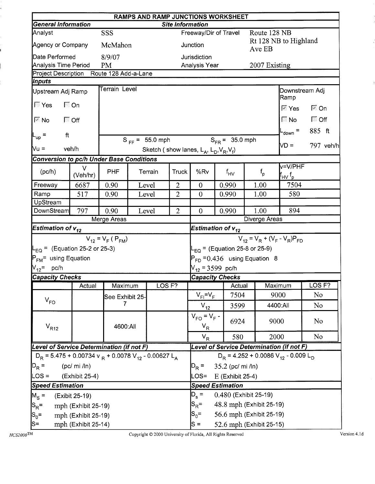|                                                                                  | RAMPS AND RAMP JUNCTIONS WORKSHEET<br><b>General Information</b><br><b>Site Information</b> |                                                                                                                |  |                     |                |                                                     |          |                                    |                                                               |                        |                   |  |  |  |
|----------------------------------------------------------------------------------|---------------------------------------------------------------------------------------------|----------------------------------------------------------------------------------------------------------------|--|---------------------|----------------|-----------------------------------------------------|----------|------------------------------------|---------------------------------------------------------------|------------------------|-------------------|--|--|--|
|                                                                                  |                                                                                             |                                                                                                                |  |                     |                |                                                     |          |                                    |                                                               |                        |                   |  |  |  |
| Analyst<br>Agency or Company                                                     |                                                                                             | SSS<br>McMahon                                                                                                 |  |                     |                | Freeway/Dir of Travel<br>Junction                   |          |                                    | Route 128 NB<br>Rt 128 NB to Highland                         |                        |                   |  |  |  |
|                                                                                  |                                                                                             |                                                                                                                |  |                     |                |                                                     |          |                                    | Ave EB                                                        |                        |                   |  |  |  |
| Date Performed<br>Analysis Time Period                                           |                                                                                             | 8/9/07<br><b>PM</b>                                                                                            |  |                     |                | Jurisdiction<br>Analysis Year                       |          |                                    | 2007 Existing                                                 |                        |                   |  |  |  |
| Project Description Route 128 Add-a-Lane                                         |                                                                                             |                                                                                                                |  |                     |                |                                                     |          |                                    |                                                               |                        |                   |  |  |  |
| <b>Inputs</b>                                                                    |                                                                                             |                                                                                                                |  |                     |                |                                                     |          |                                    |                                                               |                        |                   |  |  |  |
| Upstream Adj Ramp                                                                |                                                                                             | Terrain Level                                                                                                  |  |                     |                |                                                     |          |                                    |                                                               | Downstream Adj<br>Ramp |                   |  |  |  |
| $\sqrt{2}$ Yes                                                                   | $\Box$ On                                                                                   |                                                                                                                |  |                     |                |                                                     |          |                                    |                                                               | ⊠ Yes                  | l <sup>⊠</sup> On |  |  |  |
| $\nabla$ No                                                                      | $\Box$ Off                                                                                  |                                                                                                                |  |                     |                |                                                     |          |                                    |                                                               | $\blacksquare$ No      | $\Box$ Off        |  |  |  |
| ft<br>$L_{\text{up}}$ =                                                          |                                                                                             |                                                                                                                |  |                     |                |                                                     |          |                                    |                                                               | $_{\text{down}}$ =     | 885 ft            |  |  |  |
| Vu =<br>veh/h                                                                    |                                                                                             |                                                                                                                |  | $S_{FF} = 55.0$ mph |                | Sketch (show lanes, $L_A$ , $L_D$ , $V_R$ , $V_f$ ) |          | $S_{FR} = 35.0$ mph                |                                                               | ND =                   | 797 veh/h         |  |  |  |
|                                                                                  |                                                                                             |                                                                                                                |  |                     |                |                                                     |          |                                    |                                                               |                        |                   |  |  |  |
| (pc/h)                                                                           | $\vee$<br>(Veh/hr)                                                                          | <b>Conversion to pc/h Under Base Conditions</b><br><b>PHF</b><br><b>Truck</b><br>Terrain<br>0.90<br>Level<br>2 |  |                     | %Rv            |                                                     | $f_{HV}$ | $f_{\sf p}$                        | v=V/PHF<br>${\sf f}_{\sf HV} \, {\sf f}_{\sf p}$              |                        |                   |  |  |  |
| Freeway                                                                          | 6687                                                                                        |                                                                                                                |  |                     | $\overline{0}$ |                                                     | 0.990    | 1.00                               | 7504                                                          |                        |                   |  |  |  |
| Ramp                                                                             | 517                                                                                         | $\overline{2}$<br>0.90<br>Level                                                                                |  |                     |                | $\overline{0}$                                      |          | 0.990                              | 1.00                                                          | 580                    |                   |  |  |  |
| UpStream                                                                         |                                                                                             |                                                                                                                |  |                     |                |                                                     |          |                                    |                                                               |                        |                   |  |  |  |
| DownStream                                                                       | 797                                                                                         | 0.90                                                                                                           |  | Level               | $\overline{2}$ | $\overline{0}$                                      |          | 0.990                              | 1.00                                                          | 894                    |                   |  |  |  |
|                                                                                  |                                                                                             | Merge Areas                                                                                                    |  |                     |                |                                                     |          |                                    | Diverge Areas                                                 |                        |                   |  |  |  |
| Estimation of $v_{12}$                                                           |                                                                                             |                                                                                                                |  |                     |                | Estimation of $v_{12}$                              |          |                                    |                                                               |                        |                   |  |  |  |
|                                                                                  |                                                                                             | $V_{12} = V_F (P_{FM})$                                                                                        |  |                     |                |                                                     |          |                                    | $V_{12} = V_R + (V_F - V_R)P_{FD}$                            |                        |                   |  |  |  |
| $L_{\text{EQ}}$ = (Equation 25-2 or 25-3)                                        |                                                                                             |                                                                                                                |  |                     |                |                                                     |          | $L_{EQ}$ = (Equation 25-8 or 25-9) |                                                               |                        |                   |  |  |  |
| P <sub>FM</sub> = using Equation                                                 |                                                                                             |                                                                                                                |  |                     |                |                                                     |          |                                    | $P_{FD} = 0.436$ using Equation 8                             |                        |                   |  |  |  |
| V <sub>12</sub> = pc/h                                                           |                                                                                             |                                                                                                                |  |                     |                | $V_{12}$ = 3599 pc/h                                |          |                                    |                                                               |                        |                   |  |  |  |
| <b>Capacity Checks</b>                                                           |                                                                                             |                                                                                                                |  |                     |                | <b>Capacity Checks</b>                              |          |                                    |                                                               |                        |                   |  |  |  |
|                                                                                  | Actual                                                                                      | Maximum                                                                                                        |  | LOS <sub>F?</sub>   |                |                                                     |          | <b>Actual</b>                      |                                                               | Maximum                | LOS <sub>F?</sub> |  |  |  |
| $V_{FO}$                                                                         |                                                                                             | See Exhibit 25-                                                                                                |  |                     |                | $V_{FI} = V_F$                                      |          | 7504                               |                                                               | 9000                   | No                |  |  |  |
|                                                                                  |                                                                                             | 7                                                                                                              |  |                     |                | $V_{12}$                                            |          | 3599                               |                                                               | 4400:All               | No                |  |  |  |
| $V_{R12}$                                                                        |                                                                                             | 4600:All                                                                                                       |  |                     |                | $V_{FO} = V_F -$<br>$V_R$                           |          | 6924                               | 9000                                                          |                        | No.               |  |  |  |
|                                                                                  |                                                                                             |                                                                                                                |  |                     |                | $V_R$                                               |          | 580                                | 2000                                                          |                        | No                |  |  |  |
| Level of Service Determination (if not F)                                        |                                                                                             |                                                                                                                |  |                     |                |                                                     |          |                                    | Level of Service Determination (if not F)                     |                        |                   |  |  |  |
| $D_R$ = 5.475 + 0.00734 v $_R$ + 0.0078 V <sub>12</sub> - 0.00627 L <sub>A</sub> |                                                                                             |                                                                                                                |  |                     |                |                                                     |          |                                    | $D_R$ = 4.252 + 0.0086 V <sub>12</sub> - 0.009 L <sub>D</sub> |                        |                   |  |  |  |
| $D_R =$                                                                          | (pc/mi / ln)                                                                                |                                                                                                                |  |                     |                |                                                     |          | 35.2 (pc/ mi /ln)                  |                                                               |                        |                   |  |  |  |
| LOS =                                                                            | (Exhibit 25-4)                                                                              |                                                                                                                |  |                     |                |                                                     |          | E (Exhibit 25-4)                   |                                                               |                        |                   |  |  |  |
| <b>Speed Estimation</b>                                                          |                                                                                             |                                                                                                                |  |                     |                | <b>Speed Estimation</b>                             |          |                                    |                                                               |                        |                   |  |  |  |
| $M_{\rm s}$ =                                                                    | (Exibit 25-19)                                                                              |                                                                                                                |  |                     |                | $D_{s}$ =                                           |          |                                    | 0.480 (Exhibit 25-19)                                         |                        |                   |  |  |  |
| $ S_R =$                                                                         | mph (Exhibit 25-19)                                                                         |                                                                                                                |  |                     |                | $S_{\mathsf{R}}^{\vphantom{1}}$ =                   |          |                                    | 48.8 mph (Exhibit 25-19)                                      |                        |                   |  |  |  |
| $ S_0=$                                                                          | mph (Exhibit 25-19)                                                                         |                                                                                                                |  |                     |                | $S_0 =$                                             |          |                                    | 56.6 mph (Exhibit 25-19)                                      |                        |                   |  |  |  |
| $ S=$                                                                            | mph (Exhibit 25-14)                                                                         |                                                                                                                |  |                     |                | $S =$                                               |          |                                    | 52.6 mph (Exhibit 25-15)                                      |                        |                   |  |  |  |

 $HCS2000$ TM

Copyright © 2000 University of Florida, All Rights Reserved

Version 4.1d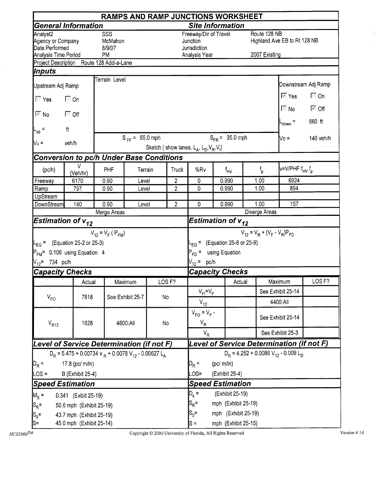|                                                                         | <b>RAMPS AND RAMP JUNCTIONS WORKSHEET</b>                                                           |                                                                                                               |                     |    |                   |                                                                    |                 |                     |                                        |                                           |                                       |  |  |
|-------------------------------------------------------------------------|-----------------------------------------------------------------------------------------------------|---------------------------------------------------------------------------------------------------------------|---------------------|----|-------------------|--------------------------------------------------------------------|-----------------|---------------------|----------------------------------------|-------------------------------------------|---------------------------------------|--|--|
|                                                                         | <b>General Information</b>                                                                          |                                                                                                               |                     |    |                   | <b>Site Information</b>                                            |                 |                     |                                        |                                           |                                       |  |  |
| Analyst2<br>Agency or Company<br>Date Performed<br>Analysis Time Period |                                                                                                     | SSS<br>McMahon<br>8/9/07<br><b>PM</b>                                                                         |                     |    |                   | Freeway/Dir of Travel<br>Junction<br>Jurisdiction<br>Analysis Year |                 |                     | Route 128 NB<br>2007 Existing          | Highland Ave EB to Rt 128 NB              |                                       |  |  |
|                                                                         | Project Description Route 128 Add-a-Lane                                                            |                                                                                                               |                     |    |                   |                                                                    |                 |                     |                                        |                                           |                                       |  |  |
| Inputs                                                                  |                                                                                                     |                                                                                                               |                     |    |                   |                                                                    |                 |                     |                                        |                                           |                                       |  |  |
| Upstream Adj Ramp                                                       |                                                                                                     | Terrain Level                                                                                                 |                     |    |                   |                                                                    |                 |                     |                                        |                                           | Downstream Adj Ramp                   |  |  |
| $\overline{\mathbb{F}}$ Yes                                             | <b>■</b> On                                                                                         |                                                                                                               |                     |    |                   |                                                                    |                 |                     |                                        | $\overline{\mathbb{M}}$ Yes               | $\Box$ On                             |  |  |
| $\sqrt{6}$ No                                                           | ি Off                                                                                               |                                                                                                               |                     |    |                   |                                                                    |                 |                     |                                        | $\sqrt{N}$ No<br>$t_{down}$ =             | $\overline{\mathbb{M}}$ Off<br>560 ft |  |  |
| L <sub>up</sub> =                                                       | $\mathsf{ft}$                                                                                       |                                                                                                               |                     |    |                   |                                                                    |                 |                     |                                        |                                           |                                       |  |  |
| $Vu$ =                                                                  | veh/h                                                                                               |                                                                                                               | $S_{FF} = 55.0$ mph |    |                   | Sketch (show lanes, $L_A$ , $L_D$ , $V_R$ , $V_f$ )                |                 | $S_{FR} = 35.0$ mph |                                        | Nd =                                      | 140 veh/h                             |  |  |
|                                                                         |                                                                                                     |                                                                                                               |                     |    |                   |                                                                    |                 |                     |                                        |                                           |                                       |  |  |
| (pc/h)                                                                  | v<br>(Veh/hr)                                                                                       | <b>Conversion to pc/h Under Base Conditions</b><br>PHF<br>Terrain<br>Truck<br>$\overline{2}$<br>0.90<br>Level |                     |    | %Rv               |                                                                    | $f_{\text{HV}}$ | $f_{\rm p}$         | v=V/PHF f <sub>HV</sub> f <sub>p</sub> |                                           |                                       |  |  |
| Freeway                                                                 | 6170                                                                                                |                                                                                                               |                     |    |                   | 0                                                                  |                 | 0.990               | 1.00                                   | 6924                                      |                                       |  |  |
| Ramp                                                                    | 797                                                                                                 | 0.90                                                                                                          | Level               |    | $\overline{2}$    | 0                                                                  |                 | 0.990               | 1.00                                   | 894                                       |                                       |  |  |
| UpStream<br>DownStream                                                  | 140                                                                                                 | 0.90                                                                                                          | Level               |    | $\overline{2}$    | $\mathbf{0}$                                                       |                 | 0.990               | 1.00                                   | 157                                       |                                       |  |  |
|                                                                         |                                                                                                     | Merge Areas                                                                                                   |                     |    |                   |                                                                    |                 |                     | Diverge Areas                          |                                           |                                       |  |  |
|                                                                         | <b>Estimation of <math>v_{12}</math></b>                                                            |                                                                                                               |                     |    |                   | Estimation of $v_{12}$                                             |                 |                     |                                        |                                           |                                       |  |  |
|                                                                         |                                                                                                     | $V_{12} = V_F (P_{FM})$                                                                                       |                     |    |                   |                                                                    |                 |                     |                                        | $V_{12} = V_R + (V_F - V_R)P_{FD}$        |                                       |  |  |
|                                                                         | $L_{\text{EO}} =$ (Equation 25-2 or 25-3)                                                           |                                                                                                               |                     |    |                   | $L_{EQ}$ = (Equation 25-8 or 25-9)                                 |                 |                     |                                        |                                           |                                       |  |  |
|                                                                         | $P_{FM}$ = 0.106 using Equation 4                                                                   |                                                                                                               |                     |    |                   | $P_{FD}$ =                                                         |                 | using Equation      |                                        |                                           |                                       |  |  |
| $V_{12}$ = 734 pc/h                                                     |                                                                                                     |                                                                                                               |                     |    |                   | $V_{12} = pc/h$                                                    |                 |                     |                                        |                                           |                                       |  |  |
|                                                                         | <b>Capacity Checks</b>                                                                              |                                                                                                               |                     |    |                   | <b>Capacity Checks</b>                                             |                 |                     |                                        |                                           |                                       |  |  |
|                                                                         | Actual                                                                                              |                                                                                                               | Maximum             |    | LOS <sub>F?</sub> |                                                                    |                 | Actual              |                                        | Maximum                                   | LOS <sub>F?</sub>                     |  |  |
|                                                                         |                                                                                                     |                                                                                                               |                     |    |                   | $V_{F1} = V_F$                                                     |                 |                     |                                        | See Exhibit 25-14                         |                                       |  |  |
| $V_{FO}$                                                                | 7818                                                                                                |                                                                                                               | See Exhibit 25-7    | No |                   |                                                                    |                 |                     |                                        | 4400:All                                  |                                       |  |  |
|                                                                         |                                                                                                     |                                                                                                               |                     |    |                   | $V_{12}$<br>$V_{FO} = V_F -$                                       |                 |                     |                                        | See Exhibit 25-14                         |                                       |  |  |
| $V_{R12}$                                                               | 1628                                                                                                |                                                                                                               | 4600:All            | No |                   | $V_R$<br>$V_R$                                                     |                 |                     |                                        | See Exhibit 25-3                          |                                       |  |  |
|                                                                         | Level of Service Determination (if not F)                                                           |                                                                                                               |                     |    |                   |                                                                    |                 |                     |                                        | Level of Service Determination (if not F) |                                       |  |  |
|                                                                         |                                                                                                     |                                                                                                               |                     |    |                   |                                                                    |                 |                     |                                        | $D_R = 4.252 + 0.0086 V_{12} - 0.009 L_D$ |                                       |  |  |
| $D_R =$                                                                 | $D_R$ = 5.475 + 0.00734 v $_R$ + 0.0078 V <sub>12</sub> - 0.00627 L <sub>A</sub><br>17.8 (pc/ m/ln) |                                                                                                               |                     |    |                   |                                                                    |                 | (pc/m/ln)           |                                        |                                           |                                       |  |  |
| $\textsf{LOS} =$                                                        | <b>B</b> (Exhibit 25-4)                                                                             |                                                                                                               |                     |    |                   |                                                                    |                 | (Exhibit 25-4)      |                                        |                                           |                                       |  |  |
|                                                                         | <b>Speed Estimation</b>                                                                             |                                                                                                               |                     |    |                   | LOS=<br><b>Speed Estimation</b>                                    |                 |                     |                                        |                                           |                                       |  |  |
| $M_S =$                                                                 | 0.341 (Exibit 25-19)                                                                                |                                                                                                               |                     |    |                   | $D_{s} =$                                                          |                 | (Exhibit 25-19)     |                                        |                                           |                                       |  |  |
| $ S_R =$                                                                | 50.6 mph (Exhibit 25-19)                                                                            |                                                                                                               |                     |    |                   | $S_{\mathsf{R}}$ =                                                 |                 | mph (Exhibit 25-19) |                                        |                                           |                                       |  |  |
| $ S_0$ =                                                                | 43.7 mph (Exhibit 25-19)                                                                            |                                                                                                               |                     |    |                   | $S_0 =$                                                            |                 | mph (Exhibit 25-19) |                                        |                                           |                                       |  |  |
| ls=                                                                     | 45.0 mph (Exhibit 25-14)                                                                            |                                                                                                               |                     |    |                   | $s =$                                                              |                 | mph (Exhibit 25-15) |                                        |                                           |                                       |  |  |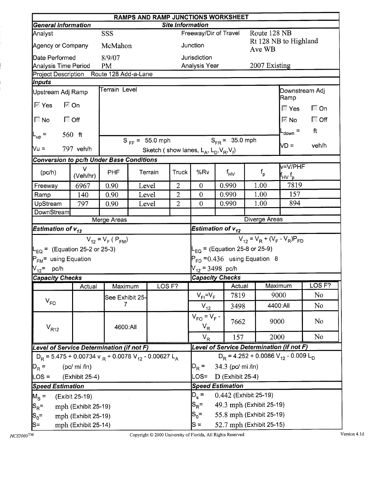|                                                                                  | RAMPS AND RAMP JUNCTIONS WORKSHEET<br><b>Site Information</b> |                                                                                                                        |  |                     |                |                                                     |       |                       |                                                                                        |                                           |                   |  |  |
|----------------------------------------------------------------------------------|---------------------------------------------------------------|------------------------------------------------------------------------------------------------------------------------|--|---------------------|----------------|-----------------------------------------------------|-------|-----------------------|----------------------------------------------------------------------------------------|-------------------------------------------|-------------------|--|--|
| <b>General Information</b>                                                       |                                                               |                                                                                                                        |  |                     |                |                                                     |       |                       |                                                                                        |                                           |                   |  |  |
| Analyst                                                                          |                                                               | SSS                                                                                                                    |  |                     |                | Freeway/Dir of Travel                               |       |                       | Route 128 NB                                                                           |                                           |                   |  |  |
| Agency or Company                                                                |                                                               | McMahon                                                                                                                |  |                     |                | Junction                                            |       |                       | Ave WB                                                                                 | Rt 128 NB to Highland                     |                   |  |  |
| Date Performed                                                                   |                                                               | 8/9/07                                                                                                                 |  |                     |                | Jurisdiction                                        |       |                       |                                                                                        |                                           |                   |  |  |
| Analysis Time Period                                                             |                                                               | <b>PM</b>                                                                                                              |  |                     |                | Analysis Year                                       |       |                       | 2007 Existing                                                                          |                                           |                   |  |  |
| Project Description Route 128 Add-a-Lane<br>Inputs                               |                                                               |                                                                                                                        |  |                     |                |                                                     |       |                       |                                                                                        |                                           |                   |  |  |
| Upstream Adj Ramp                                                                |                                                               | Terrain Level                                                                                                          |  |                     |                |                                                     |       |                       |                                                                                        | Downstream Adj                            |                   |  |  |
| $\mathbb{F}$ Yes                                                                 | ।⊠ On                                                         |                                                                                                                        |  |                     |                |                                                     |       |                       |                                                                                        | Ramp                                      |                   |  |  |
|                                                                                  |                                                               |                                                                                                                        |  |                     |                |                                                     |       |                       |                                                                                        | ि Yes                                     | $\Box$ On         |  |  |
| $\Box$ No<br>ि Off                                                               |                                                               |                                                                                                                        |  |                     |                |                                                     |       |                       |                                                                                        | $\mathbb{R}$ No                           | $\Box$ Off        |  |  |
| $L_{up}$ =                                                                       | $560$ ft                                                      |                                                                                                                        |  |                     |                |                                                     |       |                       |                                                                                        | -down $=$                                 | ft                |  |  |
| <b>Mu =</b>                                                                      | 797 veh/h                                                     |                                                                                                                        |  | $S_{FF} = 55.0$ mph |                |                                                     |       | $S_{FR} = 35.0$ mph   |                                                                                        | $VD =$                                    | veh/h             |  |  |
|                                                                                  |                                                               |                                                                                                                        |  |                     |                | Sketch (show lanes, $L_A$ , $L_D$ , $V_R$ , $V_f$ ) |       |                       |                                                                                        |                                           |                   |  |  |
|                                                                                  |                                                               |                                                                                                                        |  |                     |                |                                                     |       |                       |                                                                                        | $V=V/PHF$                                 |                   |  |  |
| (pc/h)                                                                           | $\vee$<br>(Veh/hr)                                            | Conversion to pc/h Under Base Conditions<br><b>PHF</b><br>Terrain<br>Truck<br>$\overline{2}$<br>0.90<br>Level<br>Level |  |                     | %Rv            | $f_{HV}$                                            |       | $f_{\sf p}$           | $\boldsymbol{\mathsf{f}}_{\mathsf{H}\mathsf{V}}\,\boldsymbol{\mathsf{f}}_{\mathsf{p}}$ |                                           |                   |  |  |
| Freeway                                                                          | 6967                                                          |                                                                                                                        |  |                     |                | $\overline{0}$                                      | 0.990 |                       | 1.00                                                                                   | 7819                                      |                   |  |  |
| Ramp                                                                             | 140                                                           | 0.90                                                                                                                   |  |                     | $\overline{2}$ | $\mathbf{0}$                                        | 0.990 |                       | 1.00                                                                                   | 157                                       |                   |  |  |
| UpStream                                                                         | 797                                                           | 0.90                                                                                                                   |  | Level               | $\overline{2}$ | $\mathbf{0}$                                        | 0.990 |                       | 1.00                                                                                   | 894                                       |                   |  |  |
| DownStream                                                                       |                                                               | Merge Areas                                                                                                            |  |                     |                |                                                     |       |                       | Diverge Areas                                                                          |                                           |                   |  |  |
| Estimation of $v_{12}$                                                           |                                                               |                                                                                                                        |  |                     |                | Estimation of $v_{12}$                              |       |                       |                                                                                        |                                           |                   |  |  |
|                                                                                  |                                                               |                                                                                                                        |  |                     |                |                                                     |       |                       |                                                                                        | $V_{12} = V_R + (V_F - V_R)P_{FD}$        |                   |  |  |
|                                                                                  |                                                               | $V_{12} = V_F (P_{FM})$                                                                                                |  |                     |                |                                                     |       |                       |                                                                                        |                                           |                   |  |  |
| $L_{EQ}$ = (Equation 25-2 or 25-3)                                               |                                                               |                                                                                                                        |  |                     |                | $L_{EQ}$ = (Equation 25-8 or 25-9)                  |       |                       |                                                                                        |                                           |                   |  |  |
| P <sub>FM</sub> = using Equation                                                 |                                                               |                                                                                                                        |  |                     |                |                                                     |       |                       | $P_{FD} = 0.436$ using Equation 8                                                      |                                           |                   |  |  |
| $\rm V_{12}^{\phantom{1}}$ pc/h                                                  |                                                               |                                                                                                                        |  |                     |                | $V_{12}$ = 3498 pc/h                                |       |                       |                                                                                        |                                           |                   |  |  |
| <b>Capacity Checks</b>                                                           | Actual                                                        | Maximum                                                                                                                |  | LOS <sub>F?</sub>   |                | <b>Capacity Checks</b>                              |       | <b>Actual</b>         | Maximum                                                                                |                                           | LOS <sub>F?</sub> |  |  |
|                                                                                  |                                                               |                                                                                                                        |  |                     |                | $V_{FI} = V_F$                                      |       | 7819                  | 9000                                                                                   |                                           | N <sub>o</sub>    |  |  |
| $V_{FO}$                                                                         |                                                               | See Exhibit 25-<br>7                                                                                                   |  |                     |                | $V_{12}$                                            |       | 3498                  |                                                                                        | 4400:All                                  | N <sub>o</sub>    |  |  |
|                                                                                  |                                                               |                                                                                                                        |  |                     |                | $V_{FO} = V_F -$                                    |       | 7662                  | 9000                                                                                   |                                           | N <sub>o</sub>    |  |  |
| $V_{R12}$                                                                        |                                                               | 4600:All                                                                                                               |  |                     |                | $V_R$                                               |       |                       |                                                                                        |                                           |                   |  |  |
|                                                                                  |                                                               |                                                                                                                        |  |                     |                | $V_R$                                               |       | 157                   | 2000                                                                                   |                                           | N <sub>o</sub>    |  |  |
| Level of Service Determination (if not F)                                        |                                                               |                                                                                                                        |  |                     |                |                                                     |       |                       |                                                                                        | Level of Service Determination (if not F) |                   |  |  |
| $D_R = 5.475 + 0.00734$ v $_R + 0.0078$ V <sub>12</sub> - 0.00627 L <sub>A</sub> |                                                               |                                                                                                                        |  |                     |                |                                                     |       |                       |                                                                                        | $D_R = 4.252 + 0.0086 V_{12} - 0.009 L_D$ |                   |  |  |
| $D_R =$                                                                          | (pc/mi / ln)                                                  |                                                                                                                        |  |                     |                | $D_R =$                                             |       | 34.3 (pc/ mi /ln)     |                                                                                        |                                           |                   |  |  |
| $LOS =$                                                                          | (Exhibit 25-4)                                                |                                                                                                                        |  |                     |                | LOS=                                                |       | $D$ (Exhibit 25-4)    |                                                                                        |                                           |                   |  |  |
| <b>Speed Estimation</b>                                                          |                                                               |                                                                                                                        |  |                     |                | <b>Speed Estimation</b>                             |       |                       |                                                                                        |                                           |                   |  |  |
| $M_S =$                                                                          | (Exibit 25-19)                                                |                                                                                                                        |  |                     |                | $D_s =$                                             |       | 0.442 (Exhibit 25-19) |                                                                                        |                                           |                   |  |  |
| $ {\mathsf S}_{\mathsf R}\texttt{=}$                                             | mph (Exhibit 25-19)                                           |                                                                                                                        |  |                     |                | $S_{\mathsf{R}}^{\vphantom{1}}$                     |       |                       | 49.3 mph (Exhibit 25-19)                                                               |                                           |                   |  |  |
| $ S_0=$                                                                          | mph (Exhibit 25-19)                                           |                                                                                                                        |  |                     |                | $S_0 =$                                             |       |                       | 55.8 mph (Exhibit 25-19)                                                               |                                           |                   |  |  |
| $ S=$                                                                            | mph (Exhibit 25-14)                                           |                                                                                                                        |  |                     |                | $s =$                                               |       |                       | 52.7 mph (Exhibit 25-15)                                                               |                                           |                   |  |  |

i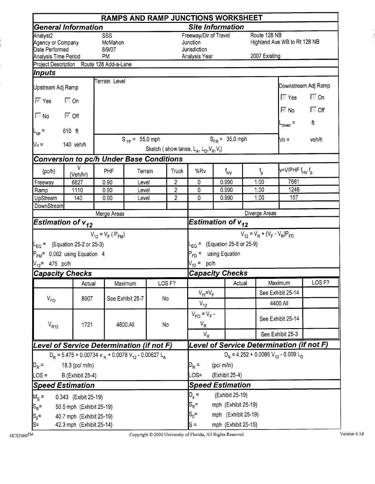|                                                                                     |                                                                                          |                                                                                           |                                                     |                 |                     | <b>RAMPS AND RAMP JUNCTIONS WORKSHEET</b>                          |                 |                     |                                        |                                                                    |                         |
|-------------------------------------------------------------------------------------|------------------------------------------------------------------------------------------|-------------------------------------------------------------------------------------------|-----------------------------------------------------|-----------------|---------------------|--------------------------------------------------------------------|-----------------|---------------------|----------------------------------------|--------------------------------------------------------------------|-------------------------|
|                                                                                     | <b>General Information</b>                                                               |                                                                                           |                                                     |                 |                     | <b>Site Information</b>                                            |                 |                     |                                        |                                                                    |                         |
| Analyst <sub>2</sub><br>Agency or Company<br>Date Performed<br>Analysis Time Period |                                                                                          | SSS<br>McMahon<br>8/9/07<br>PM                                                            |                                                     |                 |                     | Freeway/Dir of Travel<br>Junction<br>Jurisdiction<br>Analysis Year |                 |                     | Route 128 NB<br>2007 Existing          | Highland Ave WB to Rt 128 NB                                       |                         |
|                                                                                     | Project Description Route 128 Add-a-Lane                                                 |                                                                                           |                                                     |                 |                     |                                                                    |                 |                     |                                        |                                                                    |                         |
| Inputs                                                                              |                                                                                          |                                                                                           |                                                     |                 |                     |                                                                    |                 |                     |                                        |                                                                    |                         |
| Upstream Adj Ramp                                                                   |                                                                                          | Terrain Level                                                                             |                                                     |                 |                     |                                                                    |                 |                     |                                        |                                                                    | Downstream Adj Ramp     |
| । ि Yes                                                                             | 下 On                                                                                     |                                                                                           |                                                     |                 |                     |                                                                    |                 |                     |                                        | $\Gamma$ Yes<br>$\overline{\mathbb{M}}$ No $\overline{\mathbb{M}}$ | $\Box$ On<br>$\Box$ Off |
| $\overline{\mathbb{R}}$ No                                                          | <i>ि</i> Off                                                                             |                                                                                           |                                                     |                 |                     |                                                                    |                 |                     |                                        | $L_{\text{down}}$ =                                                | ft                      |
| $L_{up}$ =                                                                          | 610 ft                                                                                   |                                                                                           | $S_{FF} = 55.0$ mph                                 |                 |                     |                                                                    |                 |                     |                                        |                                                                    |                         |
| $V_u =$                                                                             | 140 veh/h                                                                                |                                                                                           | Sketch (show lanes, $L_A$ , $L_D$ , $V_R$ , $V_f$ ) |                 | $S_{FR} = 35.0$ mph |                                                                    | $\mathsf{VD} =$ | veh/h               |                                        |                                                                    |                         |
|                                                                                     |                                                                                          |                                                                                           |                                                     |                 |                     |                                                                    |                 |                     |                                        |                                                                    |                         |
| (pc/h)                                                                              | v<br>(Veh/hr)                                                                            | Conversion to pc/h Under Base Conditions<br>PHF<br>Terrain<br>Truck<br>2<br>0.90<br>Level |                                                     |                 | %Rv                 |                                                                    | $f_{\text{HV}}$ | $f_{o}$             | v=V/PHF f <sub>HV</sub> f <sub>p</sub> |                                                                    |                         |
| Freeway                                                                             | 6827                                                                                     |                                                                                           |                                                     |                 |                     | 0                                                                  |                 | 0.990               | 1.00                                   | 7661                                                               |                         |
| Ramp                                                                                | 1110                                                                                     | 0.90                                                                                      | Level                                               |                 | $\overline{2}$      | 0                                                                  |                 | 0.990               | 1.00                                   | 1246                                                               |                         |
| UpStream                                                                            | 140                                                                                      | 0.90                                                                                      | Level                                               |                 | $\overline{2}$      | 0                                                                  |                 | 0.990               | 1.00                                   | 157                                                                |                         |
| <b>DownStream</b>                                                                   |                                                                                          | Merge Areas                                                                               |                                                     |                 |                     |                                                                    |                 |                     | Diverge Areas                          |                                                                    |                         |
|                                                                                     | <b>Estimation of <math>v_{12}</math></b>                                                 |                                                                                           |                                                     |                 |                     | Estimation of $v_{12}$                                             |                 |                     |                                        |                                                                    |                         |
|                                                                                     |                                                                                          | $V_{12} = V_F (P_{FM})$                                                                   |                                                     |                 |                     |                                                                    |                 |                     | $V_{12} = V_R + (V_F - V_R)P_{FD}$     |                                                                    |                         |
|                                                                                     | $L_{FO}$ = (Equation 25-2 or 25-3)                                                       |                                                                                           |                                                     |                 |                     | $L_{EQ}$ = (Equation 25-8 or 25-9)                                 |                 |                     |                                        |                                                                    |                         |
|                                                                                     | $P_{FM}$ = 0.062 using Equation 4                                                        |                                                                                           |                                                     |                 |                     | $P_{FD}$ = using Equation                                          |                 |                     |                                        |                                                                    |                         |
| $V_{12}$ = 475 pc/h                                                                 |                                                                                          |                                                                                           |                                                     |                 |                     | $V_{12}$ = pc/h                                                    |                 |                     |                                        |                                                                    |                         |
| <b>Capacity Checks</b>                                                              |                                                                                          |                                                                                           |                                                     |                 |                     | <b>Capacity Checks</b>                                             |                 |                     |                                        |                                                                    |                         |
|                                                                                     | Actual                                                                                   |                                                                                           | Maximum                                             |                 | LOS <sub>F?</sub>   |                                                                    |                 | Actual              |                                        | Maximum                                                            | LOS <sub>F?</sub>       |
|                                                                                     |                                                                                          |                                                                                           |                                                     |                 |                     | $V_{FI} = V_F$                                                     |                 |                     |                                        | See Exhibit 25-14                                                  |                         |
| $V_{FO}$                                                                            | 8907                                                                                     |                                                                                           | See Exhibit 25-7                                    | No              |                     | $V_{12}$                                                           |                 |                     |                                        | 4400:All                                                           |                         |
| $V_{R12}$                                                                           | 1721                                                                                     |                                                                                           | 4600:All                                            | No              |                     | $V_{FO} = V_F -$<br>$V_R$                                          |                 |                     |                                        | See Exhibit 25-14                                                  |                         |
|                                                                                     |                                                                                          |                                                                                           |                                                     |                 |                     | $V_R$                                                              |                 |                     |                                        | See Exhibit 25-3                                                   |                         |
|                                                                                     | Level of Service Determination (if not F)                                                |                                                                                           |                                                     |                 |                     |                                                                    |                 |                     |                                        | Level of Service Determination (if not F)                          |                         |
|                                                                                     | $D_R = 5.475 + 0.00734$ v <sub>R</sub> + 0.0078 V <sub>12</sub> - 0.00627 L <sub>A</sub> |                                                                                           |                                                     |                 |                     |                                                                    |                 |                     |                                        | $D_R = 4.252 + 0.0086 V_{12} - 0.009 L_D$                          |                         |
| $D_R =$                                                                             | 18.3 (pc/ m/ln)                                                                          |                                                                                           |                                                     |                 |                     |                                                                    |                 | (pc/m/ln)           |                                        |                                                                    |                         |
| LOS =                                                                               | <b>B</b> (Exhibit 25-4)                                                                  |                                                                                           |                                                     | $\textsf{OS} =$ |                     | (Exhibit 25-4)                                                     |                 |                     |                                        |                                                                    |                         |
|                                                                                     | <b>Speed Estimation</b>                                                                  |                                                                                           |                                                     |                 |                     | <b>Speed Estimation</b>                                            |                 |                     |                                        |                                                                    |                         |
| $M_S =$                                                                             | 0.343 (Exibit 25-19)                                                                     |                                                                                           |                                                     |                 |                     | $D_{s}$ =                                                          |                 | (Exhibit 25-19)     |                                        |                                                                    |                         |
| $ S_R =$                                                                            | 50.5 mph (Exhibit 25-19)                                                                 |                                                                                           |                                                     |                 |                     | $ S_R =$                                                           |                 | mph (Exhibit 25-19) |                                        |                                                                    |                         |
| $S_0 =$                                                                             | 40.7 mph (Exhibit 25-19)                                                                 |                                                                                           |                                                     |                 |                     | $S_0 =$                                                            |                 | mph (Exhibit 25-19) |                                        |                                                                    |                         |
| ls=                                                                                 | 42.3 mph (Exhibit 25-14)                                                                 |                                                                                           |                                                     |                 |                     | lS =                                                               |                 | mph (Exhibit 25-15) |                                        |                                                                    |                         |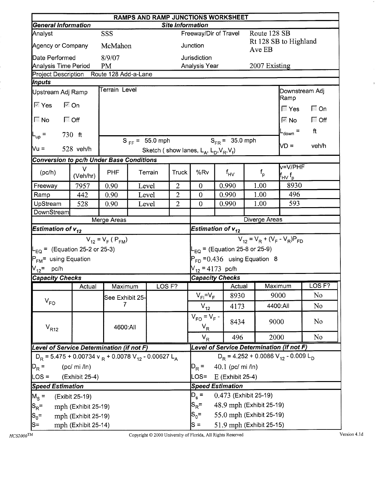|                                                 | RAMPS AND RAMP JUNCTIONS WORKSHEET<br><b>General Information</b><br><b>Site Information</b> |                         |  |                     |                |                                                              |                                  |                 |               |                                                                          |                   |  |  |
|-------------------------------------------------|---------------------------------------------------------------------------------------------|-------------------------|--|---------------------|----------------|--------------------------------------------------------------|----------------------------------|-----------------|---------------|--------------------------------------------------------------------------|-------------------|--|--|
|                                                 |                                                                                             |                         |  |                     |                |                                                              |                                  |                 |               |                                                                          |                   |  |  |
| Analyst                                         |                                                                                             | SSS                     |  |                     |                | Freeway/Dir of Travel                                        |                                  |                 | Route 128 SB  |                                                                          |                   |  |  |
| Agency or Company                               |                                                                                             | McMahon                 |  |                     |                | Junction                                                     |                                  |                 | Ave EB        | Rt 128 SB to Highland                                                    |                   |  |  |
| Date Performed                                  |                                                                                             | 8/9/07                  |  |                     |                | Jurisdiction                                                 |                                  |                 |               |                                                                          |                   |  |  |
| <b>Analysis Time Period</b>                     |                                                                                             | <b>PM</b>               |  |                     |                | Analysis Year                                                |                                  |                 | 2007 Existing |                                                                          |                   |  |  |
| Project Description Route 128 Add-a-Lane        |                                                                                             |                         |  |                     |                |                                                              |                                  |                 |               |                                                                          |                   |  |  |
| Inputs                                          |                                                                                             | Terrain Level           |  |                     |                |                                                              |                                  |                 |               |                                                                          |                   |  |  |
| Upstream Adj Ramp<br>∣⊠ Yes                     | l <sup>⊠</sup> On                                                                           |                         |  |                     |                |                                                              |                                  |                 |               | Downstream Adj<br>Ramp                                                   |                   |  |  |
|                                                 |                                                                                             |                         |  |                     |                |                                                              |                                  |                 |               | ि Yes                                                                    | $\Box$ On         |  |  |
| ि Off                                           |                                                                                             |                         |  |                     |                |                                                              |                                  |                 |               | $\mathbb{R}$ No                                                          | $\Box$ Off        |  |  |
| $ L_{up} $ =                                    | $730$ ft                                                                                    |                         |  |                     |                |                                                              |                                  |                 |               | L <sub>down</sub> =                                                      | ft                |  |  |
|                                                 |                                                                                             |                         |  | $S_{FF} = 55.0$ mph |                |                                                              | $S_{FR} = 35.0$ mph              |                 |               | $VD =$                                                                   | veh/h             |  |  |
| <b>Mu =</b>                                     | 528 veh/h                                                                                   |                         |  |                     |                | Sketch (show lanes, $L_A$ , $L_D$ , $V_R$ , $V_f$ )          |                                  |                 |               |                                                                          |                   |  |  |
| <b>Conversion to pc/h Under Base Conditions</b> |                                                                                             |                         |  |                     |                |                                                              |                                  |                 |               |                                                                          |                   |  |  |
| (pc/h)                                          | V<br>(Veh/hr)                                                                               | PHF                     |  | Terrain             | <b>Truck</b>   | %Rv                                                          | $f_{HV}$                         |                 | $f_{\sf p}$   | v=V/PHF<br>$\mathsf{f}_{\mathsf{H}\mathsf{V}}\, \mathsf{f}_{\mathsf{p}}$ |                   |  |  |
| Freeway                                         | 7957                                                                                        | 0.90                    |  | Level               | $\overline{2}$ | $\mathbf{0}$                                                 | 0.990                            |                 | 1.00          | 8930                                                                     |                   |  |  |
| Ramp                                            | 442                                                                                         | 0.90                    |  | Level               | $\mathbf{2}$   | $\boldsymbol{0}$                                             | 0.990<br>1.00                    |                 |               | 496                                                                      |                   |  |  |
| UpStream                                        | 528                                                                                         | 0.90                    |  | Level               | $\overline{2}$ | $\overline{0}$                                               | 0.990                            |                 | 1.00          | 593                                                                      |                   |  |  |
| DownStream                                      |                                                                                             |                         |  |                     |                |                                                              |                                  |                 |               |                                                                          |                   |  |  |
|                                                 |                                                                                             | Merge Areas             |  |                     |                |                                                              |                                  |                 | Diverge Areas |                                                                          |                   |  |  |
| <b>Estimation of <math>v_{12}</math></b>        |                                                                                             |                         |  |                     |                | Estimation of $v_{12}$<br>$V_{12} = V_R + (V_F - V_R)P_{FD}$ |                                  |                 |               |                                                                          |                   |  |  |
|                                                 |                                                                                             | $V_{12} = V_F (P_{FM})$ |  |                     |                |                                                              |                                  |                 |               |                                                                          |                   |  |  |
| $L_{\text{EQ}}$ = (Equation 25-2 or 25-3)       |                                                                                             |                         |  |                     |                | $L_{\text{EQ}}$ = (Equation 25-8 or 25-9)                    |                                  |                 |               |                                                                          |                   |  |  |
| $P_{FM}$ = using Equation                       |                                                                                             |                         |  |                     |                | $P_{FD} = 0.436$ using Equation 8                            |                                  |                 |               |                                                                          |                   |  |  |
| $V_{12}$ = pc/h                                 |                                                                                             |                         |  |                     |                | $V_{12}$ = 4173 pc/h                                         |                                  |                 |               |                                                                          |                   |  |  |
| <b>Capacity Checks</b>                          |                                                                                             |                         |  |                     |                | <b>Capacity Checks</b>                                       |                                  |                 |               |                                                                          |                   |  |  |
|                                                 | Actual                                                                                      | Maximum                 |  | LOS <sub>F?</sub>   |                |                                                              |                                  | <b>I</b> Actual | Maximum       |                                                                          | LOS <sub>F?</sub> |  |  |
|                                                 |                                                                                             | See Exhibit 25-         |  |                     |                | $V_{FI} = V_F$                                               |                                  | 8930            | 9000          |                                                                          | N <sub>o</sub>    |  |  |
| $V_{FO}$                                        |                                                                                             |                         |  |                     |                | $V_{12}$                                                     |                                  | 4173            |               | 4400:All                                                                 | N <sub>o</sub>    |  |  |
| $V_{R12}$                                       |                                                                                             | 4600:All                |  |                     |                | $V_{FO} = V_F -$<br>$V_R$                                    |                                  | 8434            | 9000          |                                                                          | N <sub>o</sub>    |  |  |
|                                                 |                                                                                             |                         |  |                     |                | $V_R$                                                        |                                  | 496             | 2000          |                                                                          | N <sub>o</sub>    |  |  |
| Level of Service Determination (if not F)       |                                                                                             |                         |  |                     |                |                                                              |                                  |                 |               | Level of Service Determination (if not F)                                |                   |  |  |
|                                                 | $D_R$ = 5.475 + 0.00734 v $_R$ + 0.0078 V <sub>12</sub> - 0.00627 L <sub>A</sub>            |                         |  |                     |                |                                                              |                                  |                 |               | $D_R = 4.252 + 0.0086 V_{12} - 0.009 L_D$                                |                   |  |  |
| $D_R =$                                         | $(pc/mi$ /ln)                                                                               |                         |  |                     |                |                                                              | 40.1 (pc/ mi /ln)                |                 |               |                                                                          |                   |  |  |
| LOS =                                           | (Exhibit 25-4)                                                                              |                         |  |                     |                |                                                              | E (Exhibit 25-4)                 |                 |               |                                                                          |                   |  |  |
|                                                 | <b>Speed Estimation</b>                                                                     |                         |  |                     |                |                                                              | LOS=<br><b>Speed Estimation</b>  |                 |               |                                                                          |                   |  |  |
| $M_s =$                                         | (Exibit 25-19)                                                                              |                         |  |                     |                |                                                              | $D_s =$<br>0.473 (Exhibit 25-19) |                 |               |                                                                          |                   |  |  |
| $ S_R =$                                        | mph (Exhibit 25-19)                                                                         |                         |  |                     |                | 48.9 mph (Exhibit 25-19)<br>$\mathsf{S}_{\mathsf{R}}$ =      |                                  |                 |               |                                                                          |                   |  |  |
| $ {\mathsf S}_{\mathsf 0}$ =                    | mph (Exhibit 25-19)                                                                         |                         |  |                     |                |                                                              |                                  |                 |               |                                                                          |                   |  |  |
| $ S=$                                           | mph (Exhibit 25-14)                                                                         |                         |  |                     |                | 55.0 mph (Exhibit 25-19)<br>$S_0 =$<br>$S =$                 |                                  |                 |               |                                                                          |                   |  |  |
|                                                 |                                                                                             |                         |  |                     |                | 51.9 mph (Exhibit 25-15)                                     |                                  |                 |               |                                                                          |                   |  |  |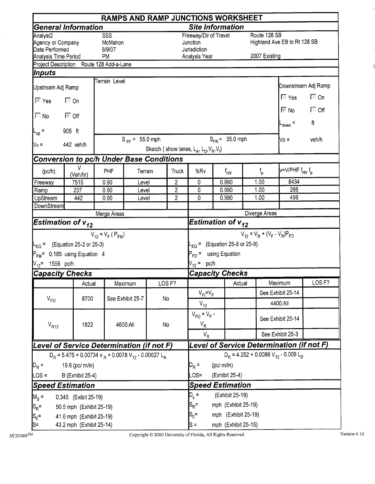|                                                                                                 |                                                                                  |                                       |                     |       |                   | <b>RAMPS AND RAMP JUNCTIONS WORKSHEET</b>                                                 |                        |                     |                               |                                           |                         |  |  |
|-------------------------------------------------------------------------------------------------|----------------------------------------------------------------------------------|---------------------------------------|---------------------|-------|-------------------|-------------------------------------------------------------------------------------------|------------------------|---------------------|-------------------------------|-------------------------------------------|-------------------------|--|--|
|                                                                                                 | <b>General Information</b>                                                       |                                       |                     |       |                   | <b>Site Information</b>                                                                   |                        |                     |                               |                                           |                         |  |  |
| Analyst <sub>2</sub><br>Agency or Company<br>Date Performed<br>Analysis Time Period             |                                                                                  | SSS<br>McMahon<br>8/9/07<br><b>PM</b> |                     |       |                   | Freeway/Dir of Travel<br>Junction<br>Jurisdiction<br>Analysis Year                        |                        |                     | Route 128 SB<br>2007 Existing | Highland Ave EB to Rt 128 SB              |                         |  |  |
| Project Description Route 128 Add-a-Lane                                                        |                                                                                  |                                       |                     |       |                   |                                                                                           |                        |                     |                               |                                           |                         |  |  |
| Inputs                                                                                          |                                                                                  |                                       |                     |       |                   |                                                                                           |                        |                     |                               |                                           |                         |  |  |
| Upstream Adj Ramp                                                                               |                                                                                  | Terrain Level                         |                     |       |                   |                                                                                           |                        |                     |                               |                                           | Downstream Adj Ramp     |  |  |
| $\sqrt{2}$ Yes                                                                                  | <b>।</b> ⊙n                                                                      |                                       |                     |       |                   |                                                                                           |                        |                     |                               | $\sqrt{2}$ Yes<br>$\nabla$ No             | $\Box$ On<br>$\Box$ Off |  |  |
| $\sqrt{N}$ No                                                                                   | ା <sup>ଙ</sup> ଠff                                                               |                                       |                     |       |                   |                                                                                           |                        |                     |                               | $L_{down}$ =                              | ft                      |  |  |
| $L_{\text{up}}$ =                                                                               | 905 ft                                                                           |                                       |                     |       |                   |                                                                                           |                        |                     |                               |                                           |                         |  |  |
| $N_u =$                                                                                         | 442 veh/h                                                                        |                                       | $S_{FF} = 55.0$ mph |       |                   | Sketch (show lanes, $L_A$ , $L_D$ , $V_R$ , $V_f$ )                                       |                        | $S_{FR} = 35.0$ mph |                               | No =                                      | veh/h                   |  |  |
| <b>Conversion to pc/h Under Base Conditions</b>                                                 |                                                                                  |                                       |                     |       |                   |                                                                                           |                        |                     |                               |                                           |                         |  |  |
| (pc/h)                                                                                          | v<br>(Veh/hr)                                                                    | PHF                                   | Terrain             |       | Truck             | %Rv                                                                                       |                        | $f_{\text{HV}}$     | $f_{\rm p}$                   | v=V/PHF f <sub>HV</sub> f <sub>p</sub>    |                         |  |  |
| Freeway                                                                                         | 7515<br>237                                                                      | 0.90<br>0.90                          | Level<br>Level      |       | $\overline{c}$    | 0                                                                                         |                        | 0.990               | 1.00                          | 8434                                      |                         |  |  |
| Ramp                                                                                            | $\overline{2}$                                                                   | 0                                     |                     | 0.990 | 1.00              | 266<br>496                                                                                |                        |                     |                               |                                           |                         |  |  |
| UpStream<br><b>DownStream</b>                                                                   | 442                                                                              | 0.90                                  | Level               |       | $\overline{2}$    | 0                                                                                         |                        | 0.990               | 1.00                          |                                           |                         |  |  |
|                                                                                                 |                                                                                  | Merge Areas                           |                     |       |                   |                                                                                           |                        |                     | Diverge Areas                 |                                           |                         |  |  |
| Estimation of $v_{12}$                                                                          |                                                                                  |                                       |                     |       |                   |                                                                                           | Estimation of $v_{12}$ |                     |                               |                                           |                         |  |  |
|                                                                                                 |                                                                                  | $V_{12} = V_F (P_{FM})$               |                     |       |                   |                                                                                           |                        |                     |                               | $V_{12} = V_R + (V_F - V_R)P_{FD}$        |                         |  |  |
| $L_{EQ}$ = (Equation 25-2 or 25-3)<br>$P_{FM}$ = 0.185 using Equation 4<br>$V_{12}$ = 1556 pc/h |                                                                                  |                                       |                     |       |                   | $L_{EQ}$ = (Equation 25-8 or 25-9)<br>P <sub>FD</sub> = using Equation<br>$V_{12} = pc/h$ |                        |                     |                               |                                           |                         |  |  |
| <b>Capacity Checks</b>                                                                          |                                                                                  |                                       |                     |       |                   | <b>Capacity Checks</b>                                                                    |                        |                     |                               |                                           |                         |  |  |
|                                                                                                 | Actual                                                                           |                                       | Maximum             |       | LOS <sub>F?</sub> |                                                                                           |                        | Actual              |                               | Maximum                                   | LOS <sub>F?</sub>       |  |  |
|                                                                                                 |                                                                                  |                                       |                     |       |                   | $V_{FI} = V_F$                                                                            |                        |                     |                               | See Exhibit 25-14                         |                         |  |  |
| $V_{FO}$                                                                                        | 8700                                                                             |                                       | See Exhibit 25-7    | No    |                   | $V_{12}$                                                                                  |                        |                     |                               | 4400:All                                  |                         |  |  |
| $V_{R12}$                                                                                       | 1822                                                                             |                                       | 4600:All            | No    |                   | $V_{FO} = V_F -$<br>$V_R$                                                                 |                        |                     |                               | See Exhibit 25-14                         |                         |  |  |
|                                                                                                 |                                                                                  |                                       |                     |       |                   | $V_R$                                                                                     |                        |                     |                               | See Exhibit 25-3                          |                         |  |  |
| Level of Service Determination (if not F)                                                       |                                                                                  |                                       |                     |       |                   |                                                                                           |                        |                     |                               | Level of Service Determination (if not F) |                         |  |  |
|                                                                                                 | $D_R$ = 5.475 + 0.00734 v $_R$ + 0.0078 V <sub>12</sub> - 0.00627 L <sub>A</sub> |                                       |                     |       |                   |                                                                                           |                        |                     |                               | $D_R = 4.252 + 0.0086 V_{12} - 0.009 L_D$ |                         |  |  |
| $D_R =$<br>19.6 (pc/ m/ln)                                                                      |                                                                                  | $D_R =$                               | (pc/m/ln)           |       |                   |                                                                                           |                        |                     |                               |                                           |                         |  |  |
| $LOS =$                                                                                         | <b>B</b> (Exhibit 25-4)                                                          |                                       |                     |       | LOS=              |                                                                                           | (Exhibit 25-4)         |                     |                               |                                           |                         |  |  |
| <b>Speed Estimation</b>                                                                         |                                                                                  |                                       |                     |       |                   | <b>Speed Estimation</b>                                                                   |                        |                     |                               |                                           |                         |  |  |
| $M_S =$                                                                                         | 0.345 (Exibit 25-19)                                                             |                                       |                     |       |                   | $D_{s} =$<br>(Exhibit 25-19)                                                              |                        |                     |                               |                                           |                         |  |  |
| $ S_R$ =                                                                                        | 50.5 mph (Exhibit 25-19)                                                         |                                       |                     |       |                   | $S_{R}$ =                                                                                 |                        | mph (Exhibit 25-19) |                               |                                           |                         |  |  |
| $ S_0=$                                                                                         | 41.6 mph (Exhibit 25-19)                                                         |                                       |                     |       |                   | $S_0 =$                                                                                   |                        | mph (Exhibit 25-19) |                               |                                           |                         |  |  |
| S=                                                                                              | 43.2 mph (Exhibit 25-14)                                                         |                                       |                     |       |                   | $S =$                                                                                     |                        | mph (Exhibit 25-15) |                               |                                           |                         |  |  |

 $\ddot{\phantom{0}}$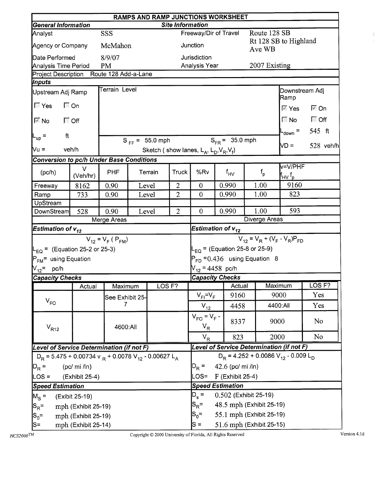|                                                                                  | RAMPS AND RAMP JUNCTIONS WORKSHEET<br><b>General Information</b><br><b>Site Information</b> |                         |                   |                                                                 |                |                                                                          |                        |  |               |                                            |                            |           |  |
|----------------------------------------------------------------------------------|---------------------------------------------------------------------------------------------|-------------------------|-------------------|-----------------------------------------------------------------|----------------|--------------------------------------------------------------------------|------------------------|--|---------------|--------------------------------------------|----------------------------|-----------|--|
|                                                                                  |                                                                                             |                         |                   |                                                                 |                |                                                                          |                        |  |               |                                            |                            |           |  |
| Analyst                                                                          |                                                                                             | SSS                     |                   |                                                                 |                |                                                                          | Freeway/Dir of Travel  |  | Route 128 SB  |                                            |                            |           |  |
| Agency or Company                                                                |                                                                                             | McMahon                 |                   |                                                                 |                | Junction                                                                 |                        |  | Ave WB        | Rt 128 SB to Highland                      |                            |           |  |
| Date Performed                                                                   |                                                                                             | 8/9/07                  |                   |                                                                 |                | Jurisdiction                                                             |                        |  |               |                                            |                            |           |  |
| Analysis Time Period                                                             |                                                                                             | <b>PM</b>               |                   |                                                                 |                | Analysis Year                                                            |                        |  | 2007 Existing |                                            |                            |           |  |
| Project Description Route 128 Add-a-Lane                                         |                                                                                             |                         |                   |                                                                 |                |                                                                          |                        |  |               |                                            |                            |           |  |
| <i><b>Inputs</b></i>                                                             |                                                                                             | Terrain Level           |                   |                                                                 |                |                                                                          |                        |  |               |                                            |                            |           |  |
| Upstream Adj Ramp                                                                |                                                                                             |                         |                   |                                                                 |                |                                                                          |                        |  |               | Downstream Adj<br>Ramp                     |                            |           |  |
|                                                                                  | $\Box$ On                                                                                   |                         |                   |                                                                 |                |                                                                          |                        |  |               | $\overline{\mathbb{M}}$ Yes                | $\overline{\mathbb{M}}$ On |           |  |
| ि Off<br>I⊠ No                                                                   |                                                                                             |                         |                   |                                                                 |                |                                                                          |                        |  |               | $\blacksquare$ No                          | $\Box$ Off                 |           |  |
| ft<br>$L_{up}$ =                                                                 |                                                                                             |                         |                   |                                                                 |                |                                                                          |                        |  |               | L <sub>down</sub> =                        | 545 ft                     |           |  |
|                                                                                  |                                                                                             |                         |                   | $S_{FF} = 55.0$ mph                                             |                |                                                                          | $S_{FR} = 35.0$ mph    |  |               | ND =                                       |                            | 528 veh/h |  |
| $Nu =$                                                                           | veh/h                                                                                       |                         |                   |                                                                 |                | Sketch (show lanes, $L_A$ , $L_D$ , $V_R$ , $V_f$ )                      |                        |  |               |                                            |                            |           |  |
| <b>Conversion to pc/h Under Base Conditions</b>                                  |                                                                                             |                         |                   |                                                                 |                |                                                                          |                        |  |               |                                            |                            |           |  |
| (pc/h)                                                                           | $\vee$<br>(Veh/hr)                                                                          | <b>PHF</b>              |                   | Terrain                                                         | <b>Truck</b>   | %Rv                                                                      | $f_{HV}$               |  | $f_{\sf p}$   | v=V/PHF<br>lf <sub>HV</sub> f <sub>p</sub> |                            |           |  |
| Freeway                                                                          | 8162                                                                                        | 0.90                    |                   | Level                                                           | $\overline{2}$ | $\overline{0}$                                                           | 0.990                  |  | 1.00          | 9160                                       |                            |           |  |
| Ramp                                                                             | 733                                                                                         | 0.90                    |                   | Level                                                           | $\overline{2}$ | $\overline{0}$                                                           | 0.990                  |  | 1.00          | 823                                        |                            |           |  |
| UpStream                                                                         |                                                                                             |                         |                   |                                                                 |                |                                                                          |                        |  |               |                                            |                            |           |  |
| DownStream                                                                       | 528                                                                                         | 0.90                    |                   | Level                                                           | $\overline{2}$ | $\overline{0}$                                                           | 0.990                  |  | 1.00          | 593                                        |                            |           |  |
|                                                                                  |                                                                                             | Merge Areas             |                   |                                                                 |                |                                                                          |                        |  | Diverge Areas |                                            |                            |           |  |
| <b>Estimation of <math>v_{12}</math></b>                                         |                                                                                             |                         |                   |                                                                 |                | Estimation of $v_{12}$                                                   |                        |  |               |                                            |                            |           |  |
|                                                                                  |                                                                                             | $V_{12} = V_F (P_{FM})$ |                   |                                                                 |                | $V_{12} = V_R + (V_F - V_R)P_{FD}$<br>$L_{EQ}$ = (Equation 25-8 or 25-9) |                        |  |               |                                            |                            |           |  |
| $L_{\text{EQ}}$ = (Equation 25-2 or 25-3)                                        |                                                                                             |                         |                   |                                                                 |                |                                                                          |                        |  |               |                                            |                            |           |  |
| P <sub>FM</sub> = using Equation                                                 |                                                                                             |                         |                   |                                                                 |                | $P_{FD} = 0.436$ using Equation 8                                        |                        |  |               |                                            |                            |           |  |
| $V_{12}$ = pc/h                                                                  |                                                                                             |                         |                   |                                                                 |                |                                                                          | $V_{12}$ = 4458 pc/h   |  |               |                                            |                            |           |  |
| <b>Capacity Checks</b>                                                           |                                                                                             |                         |                   |                                                                 |                |                                                                          | <b>Capacity Checks</b> |  |               |                                            |                            |           |  |
|                                                                                  | Actual                                                                                      | Maximum                 |                   | LOS <sub>F?</sub>                                               |                |                                                                          | Actual                 |  |               | Maximum                                    | LOS <sub>F?</sub>          |           |  |
|                                                                                  |                                                                                             | See Exhibit 25-         |                   |                                                                 |                | $V_{FI} = V_F$                                                           | 9160                   |  |               | 9000                                       | Yes                        |           |  |
| $V_{FO}$                                                                         |                                                                                             | 7                       |                   |                                                                 |                | $V_{12}$                                                                 | 4458                   |  |               | 4400:All                                   | Yes                        |           |  |
| $V_{R12}$                                                                        |                                                                                             | 4600:All                |                   |                                                                 |                | $V_{FO} = V_F -$<br>$V_R$                                                | 8337                   |  | 9000          |                                            | N <sub>0</sub>             |           |  |
|                                                                                  |                                                                                             |                         |                   |                                                                 |                | $V_R$                                                                    | 823                    |  | 2000          |                                            | N <sub>o</sub>             |           |  |
| Level of Service Determination (if not F)                                        |                                                                                             |                         |                   |                                                                 |                |                                                                          |                        |  |               | Level of Service Determination (if not F)  |                            |           |  |
| $D_R$ = 5.475 + 0.00734 v $_R$ + 0.0078 V <sub>12</sub> - 0.00627 L <sub>A</sub> |                                                                                             |                         |                   |                                                                 |                | $D_R$ = 4.252 + 0.0086 V <sub>12</sub> - 0.009 L <sub>D</sub>            |                        |  |               |                                            |                            |           |  |
| $ D_R =$                                                                         |                                                                                             | $D_R =$                 | 42.6 (pc/ mi /ln) |                                                                 |                |                                                                          |                        |  |               |                                            |                            |           |  |
| $LOS =$                                                                          | (pc/mi / ln)                                                                                |                         |                   |                                                                 |                |                                                                          |                        |  |               |                                            |                            |           |  |
|                                                                                  | (Exhibit 25-4)                                                                              |                         |                   |                                                                 |                | LOS=<br>$F$ (Exhibit 25-4)<br><b>Speed Estimation</b>                    |                        |  |               |                                            |                            |           |  |
| <b>Speed Estimation</b>                                                          |                                                                                             |                         |                   |                                                                 |                | 0.502 (Exhibit 25-19)                                                    |                        |  |               |                                            |                            |           |  |
| $M_S =$                                                                          | (Exibit 25-19)                                                                              |                         |                   |                                                                 |                | $D_s =$<br>48.5 mph (Exhibit 25-19)                                      |                        |  |               |                                            |                            |           |  |
| $ S_R =$                                                                         | mph (Exhibit 25-19)                                                                         |                         |                   |                                                                 |                | $S_{\mathsf{R}}^{\vphantom{1}}$ =                                        |                        |  |               |                                            |                            |           |  |
| $ S_0=$                                                                          | mph (Exhibit 25-19)                                                                         |                         |                   | $S_0 =$<br>55.1 mph (Exhibit 25-19)<br>51.6 mph (Exhibit 25-15) |                |                                                                          |                        |  |               |                                            |                            |           |  |
| S=                                                                               | mph (Exhibit 25-14)                                                                         |                         |                   |                                                                 |                | $S =$                                                                    |                        |  |               |                                            |                            |           |  |

 $\frac{1}{2}$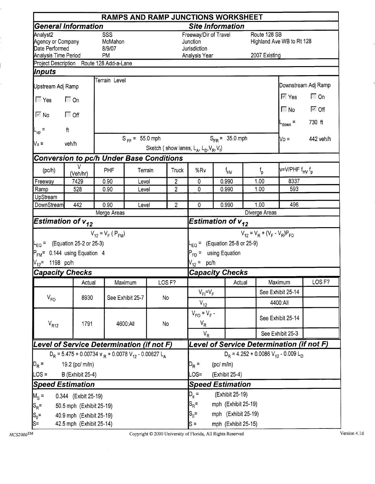|                                                 |                                                                                  |                          |                         |         |                         | RAMPS AND RAMP JUNCTIONS WORKSHEET                             |                                |                     |               |                                           |                                       |  |  |
|-------------------------------------------------|----------------------------------------------------------------------------------|--------------------------|-------------------------|---------|-------------------------|----------------------------------------------------------------|--------------------------------|---------------------|---------------|-------------------------------------------|---------------------------------------|--|--|
|                                                 | General Information                                                              |                          |                         |         |                         | <b>Site Information</b>                                        |                                |                     |               |                                           |                                       |  |  |
| Analyst2<br>Agency or Company<br>Date Performed |                                                                                  | SSS<br>McMahon<br>8/9/07 |                         |         |                         | Freeway/Dir of Travel<br>Junction<br>Jurisdiction              |                                |                     | Route 128 SB  | Highland Ave WB to Rt 128                 |                                       |  |  |
| Analysis Time Period                            | Project Description Route 128 Add-a-Lane                                         | <b>PM</b>                |                         |         |                         | Analysis Year                                                  |                                |                     | 2007 Existing |                                           |                                       |  |  |
| Inputs                                          |                                                                                  |                          |                         |         |                         |                                                                |                                |                     |               |                                           |                                       |  |  |
|                                                 |                                                                                  | Terrain Level            |                         |         |                         |                                                                |                                |                     |               |                                           |                                       |  |  |
| Upstream Adj Ramp                               |                                                                                  |                          |                         |         |                         |                                                                |                                |                     |               |                                           | Downstream Adj Ramp                   |  |  |
| $\sqrt{2}$ Yes                                  | $\Gamma$ On                                                                      |                          |                         |         |                         |                                                                |                                |                     |               | $\overline{\mathbb{M}}$ Yes               | $\Box$ On                             |  |  |
| $\sqrt{\sim} N_0$                               | $\Box$ Off                                                                       |                          |                         |         |                         |                                                                |                                |                     |               | $\Box$ No                                 | $\overline{\mathbb{M}}$ Off<br>730 ft |  |  |
| $L_{up}$ =                                      | ft                                                                               |                          |                         |         |                         |                                                                |                                |                     |               | $t_{\text{down}} =$                       |                                       |  |  |
| Nu =                                            | veh/h                                                                            |                          | $S_{FF} = 55.0$ mph     |         |                         | Sketch (show lanes, $L_A$ , $L_D$ , $V_R$ , $V_f$ )            |                                | $S_{FR} = 35.0$ mph |               | $V_D =$                                   | 442 veh/h                             |  |  |
|                                                 | <b>Conversion to pc/h Under Base Conditions</b>                                  |                          |                         |         |                         |                                                                |                                |                     |               |                                           |                                       |  |  |
| (pc/h)                                          | v<br>(Veh/hr)                                                                    | PHF                      |                         | Terrain | Truck                   | %Rv                                                            |                                | f <sub>HV</sub>     | $f_{\rm p}$   | v=V/PHF f <sub>HV</sub> f <sub>p</sub>    |                                       |  |  |
| Freeway                                         | 7429                                                                             | 0.90                     | Level                   |         | $\overline{\mathbf{c}}$ | 0                                                              |                                | 1.00<br>0.990       |               | 8337                                      |                                       |  |  |
| Ramp                                            | $\overline{\mathbf{c}}$                                                          | 0                        |                         | 0.990   | 1.00                    | 593                                                            |                                |                     |               |                                           |                                       |  |  |
| UpStream                                        |                                                                                  |                          |                         |         |                         |                                                                |                                |                     | 1,00          |                                           |                                       |  |  |
| DownStream                                      | 442                                                                              | 0.90<br>Merge Areas      | Level                   |         | $\overline{2}$          | 0                                                              |                                | 0.990               | 496           |                                           |                                       |  |  |
|                                                 | Estimation of $v_{12}$                                                           |                          |                         |         |                         | Estimation of $v_{12}$                                         |                                |                     | Diverge Areas |                                           |                                       |  |  |
|                                                 |                                                                                  | $V_{12} = V_F (P_{FM})$  |                         |         |                         | $V_{12} = V_R + (V_F - V_R)P_{FD}$                             |                                |                     |               |                                           |                                       |  |  |
|                                                 | $L_{\text{EO}} =$ (Equation 25-2 or 25-3)                                        |                          |                         |         |                         | $E_{\rm CO}$ = (Equation 25-8 or 25-9)                         |                                |                     |               |                                           |                                       |  |  |
|                                                 | $P_{FM}$ = 0.144 using Equation 4                                                |                          |                         |         |                         |                                                                |                                |                     |               |                                           |                                       |  |  |
| $V_{12}$ = 1198 pc/h                            |                                                                                  |                          |                         |         |                         | <sup>2</sup> <sub>FD</sub> = using Equation<br>$V_{12} = pc/h$ |                                |                     |               |                                           |                                       |  |  |
|                                                 | <b>Capacity Checks</b>                                                           |                          |                         |         |                         | <b>Capacity Checks</b>                                         |                                |                     |               |                                           |                                       |  |  |
|                                                 | Actual                                                                           |                          | Maximum                 |         | LOS <sub>F?</sub>       |                                                                |                                | Actual              |               | Maximum                                   | LOS <sub>F?</sub>                     |  |  |
|                                                 |                                                                                  |                          |                         |         |                         | $V_{FI} = V_F$                                                 |                                |                     |               | See Exhibit 25-14                         |                                       |  |  |
| $V_{FO}$                                        | 8930                                                                             |                          | See Exhibit 25-7        | No      |                         |                                                                |                                |                     |               | 4400:All                                  |                                       |  |  |
|                                                 |                                                                                  |                          |                         |         |                         | $V_{12}$<br>$V_{FQ} = V_F -$                                   |                                |                     |               |                                           |                                       |  |  |
| $V_{R12}$                                       | 1791                                                                             |                          | 4600:All                | No      |                         | $V_R$                                                          |                                |                     |               | See Exhibit 25-14                         |                                       |  |  |
|                                                 |                                                                                  |                          |                         |         |                         | $V_R$                                                          |                                |                     |               | See Exhibit 25-3                          |                                       |  |  |
|                                                 | Level of Service Determination (if not F)                                        |                          |                         |         |                         |                                                                |                                |                     |               | Level of Service Determination (if not F) |                                       |  |  |
|                                                 | $D_R$ = 5.475 + 0.00734 v $_R$ + 0.0078 V <sub>12</sub> - 0.00627 L <sub>A</sub> |                          |                         |         |                         |                                                                |                                |                     |               | $D_R = 4.252 + 0.0086 V_{12} - 0.009 L_D$ |                                       |  |  |
| $D_R =$                                         | 19.2 (pc/ m/ln)                                                                  |                          |                         |         |                         |                                                                |                                | (pc/m/ln)           |               |                                           |                                       |  |  |
| $LOS =$                                         | <b>B</b> (Exhibit 25-4)                                                          |                          |                         |         |                         |                                                                |                                | (Exhibit 25-4)      |               |                                           |                                       |  |  |
|                                                 | <b>Speed Estimation</b>                                                          |                          | <b>Speed Estimation</b> |         |                         |                                                                |                                |                     |               |                                           |                                       |  |  |
| $M_{\rm s}$ =                                   | 0.344 (Exibit 25-19)                                                             |                          |                         |         |                         |                                                                | $D_s =$<br>(Exhibit 25-19)     |                     |               |                                           |                                       |  |  |
| $ S_R =$                                        | 50.5 mph (Exhibit 25-19)                                                         |                          |                         |         |                         |                                                                | $S_R =$<br>mph (Exhibit 25-19) |                     |               |                                           |                                       |  |  |
| $S_0 =$                                         | 40.9 mph (Exhibit 25-19)                                                         |                          |                         |         |                         | $S_0 =$<br>mph (Exhibit 25-19)                                 |                                |                     |               |                                           |                                       |  |  |
| ls=                                             | 42.5 mph (Exhibit 25-14)                                                         |                          |                         |         |                         | mph (Exhibit 25-15)<br>$s =$                                   |                                |                     |               |                                           |                                       |  |  |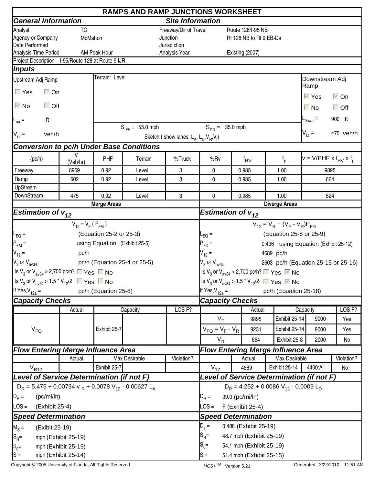|                                                                                                        | <b>RAMPS AND RAMP JUNCTIONS WORKSHEET</b> |                               |                              |                                                     |                                                                                                                                                                                                                                    |          |                          |                                                                                         |                                        |                      |  |  |
|--------------------------------------------------------------------------------------------------------|-------------------------------------------|-------------------------------|------------------------------|-----------------------------------------------------|------------------------------------------------------------------------------------------------------------------------------------------------------------------------------------------------------------------------------------|----------|--------------------------|-----------------------------------------------------------------------------------------|----------------------------------------|----------------------|--|--|
| <b>General Information</b>                                                                             |                                           |                               |                              | <b>Site Information</b>                             |                                                                                                                                                                                                                                    |          |                          |                                                                                         |                                        |                      |  |  |
| Analyst                                                                                                | <b>TC</b>                                 |                               |                              | Freeway/Dir of Travel                               |                                                                                                                                                                                                                                    |          | Route 128/I-95 NB        |                                                                                         |                                        |                      |  |  |
| Agency or Company                                                                                      | McMahon                                   |                               |                              | Junction                                            |                                                                                                                                                                                                                                    |          | Rt 128 NB to Rt 9 EB-Ds  |                                                                                         |                                        |                      |  |  |
| Date Performed                                                                                         |                                           |                               |                              | Jurisdiction                                        |                                                                                                                                                                                                                                    |          |                          |                                                                                         |                                        |                      |  |  |
| Analysis Time Period                                                                                   |                                           | AM Peak Hour                  |                              | Analysis Year                                       |                                                                                                                                                                                                                                    |          | Existing (2007)          |                                                                                         |                                        |                      |  |  |
| Project Description I-95/Route 128 at Route 9 IJR                                                      |                                           |                               |                              |                                                     |                                                                                                                                                                                                                                    |          |                          |                                                                                         |                                        |                      |  |  |
| <i><b>Inputs</b></i>                                                                                   |                                           |                               |                              |                                                     |                                                                                                                                                                                                                                    |          |                          |                                                                                         |                                        |                      |  |  |
| Upstream Adj Ramp                                                                                      |                                           | Terrain: Level                |                              |                                                     |                                                                                                                                                                                                                                    |          |                          |                                                                                         | Downstream Adj<br>Ramp                 |                      |  |  |
| $\Gamma$ Yes<br>$\Box$ On                                                                              |                                           |                               |                              |                                                     |                                                                                                                                                                                                                                    |          |                          |                                                                                         | $\overline{\vee}$ Yes                  | $\overline{\vee}$ On |  |  |
| $\overline{\triangleright}$ No<br>$\Box$ Off                                                           |                                           |                               |                              |                                                     |                                                                                                                                                                                                                                    |          |                          |                                                                                         | $\Box$ No                              | $\Box$ Off           |  |  |
| ft<br>$L_{\text{up}}$ =                                                                                |                                           |                               |                              |                                                     |                                                                                                                                                                                                                                    |          |                          |                                                                                         | $-$ <sub>down</sub> $=$                | 900 ft               |  |  |
| $V_{u} =$<br>veh/h                                                                                     |                                           |                               | $S_{FF} = 55.0$ mph          | Sketch (show lanes, $L_A$ , $L_D$ , $V_B$ , $V_f$ ) | $S_{FR} = 35.0$ mph                                                                                                                                                                                                                |          |                          |                                                                                         | $V_D =$                                | 475 veh/h            |  |  |
| <b>Conversion to pc/h Under Base Conditions</b>                                                        |                                           |                               |                              |                                                     |                                                                                                                                                                                                                                    |          |                          |                                                                                         |                                        |                      |  |  |
| (pc/h)                                                                                                 | V<br>(Veh/hr)                             | PHF                           | Terrain                      | %Truck                                              | %Rv                                                                                                                                                                                                                                |          | $f_{\mathsf{HV}}$        | $f_{p}$                                                                                 | $v = V/PHF \times f_{HV} \times f_{D}$ |                      |  |  |
| Freeway                                                                                                | 8969                                      | 0.92                          | Level                        | 3                                                   | 0                                                                                                                                                                                                                                  |          | 0.985                    | 1.00                                                                                    | 9895                                   |                      |  |  |
| Ramp                                                                                                   | 602                                       | 0.92                          | Level                        | 3                                                   | 0                                                                                                                                                                                                                                  |          |                          | 1.00                                                                                    |                                        |                      |  |  |
| UpStream                                                                                               |                                           |                               |                              |                                                     |                                                                                                                                                                                                                                    |          |                          |                                                                                         |                                        |                      |  |  |
| DownStream                                                                                             | 475                                       | 0.92                          | 3<br>Level<br>0<br>0.985     |                                                     |                                                                                                                                                                                                                                    |          |                          | 1.00                                                                                    |                                        |                      |  |  |
|                                                                                                        |                                           | <b>Merge Areas</b>            |                              |                                                     | 0.985<br>664<br>524<br><b>Diverge Areas</b><br>Estimation of $v_{12}$<br>$V_{12} = V_R + (V_F - V_R)P_{FD}$<br>(Equation 25-8 or 25-9)<br>$-EQ =$<br>0.436 using Equation (Exhibit 25-12)<br>$P_{FD} =$<br>$V_{12} =$<br>4689 pc/h |          |                          |                                                                                         |                                        |                      |  |  |
| <b>Estimation of <math>v_{12}</math></b>                                                               |                                           |                               |                              |                                                     |                                                                                                                                                                                                                                    |          |                          |                                                                                         |                                        |                      |  |  |
|                                                                                                        | $V_{12} = V_F (P_{FM})$                   |                               |                              |                                                     |                                                                                                                                                                                                                                    |          |                          |                                                                                         |                                        |                      |  |  |
| $L_{EQ} =$                                                                                             |                                           | (Equation 25-2 or 25-3)       |                              |                                                     |                                                                                                                                                                                                                                    |          |                          |                                                                                         |                                        |                      |  |  |
| $P_{FM}$ =                                                                                             |                                           | using Equation (Exhibit 25-5) |                              |                                                     |                                                                                                                                                                                                                                    |          |                          |                                                                                         |                                        |                      |  |  |
| $V_{12} =$                                                                                             | pc/h                                      |                               |                              |                                                     |                                                                                                                                                                                                                                    |          |                          |                                                                                         |                                        |                      |  |  |
| $V_3$ or $V_{\text{av34}}$                                                                             |                                           |                               | pc/h (Equation 25-4 or 25-5) |                                                     | $V_3$ or $V_{av34}$                                                                                                                                                                                                                |          |                          | 2603 pc/h (Equation 25-15 or 25-16)                                                     |                                        |                      |  |  |
| Set V <sub>3</sub> or V <sub>av34</sub> > 2,700 pc/h? ■ Yes ■ No                                       |                                           |                               |                              |                                                     |                                                                                                                                                                                                                                    |          |                          | Is V <sub>3</sub> or V <sub>av34</sub> > 2,700 pc/h? $\Box$ Yes $\Box$ No               |                                        |                      |  |  |
| $\left  \frac{\text{ls}}{3}$ or $\text{V}_{\text{av34}}$ > 1.5 $\text{*}$ $\text{V}_{12}/2$ ■ Yes ■ No |                                           |                               |                              |                                                     |                                                                                                                                                                                                                                    |          |                          | Is V <sub>3</sub> or V <sub>av34</sub> > 1.5 <sup>*</sup> V <sub>12</sub> /2 ■ Yes ■ No |                                        |                      |  |  |
|                                                                                                        |                                           | pc/h (Equation 25-8)          |                              |                                                     |                                                                                                                                                                                                                                    |          |                          |                                                                                         |                                        |                      |  |  |
| If Yes, $V_{12a}$ =                                                                                    |                                           |                               |                              |                                                     | If Yes, $V_{12a} =$                                                                                                                                                                                                                |          |                          | pc/h (Equation 25-18)                                                                   |                                        |                      |  |  |
| <b>Capacity Checks</b>                                                                                 |                                           |                               |                              |                                                     | <b>Capacity Checks</b>                                                                                                                                                                                                             |          |                          |                                                                                         |                                        |                      |  |  |
|                                                                                                        | Actual                                    |                               | Capacity                     | LOS <sub>F?</sub>                                   |                                                                                                                                                                                                                                    |          | Actual                   |                                                                                         | Capacity                               | LOS <sub>F?</sub>    |  |  |
|                                                                                                        |                                           |                               |                              |                                                     | $V_F$                                                                                                                                                                                                                              |          | 9895                     | Exhibit 25-14                                                                           | 9000                                   | Yes                  |  |  |
| $V_{FO}$                                                                                               |                                           | Exhibit 25-7                  |                              |                                                     | $V_{FO} = V_F - V_R$                                                                                                                                                                                                               |          | 9231                     | Exhibit 25-14                                                                           | 9000                                   | Yes                  |  |  |
|                                                                                                        |                                           |                               |                              |                                                     | $V_R$                                                                                                                                                                                                                              |          | 664                      | Exhibit 25-3                                                                            | 2000                                   | No                   |  |  |
| <b>Flow Entering Merge Influence Area</b>                                                              |                                           |                               |                              |                                                     |                                                                                                                                                                                                                                    |          |                          | <b>Flow Entering Merge Influence Area</b>                                               |                                        |                      |  |  |
|                                                                                                        | Actual                                    |                               | Max Desirable                | Violation?                                          |                                                                                                                                                                                                                                    |          | Actual                   | Max Desirable                                                                           |                                        | Violation?           |  |  |
| $V_{R12}$                                                                                              |                                           | $V_{12}$                      |                              | 4689                                                | Exhibit 25-14                                                                                                                                                                                                                      | 4400:All | No                       |                                                                                         |                                        |                      |  |  |
| Level of Service Determination (if not F)                                                              |                                           |                               |                              |                                                     | Level of Service Determination (if not F)                                                                                                                                                                                          |          |                          |                                                                                         |                                        |                      |  |  |
| $D_R$ = 5.475 + 0.00734 v $_R$ + 0.0078 V <sub>12</sub> - 0.00627 L <sub>A</sub>                       |                                           |                               |                              |                                                     | $D_R = 4.252 + 0.0086 V_{12} - 0.0009 L_D$                                                                                                                                                                                         |          |                          |                                                                                         |                                        |                      |  |  |
| $\mathbb{D}_R =$<br>(pc/mi/ln)                                                                         |                                           |                               |                              |                                                     | $D_R =$                                                                                                                                                                                                                            |          | 39.0 (pc/mi/ln)          |                                                                                         |                                        |                      |  |  |
| LOS =<br>(Exhibit 25-4)                                                                                |                                           |                               |                              |                                                     | $\textsf{LOS} =$                                                                                                                                                                                                                   |          | F (Exhibit 25-4)         |                                                                                         |                                        |                      |  |  |
| <b>Speed Determination</b>                                                                             |                                           |                               |                              |                                                     | <b>Speed Determination</b>                                                                                                                                                                                                         |          |                          |                                                                                         |                                        |                      |  |  |
|                                                                                                        |                                           |                               |                              |                                                     |                                                                                                                                                                                                                                    |          |                          |                                                                                         |                                        |                      |  |  |
| $M_S =$<br>(Exibit 25-19)                                                                              |                                           |                               |                              |                                                     | $D_s =$                                                                                                                                                                                                                            |          | 0.488 (Exhibit 25-19)    |                                                                                         |                                        |                      |  |  |
| $ S_{R}$ =                                                                                             | mph (Exhibit 25-19)                       |                               |                              |                                                     | $\mathsf{S}_{\mathsf{R}}$ =                                                                                                                                                                                                        |          | 48.7 mph (Exhibit 25-19) |                                                                                         |                                        |                      |  |  |
| $S_0 =$                                                                                                | mph (Exhibit 25-19)                       |                               |                              |                                                     | 54.1 mph (Exhibit 25-19)<br>$S_0=$                                                                                                                                                                                                 |          |                          |                                                                                         |                                        |                      |  |  |
| $ S =$                                                                                                 | mph (Exhibit 25-14)                       |                               |                              |                                                     | $s =$<br>51.4 mph (Exhibit 25-15)                                                                                                                                                                                                  |          |                          |                                                                                         |                                        |                      |  |  |

Copyright © 2005 University of Florida, All Rights Reserved **HCS+TM** Version 5.21 Generated: 3/22/2010 11:51 AM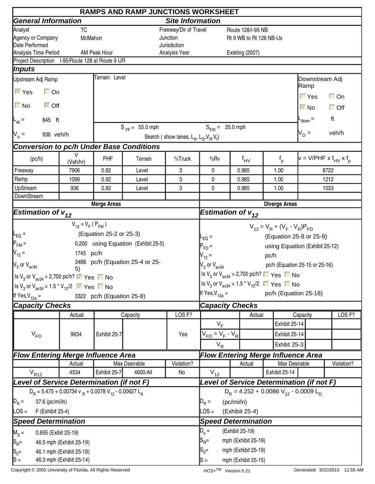|                                                                                       |                          |                                           | <b>RAMPS AND RAMP JUNCTIONS WORKSHEET</b> |                                                     |                                                                                         |            |                         |               |                                    |                                      |                                        |  |
|---------------------------------------------------------------------------------------|--------------------------|-------------------------------------------|-------------------------------------------|-----------------------------------------------------|-----------------------------------------------------------------------------------------|------------|-------------------------|---------------|------------------------------------|--------------------------------------|----------------------------------------|--|
| <b>General Information</b>                                                            |                          |                                           |                                           | <b>Site Information</b>                             |                                                                                         |            |                         |               |                                    |                                      |                                        |  |
| Analyst                                                                               | <b>TC</b>                |                                           |                                           | Freeway/Dir of Travel                               |                                                                                         |            | Route 128/I-95 NB       |               |                                    |                                      |                                        |  |
| Agency or Company                                                                     | McMahon                  |                                           |                                           | Junction                                            |                                                                                         |            | Rt 9 WB to Rt 128 NB-Us |               |                                    |                                      |                                        |  |
| Date Performed                                                                        |                          |                                           |                                           | Jurisdiction                                        |                                                                                         |            |                         |               |                                    |                                      |                                        |  |
| Analysis Time Period<br>Project Description I-95/Route 128 at Route 9 IJR             |                          | AM Peak Hour                              |                                           | Analysis Year                                       |                                                                                         |            | Existing (2007)         |               |                                    |                                      |                                        |  |
| Inputs                                                                                |                          |                                           |                                           |                                                     |                                                                                         |            |                         |               |                                    |                                      |                                        |  |
| Upstream Adj Ramp                                                                     |                          | Terrain: Level                            |                                           |                                                     |                                                                                         |            |                         |               |                                    | Downstream Adj                       |                                        |  |
| $\overline{\vee}$ Yes<br>$\Box$ On                                                    |                          |                                           |                                           |                                                     |                                                                                         |            |                         |               |                                    | Ramp                                 |                                        |  |
| $\Box$ No<br>$\overline{\vee}$ Off                                                    |                          |                                           |                                           |                                                     |                                                                                         |            |                         |               |                                    | $\Gamma$ Yes<br>$\overline{\vee}$ No | $\Box$ On<br>$\Box$ Off                |  |
| 845 ft<br>$L_{\text{up}} =$                                                           |                          |                                           |                                           |                                                     |                                                                                         |            |                         |               |                                    | $-$ <sub>down</sub> $=$              | ft                                     |  |
|                                                                                       |                          |                                           | $S_{FF} = 55.0$ mph                       |                                                     | $S_{FB} = 35.0$ mph                                                                     |            |                         |               |                                    |                                      |                                        |  |
| $N_u =$<br>936 veh/h                                                                  |                          |                                           |                                           | Sketch (show lanes, $L_A$ , $L_D$ , $V_B$ , $V_f$ ) |                                                                                         |            |                         |               |                                    | $V_D =$                              | veh/h                                  |  |
| <b>Conversion to pc/h Under Base Conditions</b>                                       |                          |                                           |                                           |                                                     |                                                                                         |            |                         |               |                                    |                                      |                                        |  |
| (pc/h)                                                                                | V<br>(Veh/hr)            | PHF                                       | Terrain                                   | %Truck                                              | %Rv                                                                                     |            | $f_{\text{HV}}$         | $f_{p}$       |                                    |                                      | $v = V/PHF \times f_{HV} \times f_{D}$ |  |
| Freeway                                                                               | 7906                     | 0.92                                      | Level                                     | 3                                                   | 0                                                                                       |            | 0.985                   | 1.00          |                                    |                                      | 8722                                   |  |
| Ramp                                                                                  | 1099                     | 0.92                                      | Level                                     | 3                                                   | 0                                                                                       |            | 0.985                   | 1.00          |                                    |                                      | 1212                                   |  |
| UpStream                                                                              | 936                      | 0.92                                      | 3<br>0<br>Level<br>0.985<br>1.00          |                                                     |                                                                                         |            |                         |               |                                    | 1033                                 |                                        |  |
| DownStream                                                                            |                          |                                           |                                           |                                                     |                                                                                         |            |                         |               |                                    |                                      |                                        |  |
| <b>Estimation of <math>v_{12}</math></b>                                              |                          | <b>Merge Areas</b>                        |                                           |                                                     | <b>Diverge Areas</b><br>Estimation of $v_{12}$                                          |            |                         |               |                                    |                                      |                                        |  |
|                                                                                       |                          |                                           |                                           |                                                     |                                                                                         |            |                         |               |                                    |                                      |                                        |  |
|                                                                                       | $V_{12} = V_F (P_{FM})$  |                                           |                                           |                                                     |                                                                                         |            |                         |               | $V_{12} = V_R + (V_F - V_R)P_{FD}$ |                                      |                                        |  |
| $\mathsf{I}_{\mathsf{EQ}}$ =                                                          |                          | (Equation 25-2 or 25-3)                   |                                           |                                                     | $L_{EQ}$ =                                                                              |            |                         |               |                                    | (Equation 25-8 or 25-9)              |                                        |  |
| $P_{FM}$ =                                                                            |                          |                                           | 0.200 using Equation (Exhibit 25-5)       |                                                     | $P_{FD}$ =                                                                              |            |                         |               |                                    | using Equation (Exhibit 25-12)       |                                        |  |
| $V_{12} =$                                                                            | 1745 pc/h                |                                           |                                           |                                                     | $V_{12} =$                                                                              |            |                         | pc/h          |                                    |                                      |                                        |  |
| $\mathsf{V}_3$ or $\mathsf{V}_{\mathsf{av34}}$                                        | 5)                       |                                           | 3488 pc/h (Equation 25-4 or 25-           |                                                     | $V_3$ or $V_{av34}$                                                                     |            |                         |               |                                    | pc/h (Equation 25-15 or 25-16)       |                                        |  |
| Is $V_3$ or $V_{\text{av34}}$ > 2,700 pc/h? $\triangledown$ Yes $\blacksquare$ No     |                          |                                           |                                           |                                                     | Is $V_3$ or $V_{av34}$ > 2,700 pc/h? $\Box$ Yes $\Box$ No                               |            |                         |               |                                    |                                      |                                        |  |
| Is V <sub>3</sub> or V <sub>av34</sub> > 1.5 * V <sub>12</sub> /2 $\sqrt{ }$ Yes ■ No |                          |                                           |                                           |                                                     | Is V <sub>3</sub> or V <sub>av34</sub> > 1.5 <sup>*</sup> V <sub>12</sub> /2 ■ Yes ■ No |            |                         |               |                                    |                                      |                                        |  |
| If Yes, $V_{12a}$ =                                                                   |                          | 3322 pc/h (Equation 25-8)                 |                                           |                                                     | If Yes, $V_{12a} =$                                                                     |            |                         |               |                                    | pc/h (Equation 25-18)                |                                        |  |
| <b>Capacity Checks</b>                                                                |                          |                                           |                                           |                                                     | <b>Capacity Checks</b>                                                                  |            |                         |               |                                    |                                      |                                        |  |
|                                                                                       | Actual                   |                                           | Capacity                                  | LOS <sub>F?</sub>                                   |                                                                                         |            | Actual                  |               | Capacity                           |                                      | LOS <sub>F?</sub>                      |  |
|                                                                                       |                          |                                           |                                           |                                                     | $V_F$                                                                                   |            |                         |               | Exhibit 25-14                      |                                      |                                        |  |
| $V_{FO}$                                                                              | 9934                     | Exhibit 25-7                              |                                           | Yes                                                 | $V_{FO} = V_F - V_R$                                                                    |            |                         |               | Exhibit 25-14                      |                                      |                                        |  |
|                                                                                       |                          |                                           |                                           |                                                     | $V_R$                                                                                   |            |                         |               | Exhibit 25-3                       |                                      |                                        |  |
| <b>Flow Entering Merge Influence Area</b>                                             |                          |                                           |                                           |                                                     | <b>Flow Entering Merge Influence Area</b>                                               |            |                         |               |                                    |                                      |                                        |  |
|                                                                                       | Actual                   |                                           | Max Desirable                             | Violation?                                          |                                                                                         |            | Actual                  |               | Max Desirable                      |                                      | Violation?                             |  |
| $V_{R12}$                                                                             | 4534                     | Exhibit 25-7                              | 4600:All                                  | No                                                  | $V_{12}$                                                                                |            |                         | Exhibit 25-14 |                                    |                                      |                                        |  |
| Level of Service Determination (if not F)                                             |                          | Level of Service Determination (if not F) |                                           |                                                     |                                                                                         |            |                         |               |                                    |                                      |                                        |  |
| $D_R = 5.475 + 0.00734$ v $_R + 0.0078$ V <sub>12</sub> - 0.00627 L <sub>A</sub>      |                          |                                           |                                           | $D_R = 4.252 + 0.0086 V_{12} - 0.0009 L_D$          |                                                                                         |            |                         |               |                                    |                                      |                                        |  |
| $D_R =$<br>37.6 (pc/mi/ln)                                                            |                          |                                           |                                           |                                                     | $D_R =$                                                                                 | (pc/mi/ln) |                         |               |                                    |                                      |                                        |  |
| $\textsf{LOS} =$<br>F (Exhibit 25-4)                                                  |                          |                                           |                                           |                                                     | $\textsf{LOS} =$                                                                        |            | (Exhibit 25-4)          |               |                                    |                                      |                                        |  |
| <b>Speed Determination</b>                                                            |                          |                                           |                                           |                                                     | <b>Speed Determination</b>                                                              |            |                         |               |                                    |                                      |                                        |  |
| $M_S =$<br>0.655 (Exibit 25-19)                                                       |                          |                                           |                                           |                                                     | $D_{s} =$<br>(Exhibit 25-19)                                                            |            |                         |               |                                    |                                      |                                        |  |
| $ S_{R}$ =                                                                            | 46.5 mph (Exhibit 25-19) |                                           |                                           |                                                     | $S_{\sf R}$ =                                                                           |            | mph (Exhibit 25-19)     |               |                                    |                                      |                                        |  |
| $S_0 =$                                                                               | 46.1 mph (Exhibit 25-19) |                                           |                                           |                                                     | $S_0 =$                                                                                 |            | mph (Exhibit 25-19)     |               |                                    |                                      |                                        |  |
| $ S =$                                                                                | 46.3 mph (Exhibit 25-14) |                                           |                                           |                                                     | lS =                                                                                    |            | mph (Exhibit 25-15)     |               |                                    |                                      |                                        |  |

Copyright © 2005 University of Florida, All Rights Reserved **HCS+TM** Version 5.21 Generated: 3/22/2010 11:55 AM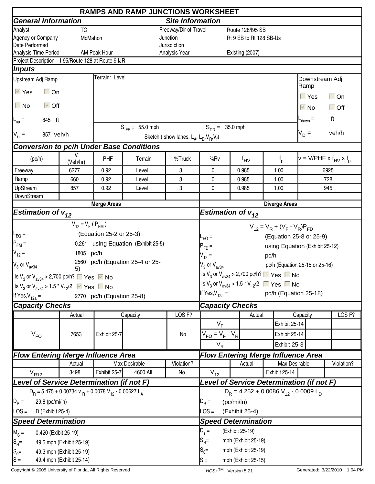|                                                                                                                                         |                                                                                  |                                           | <b>RAMPS AND RAMP JUNCTIONS WORKSHEET</b> |                                                     |                                                                                         |                 |                                            |      |               |                                |                                        |  |
|-----------------------------------------------------------------------------------------------------------------------------------------|----------------------------------------------------------------------------------|-------------------------------------------|-------------------------------------------|-----------------------------------------------------|-----------------------------------------------------------------------------------------|-----------------|--------------------------------------------|------|---------------|--------------------------------|----------------------------------------|--|
| <b>General Information</b>                                                                                                              |                                                                                  |                                           |                                           | <b>Site Information</b>                             |                                                                                         |                 |                                            |      |               |                                |                                        |  |
| Analyst                                                                                                                                 | <b>TC</b>                                                                        |                                           |                                           | Freeway/Dir of Travel                               |                                                                                         |                 | Route 128/195 SB                           |      |               |                                |                                        |  |
| Agency or Company                                                                                                                       | McMahon                                                                          |                                           |                                           | Junction                                            |                                                                                         |                 | Rt 9 EB to Rt 128 SB-Us                    |      |               |                                |                                        |  |
| Date Performed                                                                                                                          |                                                                                  |                                           |                                           | Jurisdiction                                        |                                                                                         |                 |                                            |      |               |                                |                                        |  |
| Analysis Time Period                                                                                                                    |                                                                                  | AM Peak Hour                              |                                           | Analysis Year                                       |                                                                                         |                 | Existing (2007)                            |      |               |                                |                                        |  |
| Project Description I-95/Route 128 at Route 9 IJR                                                                                       |                                                                                  |                                           |                                           |                                                     |                                                                                         |                 |                                            |      |               |                                |                                        |  |
| Inputs                                                                                                                                  |                                                                                  | Terrain: Level                            |                                           |                                                     |                                                                                         |                 |                                            |      |               |                                |                                        |  |
| Upstream Adj Ramp                                                                                                                       |                                                                                  |                                           |                                           |                                                     |                                                                                         |                 |                                            |      |               | Downstream Adj<br> Ramp        |                                        |  |
| $\overline{\vee}$ Yes<br>$\Box$ On                                                                                                      |                                                                                  |                                           |                                           |                                                     |                                                                                         |                 |                                            |      |               | $\Gamma$ Yes                   | $\Box$ On                              |  |
| $\Box$ No<br>$\overline{\triangleright}$ Off                                                                                            |                                                                                  |                                           |                                           |                                                     |                                                                                         |                 |                                            |      |               | $\overline{\vee}$ No           | $\Box$ Off                             |  |
| 845 ft<br>$L_{\text{up}} =$                                                                                                             |                                                                                  |                                           |                                           |                                                     |                                                                                         |                 |                                            |      |               | $-$ <sub>down</sub> $=$        | ft                                     |  |
| 857 veh/h                                                                                                                               |                                                                                  |                                           | $S_{FF} = 55.0$ mph                       |                                                     | $S_{FB} = 35.0$ mph                                                                     |                 |                                            |      |               | $V_D =$                        | veh/h                                  |  |
| $N_u =$                                                                                                                                 |                                                                                  |                                           |                                           | Sketch (show lanes, $L_A$ , $L_D$ , $V_B$ , $V_f$ ) |                                                                                         |                 |                                            |      |               |                                |                                        |  |
| <b>Conversion to pc/h Under Base Conditions</b>                                                                                         |                                                                                  |                                           |                                           |                                                     |                                                                                         |                 |                                            |      |               |                                |                                        |  |
| (pc/h)                                                                                                                                  | V<br>(Veh/hr)                                                                    | PHF                                       | Terrain                                   | %Truck                                              | %Rv                                                                                     |                 | $f_{\text{HV}}$                            |      | $f_{p}$       |                                | $v = V/PHF \times f_{HV} \times f_{D}$ |  |
| Freeway                                                                                                                                 | 6277                                                                             | 0.92                                      | Level                                     | 3                                                   | 0                                                                                       |                 | 0.985                                      | 1.00 |               |                                | 6925                                   |  |
| Ramp                                                                                                                                    | 660                                                                              | 0.92                                      | Level                                     | 3                                                   | 0                                                                                       |                 | 0.985                                      | 1.00 |               |                                | 728                                    |  |
| UpStream                                                                                                                                | 857                                                                              | 0.92                                      | Level                                     | 3                                                   | 0                                                                                       |                 | 0.985                                      | 1.00 |               |                                | 945                                    |  |
| DownStream                                                                                                                              |                                                                                  |                                           |                                           |                                                     |                                                                                         |                 |                                            |      |               |                                |                                        |  |
|                                                                                                                                         |                                                                                  | <b>Merge Areas</b>                        |                                           |                                                     | <b>Diverge Areas</b>                                                                    |                 |                                            |      |               |                                |                                        |  |
| <b>Estimation of <math>v_{12}</math></b>                                                                                                |                                                                                  |                                           |                                           |                                                     | Estimation of $v_{12}$                                                                  |                 |                                            |      |               |                                |                                        |  |
|                                                                                                                                         | $V_{12} = V_F (P_{FM})$                                                          |                                           |                                           |                                                     | $V_{12} = V_R + (V_F - V_R)P_{FD}$                                                      |                 |                                            |      |               |                                |                                        |  |
| $\mathsf{I}_{\mathsf{EQ}}$ =                                                                                                            |                                                                                  | (Equation 25-2 or 25-3)                   |                                           |                                                     | $L_{EQ}$ =                                                                              |                 |                                            |      |               | (Equation 25-8 or 25-9)        |                                        |  |
| $P_{FM}$ =                                                                                                                              |                                                                                  |                                           | 0.261 using Equation (Exhibit 25-5)       |                                                     | $P_{FD}$ =                                                                              |                 |                                            |      |               | using Equation (Exhibit 25-12) |                                        |  |
| $V_{12} =$                                                                                                                              | 1805 pc/h                                                                        |                                           |                                           |                                                     | $V_{12} =$                                                                              |                 |                                            | pc/h |               |                                |                                        |  |
| $V_3$ or $V_{\text{av34}}$                                                                                                              |                                                                                  |                                           | 2560 pc/h (Equation 25-4 or 25-           |                                                     | $V_3$ or $V_{av34}$                                                                     |                 |                                            |      |               | pc/h (Equation 25-15 or 25-16) |                                        |  |
|                                                                                                                                         | 5)                                                                               |                                           |                                           |                                                     | Is $V_3$ or $V_{av34}$ > 2,700 pc/h? $\Box$ Yes $\Box$ No                               |                 |                                            |      |               |                                |                                        |  |
| $\left  \log V_3 \text{ or } V_{\text{av34}} \right $ > 2,700 pc/h? $\left  \blacksquare \right $ Yes $\left  \triangledown \right $ No |                                                                                  |                                           |                                           |                                                     | Is V <sub>3</sub> or V <sub>av34</sub> > 1.5 <sup>*</sup> V <sub>12</sub> /2 ■ Yes ■ No |                 |                                            |      |               |                                |                                        |  |
| Is V <sub>3</sub> or V <sub>av34</sub> > 1.5 <sup>*</sup> V <sub>12</sub> /2 $\sqrt{ }$ Yes $\sqrt{ }$ No                               |                                                                                  |                                           |                                           |                                                     | If Yes, $V_{12a} =$                                                                     |                 |                                            |      |               | pc/h (Equation 25-18)          |                                        |  |
| If Yes, $V_{12a}$ =                                                                                                                     |                                                                                  | 2770 pc/h (Equation 25-8)                 |                                           |                                                     |                                                                                         |                 |                                            |      |               |                                |                                        |  |
| <b>Capacity Checks</b>                                                                                                                  |                                                                                  |                                           |                                           |                                                     | <b>Capacity Checks</b>                                                                  |                 |                                            |      |               |                                |                                        |  |
|                                                                                                                                         | Actual                                                                           |                                           | Capacity                                  | LOS <sub>F?</sub>                                   |                                                                                         |                 | Actual                                     |      |               | Capacity                       | LOS <sub>F?</sub>                      |  |
|                                                                                                                                         |                                                                                  |                                           |                                           |                                                     | $V_F$                                                                                   |                 |                                            |      | Exhibit 25-14 |                                |                                        |  |
| $V_{FO}$                                                                                                                                | 7653                                                                             | Exhibit 25-7                              |                                           | No                                                  | $V_{FO} = V_F - V_R$                                                                    |                 |                                            |      | Exhibit 25-14 |                                |                                        |  |
|                                                                                                                                         |                                                                                  |                                           |                                           |                                                     | $V_R$                                                                                   |                 |                                            |      | Exhibit 25-3  |                                |                                        |  |
| <b>Flow Entering Merge Influence Area</b>                                                                                               |                                                                                  |                                           |                                           |                                                     | <b>Flow Entering Merge Influence Area</b>                                               |                 |                                            |      |               |                                |                                        |  |
|                                                                                                                                         | Actual                                                                           |                                           | Max Desirable                             | Violation?                                          |                                                                                         |                 | Actual                                     |      | Max Desirable |                                | Violation?                             |  |
| $V_{R12}$                                                                                                                               | 3498                                                                             | Exhibit 25-7                              | 4600:All                                  | No                                                  | $V_{12}$                                                                                |                 |                                            |      | Exhibit 25-14 |                                |                                        |  |
| Level of Service Determination (if not F)                                                                                               |                                                                                  | Level of Service Determination (if not F) |                                           |                                                     |                                                                                         |                 |                                            |      |               |                                |                                        |  |
|                                                                                                                                         | $D_R = 5.475 + 0.00734$ v $_R + 0.0078$ V <sub>12</sub> - 0.00627 L <sub>A</sub> |                                           |                                           |                                                     |                                                                                         |                 | $D_R = 4.252 + 0.0086 V_{12} - 0.0009 L_D$ |      |               |                                |                                        |  |
| $D_R =$<br>29.8 (pc/mi/ln)                                                                                                              |                                                                                  |                                           | $D_R =$                                   | (pc/mi/ln)                                          |                                                                                         |                 |                                            |      |               |                                |                                        |  |
| $\textsf{LOS} =$<br>D (Exhibit 25-4)                                                                                                    |                                                                                  |                                           |                                           |                                                     | $\textsf{LOS} =$                                                                        |                 | (Exhibit 25-4)                             |      |               |                                |                                        |  |
| <b>Speed Determination</b>                                                                                                              |                                                                                  |                                           | <b>Speed Determination</b>                |                                                     |                                                                                         |                 |                                            |      |               |                                |                                        |  |
| $M_S =$<br>0.420 (Exibit 25-19)                                                                                                         |                                                                                  |                                           |                                           |                                                     | $D_{s} =$                                                                               | (Exhibit 25-19) |                                            |      |               |                                |                                        |  |
|                                                                                                                                         | 49.5 mph (Exhibit 25-19)                                                         |                                           |                                           |                                                     | $S_{\sf R}$ =                                                                           |                 | mph (Exhibit 25-19)                        |      |               |                                |                                        |  |
| $\left  \text{S}_\text{R} \right $                                                                                                      | 49.3 mph (Exhibit 25-19)                                                         |                                           |                                           |                                                     | $S_0 =$                                                                                 |                 |                                            |      |               |                                |                                        |  |
| $S_0 =$<br>$ S =$                                                                                                                       | 49.4 mph (Exhibit 25-14)                                                         |                                           |                                           |                                                     | mph (Exhibit 25-19)<br>mph (Exhibit 25-15)<br>lS =                                      |                 |                                            |      |               |                                |                                        |  |
|                                                                                                                                         |                                                                                  |                                           |                                           |                                                     |                                                                                         |                 |                                            |      |               |                                |                                        |  |

Copyright © 2005 University of Florida, All Rights Reserved **HCS+TM** Version 5.21 Generated: 3/22/2010 1:04 PM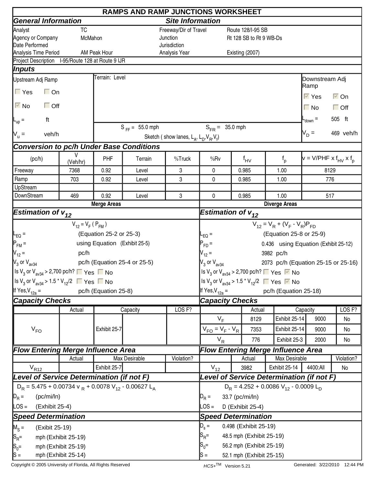| <b>General Information</b><br><b>Site Information</b><br>Analyst<br>Freeway/Dir of Travel<br><b>TC</b><br>Route 128/I-95 SB<br>McMahon<br>Junction<br>Rt 128 SB to Rt 9 WB-Ds<br>Date Performed<br>Jurisdiction<br>Analysis Time Period<br>AM Peak Hour<br>Analysis Year<br>Existing (2007)<br>Project Description I-95/Route 128 at Route 9 IJR<br> Inputs<br>Terrain: Level<br>Upstream Adj Ramp<br>Downstream Adj<br>Ramp<br>$\Gamma$ Yes<br>$\Box$ On<br>$\overline{\vee}$ Yes<br>$\overline{\vee}$ On<br>$\overline{\triangleright}$ No<br>$\Box$ Off<br>$\Box$ No<br>$\Box$ Off<br>505 ft<br>ft<br>$-$ <sub>down</sub> $=$<br>$L_{\text{up}}$ =<br>$S_{FF} = 55.0$ mph<br>$S_{FR} = 35.0$ mph<br>$V_D =$<br>469 veh/h<br>$V_{u} =$<br>veh/h<br>Sketch (show lanes, $L_A$ , $L_D$ , $V_B$ , $V_f$ )<br><b>Conversion to pc/h Under Base Conditions</b><br>V<br>PHF<br>$v = V/PHF \times f_{HV} \times f_{D}$<br>(pc/h)<br>%Truck<br>%Rv<br>Terrain<br>$f_{p}$<br>$f_{\mathsf{HV}}$<br>(Veh/hr)<br>Freeway<br>3<br>0<br>0.985<br>1.00<br>8129<br>7368<br>0.92<br>Level<br>Ramp<br>3<br>703<br>0.92<br>0<br>0.985<br>1.00<br>776<br>Level<br>UpStream<br>DownStream<br>0.92<br>3<br>1.00<br>469<br>Level<br>0<br>0.985<br>517<br><b>Merge Areas</b><br><b>Diverge Areas</b><br><b>Estimation of <math>v_{12}</math></b><br>Estimation of $v_{12}$<br>$V_{12} = V_R + (V_F - V_R)P_{FD}$<br>$V_{12} = V_F (P_{FM})$<br>(Equation 25-8 or 25-9)<br>(Equation 25-2 or 25-3)<br>$-EQ =$<br>$L_{EQ} =$<br>$P_{FM}$ =<br>using Equation (Exhibit 25-5)<br>0.436 using Equation (Exhibit 25-12)<br>$P_{FD} =$<br>$V_{12} =$<br>$V_{12} =$<br>pc/h<br>3982 pc/h<br>$V_3$ or $V_{\text{av34}}$<br>pc/h (Equation 25-4 or 25-5)<br>$V_3$ or $V_{av34}$<br>2073 pc/h (Equation 25-15 or 25-16)<br>Is V <sub>3</sub> or V <sub>av34</sub> > 2,700 pc/h? $\Box$ Yes $\Box$ No<br>Set V <sub>3</sub> or V <sub>av34</sub> > 2,700 pc/h? ■ Yes ■ No<br>$\left  \frac{\text{ls}}{3}$ or $\text{V}_{\text{av34}}$ > 1.5 $\text{*}$ $\text{V}_{12}/2$ ■ Yes ■ No<br>Is V <sub>3</sub> or V <sub>av34</sub> > 1.5 <sup>*</sup> V <sub>12</sub> /2 ■ Yes ■ No<br>If Yes, $V_{12a}$ =<br>If Yes, $V_{12a} =$<br>pc/h (Equation 25-18)<br>pc/h (Equation 25-8)<br><b>Capacity Checks</b><br><b>Capacity Checks</b><br>LOS <sub>F?</sub><br>LOS <sub>F?</sub><br>Actual<br>Capacity<br>Capacity<br>Actual<br>$V_F$<br>Exhibit 25-14<br>9000<br>8129<br>No<br>$V_{FO}$<br>$V_{FO} = V_F - V_R$<br>Exhibit 25-14<br>Exhibit 25-7<br>7353<br>No<br>9000<br>$V_R$<br>Exhibit 25-3<br>776<br>2000<br>No<br><b>Flow Entering Merge Influence Area</b><br><b>Flow Entering Merge Influence Area</b><br>Violation?<br>Max Desirable<br>Violation?<br>Max Desirable<br>Actual<br>Actual<br>$V_{R12}$<br>$V_{12}$<br>Exhibit 25-14<br>4400:All<br>Exhibit 25-7<br>3982<br>No<br>Level of Service Determination (if not F)<br>Level of Service Determination (if not F)<br>$D_R$ = 5.475 + 0.00734 v $_R$ + 0.0078 V <sub>12</sub> - 0.00627 L <sub>A</sub><br>$D_R = 4.252 + 0.0086 V_{12} - 0.0009 L_D$<br>(pc/mi/ln)<br>$D_R =$<br>33.7 (pc/mi/ln)<br>LOS =<br>$\text{LOS} =$<br>(Exhibit 25-4)<br>D (Exhibit 25-4)<br><b>Speed Determination</b><br><b>Speed Determination</b><br>$D_s =$<br>0.498 (Exhibit 25-19)<br>$M_S =$<br>(Exibit 25-19)<br>$\mathsf{S}_{\mathsf{R}}$ =<br>48.5 mph (Exhibit 25-19)<br>$ S_{R}$ =<br>mph (Exhibit 25-19)<br>$S_0=$<br>56.2 mph (Exhibit 25-19)<br>$S_0 =$<br>mph (Exhibit 25-19)<br>mph (Exhibit 25-14) |                   | <b>RAMPS AND RAMP JUNCTIONS WORKSHEET</b> |  |  |  |                                   |  |  |  |  |  |  |  |  |
|---------------------------------------------------------------------------------------------------------------------------------------------------------------------------------------------------------------------------------------------------------------------------------------------------------------------------------------------------------------------------------------------------------------------------------------------------------------------------------------------------------------------------------------------------------------------------------------------------------------------------------------------------------------------------------------------------------------------------------------------------------------------------------------------------------------------------------------------------------------------------------------------------------------------------------------------------------------------------------------------------------------------------------------------------------------------------------------------------------------------------------------------------------------------------------------------------------------------------------------------------------------------------------------------------------------------------------------------------------------------------------------------------------------------------------------------------------------------------------------------------------------------------------------------------------------------------------------------------------------------------------------------------------------------------------------------------------------------------------------------------------------------------------------------------------------------------------------------------------------------------------------------------------------------------------------------------------------------------------------------------------------------------------------------------------------------------------------------------------------------------------------------------------------------------------------------------------------------------------------------------------------------------------------------------------------------------------------------------------------------------------------------------------------------------------------------------------------------------------------------------------------------------------------------------------------------------------------------------------------------------------------------------------------------------------------------------------------------------------------------------------------------------------------------------------------------------------------------------------------------------------------------------------------------------------------------------------------------------------------------------------------------------------------------------------------------------------------------------------------------------------------------------------------------------------------------------------------------------------------------------------------------------------------------------------------------------------------------------------------------------------------------------------------------------------------------------------------------------------------------------------------------|-------------------|-------------------------------------------|--|--|--|-----------------------------------|--|--|--|--|--|--|--|--|
|                                                                                                                                                                                                                                                                                                                                                                                                                                                                                                                                                                                                                                                                                                                                                                                                                                                                                                                                                                                                                                                                                                                                                                                                                                                                                                                                                                                                                                                                                                                                                                                                                                                                                                                                                                                                                                                                                                                                                                                                                                                                                                                                                                                                                                                                                                                                                                                                                                                                                                                                                                                                                                                                                                                                                                                                                                                                                                                                                                                                                                                                                                                                                                                                                                                                                                                                                                                                                                                                                                                     |                   |                                           |  |  |  |                                   |  |  |  |  |  |  |  |  |
|                                                                                                                                                                                                                                                                                                                                                                                                                                                                                                                                                                                                                                                                                                                                                                                                                                                                                                                                                                                                                                                                                                                                                                                                                                                                                                                                                                                                                                                                                                                                                                                                                                                                                                                                                                                                                                                                                                                                                                                                                                                                                                                                                                                                                                                                                                                                                                                                                                                                                                                                                                                                                                                                                                                                                                                                                                                                                                                                                                                                                                                                                                                                                                                                                                                                                                                                                                                                                                                                                                                     |                   |                                           |  |  |  |                                   |  |  |  |  |  |  |  |  |
|                                                                                                                                                                                                                                                                                                                                                                                                                                                                                                                                                                                                                                                                                                                                                                                                                                                                                                                                                                                                                                                                                                                                                                                                                                                                                                                                                                                                                                                                                                                                                                                                                                                                                                                                                                                                                                                                                                                                                                                                                                                                                                                                                                                                                                                                                                                                                                                                                                                                                                                                                                                                                                                                                                                                                                                                                                                                                                                                                                                                                                                                                                                                                                                                                                                                                                                                                                                                                                                                                                                     | Agency or Company |                                           |  |  |  |                                   |  |  |  |  |  |  |  |  |
|                                                                                                                                                                                                                                                                                                                                                                                                                                                                                                                                                                                                                                                                                                                                                                                                                                                                                                                                                                                                                                                                                                                                                                                                                                                                                                                                                                                                                                                                                                                                                                                                                                                                                                                                                                                                                                                                                                                                                                                                                                                                                                                                                                                                                                                                                                                                                                                                                                                                                                                                                                                                                                                                                                                                                                                                                                                                                                                                                                                                                                                                                                                                                                                                                                                                                                                                                                                                                                                                                                                     |                   |                                           |  |  |  |                                   |  |  |  |  |  |  |  |  |
|                                                                                                                                                                                                                                                                                                                                                                                                                                                                                                                                                                                                                                                                                                                                                                                                                                                                                                                                                                                                                                                                                                                                                                                                                                                                                                                                                                                                                                                                                                                                                                                                                                                                                                                                                                                                                                                                                                                                                                                                                                                                                                                                                                                                                                                                                                                                                                                                                                                                                                                                                                                                                                                                                                                                                                                                                                                                                                                                                                                                                                                                                                                                                                                                                                                                                                                                                                                                                                                                                                                     |                   |                                           |  |  |  |                                   |  |  |  |  |  |  |  |  |
|                                                                                                                                                                                                                                                                                                                                                                                                                                                                                                                                                                                                                                                                                                                                                                                                                                                                                                                                                                                                                                                                                                                                                                                                                                                                                                                                                                                                                                                                                                                                                                                                                                                                                                                                                                                                                                                                                                                                                                                                                                                                                                                                                                                                                                                                                                                                                                                                                                                                                                                                                                                                                                                                                                                                                                                                                                                                                                                                                                                                                                                                                                                                                                                                                                                                                                                                                                                                                                                                                                                     |                   |                                           |  |  |  |                                   |  |  |  |  |  |  |  |  |
|                                                                                                                                                                                                                                                                                                                                                                                                                                                                                                                                                                                                                                                                                                                                                                                                                                                                                                                                                                                                                                                                                                                                                                                                                                                                                                                                                                                                                                                                                                                                                                                                                                                                                                                                                                                                                                                                                                                                                                                                                                                                                                                                                                                                                                                                                                                                                                                                                                                                                                                                                                                                                                                                                                                                                                                                                                                                                                                                                                                                                                                                                                                                                                                                                                                                                                                                                                                                                                                                                                                     |                   |                                           |  |  |  |                                   |  |  |  |  |  |  |  |  |
|                                                                                                                                                                                                                                                                                                                                                                                                                                                                                                                                                                                                                                                                                                                                                                                                                                                                                                                                                                                                                                                                                                                                                                                                                                                                                                                                                                                                                                                                                                                                                                                                                                                                                                                                                                                                                                                                                                                                                                                                                                                                                                                                                                                                                                                                                                                                                                                                                                                                                                                                                                                                                                                                                                                                                                                                                                                                                                                                                                                                                                                                                                                                                                                                                                                                                                                                                                                                                                                                                                                     |                   |                                           |  |  |  |                                   |  |  |  |  |  |  |  |  |
|                                                                                                                                                                                                                                                                                                                                                                                                                                                                                                                                                                                                                                                                                                                                                                                                                                                                                                                                                                                                                                                                                                                                                                                                                                                                                                                                                                                                                                                                                                                                                                                                                                                                                                                                                                                                                                                                                                                                                                                                                                                                                                                                                                                                                                                                                                                                                                                                                                                                                                                                                                                                                                                                                                                                                                                                                                                                                                                                                                                                                                                                                                                                                                                                                                                                                                                                                                                                                                                                                                                     |                   |                                           |  |  |  |                                   |  |  |  |  |  |  |  |  |
|                                                                                                                                                                                                                                                                                                                                                                                                                                                                                                                                                                                                                                                                                                                                                                                                                                                                                                                                                                                                                                                                                                                                                                                                                                                                                                                                                                                                                                                                                                                                                                                                                                                                                                                                                                                                                                                                                                                                                                                                                                                                                                                                                                                                                                                                                                                                                                                                                                                                                                                                                                                                                                                                                                                                                                                                                                                                                                                                                                                                                                                                                                                                                                                                                                                                                                                                                                                                                                                                                                                     |                   |                                           |  |  |  |                                   |  |  |  |  |  |  |  |  |
|                                                                                                                                                                                                                                                                                                                                                                                                                                                                                                                                                                                                                                                                                                                                                                                                                                                                                                                                                                                                                                                                                                                                                                                                                                                                                                                                                                                                                                                                                                                                                                                                                                                                                                                                                                                                                                                                                                                                                                                                                                                                                                                                                                                                                                                                                                                                                                                                                                                                                                                                                                                                                                                                                                                                                                                                                                                                                                                                                                                                                                                                                                                                                                                                                                                                                                                                                                                                                                                                                                                     |                   |                                           |  |  |  |                                   |  |  |  |  |  |  |  |  |
|                                                                                                                                                                                                                                                                                                                                                                                                                                                                                                                                                                                                                                                                                                                                                                                                                                                                                                                                                                                                                                                                                                                                                                                                                                                                                                                                                                                                                                                                                                                                                                                                                                                                                                                                                                                                                                                                                                                                                                                                                                                                                                                                                                                                                                                                                                                                                                                                                                                                                                                                                                                                                                                                                                                                                                                                                                                                                                                                                                                                                                                                                                                                                                                                                                                                                                                                                                                                                                                                                                                     |                   |                                           |  |  |  |                                   |  |  |  |  |  |  |  |  |
|                                                                                                                                                                                                                                                                                                                                                                                                                                                                                                                                                                                                                                                                                                                                                                                                                                                                                                                                                                                                                                                                                                                                                                                                                                                                                                                                                                                                                                                                                                                                                                                                                                                                                                                                                                                                                                                                                                                                                                                                                                                                                                                                                                                                                                                                                                                                                                                                                                                                                                                                                                                                                                                                                                                                                                                                                                                                                                                                                                                                                                                                                                                                                                                                                                                                                                                                                                                                                                                                                                                     |                   |                                           |  |  |  |                                   |  |  |  |  |  |  |  |  |
|                                                                                                                                                                                                                                                                                                                                                                                                                                                                                                                                                                                                                                                                                                                                                                                                                                                                                                                                                                                                                                                                                                                                                                                                                                                                                                                                                                                                                                                                                                                                                                                                                                                                                                                                                                                                                                                                                                                                                                                                                                                                                                                                                                                                                                                                                                                                                                                                                                                                                                                                                                                                                                                                                                                                                                                                                                                                                                                                                                                                                                                                                                                                                                                                                                                                                                                                                                                                                                                                                                                     |                   |                                           |  |  |  |                                   |  |  |  |  |  |  |  |  |
|                                                                                                                                                                                                                                                                                                                                                                                                                                                                                                                                                                                                                                                                                                                                                                                                                                                                                                                                                                                                                                                                                                                                                                                                                                                                                                                                                                                                                                                                                                                                                                                                                                                                                                                                                                                                                                                                                                                                                                                                                                                                                                                                                                                                                                                                                                                                                                                                                                                                                                                                                                                                                                                                                                                                                                                                                                                                                                                                                                                                                                                                                                                                                                                                                                                                                                                                                                                                                                                                                                                     |                   |                                           |  |  |  |                                   |  |  |  |  |  |  |  |  |
|                                                                                                                                                                                                                                                                                                                                                                                                                                                                                                                                                                                                                                                                                                                                                                                                                                                                                                                                                                                                                                                                                                                                                                                                                                                                                                                                                                                                                                                                                                                                                                                                                                                                                                                                                                                                                                                                                                                                                                                                                                                                                                                                                                                                                                                                                                                                                                                                                                                                                                                                                                                                                                                                                                                                                                                                                                                                                                                                                                                                                                                                                                                                                                                                                                                                                                                                                                                                                                                                                                                     |                   |                                           |  |  |  |                                   |  |  |  |  |  |  |  |  |
|                                                                                                                                                                                                                                                                                                                                                                                                                                                                                                                                                                                                                                                                                                                                                                                                                                                                                                                                                                                                                                                                                                                                                                                                                                                                                                                                                                                                                                                                                                                                                                                                                                                                                                                                                                                                                                                                                                                                                                                                                                                                                                                                                                                                                                                                                                                                                                                                                                                                                                                                                                                                                                                                                                                                                                                                                                                                                                                                                                                                                                                                                                                                                                                                                                                                                                                                                                                                                                                                                                                     |                   |                                           |  |  |  |                                   |  |  |  |  |  |  |  |  |
|                                                                                                                                                                                                                                                                                                                                                                                                                                                                                                                                                                                                                                                                                                                                                                                                                                                                                                                                                                                                                                                                                                                                                                                                                                                                                                                                                                                                                                                                                                                                                                                                                                                                                                                                                                                                                                                                                                                                                                                                                                                                                                                                                                                                                                                                                                                                                                                                                                                                                                                                                                                                                                                                                                                                                                                                                                                                                                                                                                                                                                                                                                                                                                                                                                                                                                                                                                                                                                                                                                                     |                   |                                           |  |  |  |                                   |  |  |  |  |  |  |  |  |
|                                                                                                                                                                                                                                                                                                                                                                                                                                                                                                                                                                                                                                                                                                                                                                                                                                                                                                                                                                                                                                                                                                                                                                                                                                                                                                                                                                                                                                                                                                                                                                                                                                                                                                                                                                                                                                                                                                                                                                                                                                                                                                                                                                                                                                                                                                                                                                                                                                                                                                                                                                                                                                                                                                                                                                                                                                                                                                                                                                                                                                                                                                                                                                                                                                                                                                                                                                                                                                                                                                                     |                   |                                           |  |  |  |                                   |  |  |  |  |  |  |  |  |
|                                                                                                                                                                                                                                                                                                                                                                                                                                                                                                                                                                                                                                                                                                                                                                                                                                                                                                                                                                                                                                                                                                                                                                                                                                                                                                                                                                                                                                                                                                                                                                                                                                                                                                                                                                                                                                                                                                                                                                                                                                                                                                                                                                                                                                                                                                                                                                                                                                                                                                                                                                                                                                                                                                                                                                                                                                                                                                                                                                                                                                                                                                                                                                                                                                                                                                                                                                                                                                                                                                                     |                   |                                           |  |  |  |                                   |  |  |  |  |  |  |  |  |
|                                                                                                                                                                                                                                                                                                                                                                                                                                                                                                                                                                                                                                                                                                                                                                                                                                                                                                                                                                                                                                                                                                                                                                                                                                                                                                                                                                                                                                                                                                                                                                                                                                                                                                                                                                                                                                                                                                                                                                                                                                                                                                                                                                                                                                                                                                                                                                                                                                                                                                                                                                                                                                                                                                                                                                                                                                                                                                                                                                                                                                                                                                                                                                                                                                                                                                                                                                                                                                                                                                                     |                   |                                           |  |  |  |                                   |  |  |  |  |  |  |  |  |
|                                                                                                                                                                                                                                                                                                                                                                                                                                                                                                                                                                                                                                                                                                                                                                                                                                                                                                                                                                                                                                                                                                                                                                                                                                                                                                                                                                                                                                                                                                                                                                                                                                                                                                                                                                                                                                                                                                                                                                                                                                                                                                                                                                                                                                                                                                                                                                                                                                                                                                                                                                                                                                                                                                                                                                                                                                                                                                                                                                                                                                                                                                                                                                                                                                                                                                                                                                                                                                                                                                                     |                   |                                           |  |  |  |                                   |  |  |  |  |  |  |  |  |
|                                                                                                                                                                                                                                                                                                                                                                                                                                                                                                                                                                                                                                                                                                                                                                                                                                                                                                                                                                                                                                                                                                                                                                                                                                                                                                                                                                                                                                                                                                                                                                                                                                                                                                                                                                                                                                                                                                                                                                                                                                                                                                                                                                                                                                                                                                                                                                                                                                                                                                                                                                                                                                                                                                                                                                                                                                                                                                                                                                                                                                                                                                                                                                                                                                                                                                                                                                                                                                                                                                                     |                   |                                           |  |  |  |                                   |  |  |  |  |  |  |  |  |
|                                                                                                                                                                                                                                                                                                                                                                                                                                                                                                                                                                                                                                                                                                                                                                                                                                                                                                                                                                                                                                                                                                                                                                                                                                                                                                                                                                                                                                                                                                                                                                                                                                                                                                                                                                                                                                                                                                                                                                                                                                                                                                                                                                                                                                                                                                                                                                                                                                                                                                                                                                                                                                                                                                                                                                                                                                                                                                                                                                                                                                                                                                                                                                                                                                                                                                                                                                                                                                                                                                                     |                   |                                           |  |  |  |                                   |  |  |  |  |  |  |  |  |
|                                                                                                                                                                                                                                                                                                                                                                                                                                                                                                                                                                                                                                                                                                                                                                                                                                                                                                                                                                                                                                                                                                                                                                                                                                                                                                                                                                                                                                                                                                                                                                                                                                                                                                                                                                                                                                                                                                                                                                                                                                                                                                                                                                                                                                                                                                                                                                                                                                                                                                                                                                                                                                                                                                                                                                                                                                                                                                                                                                                                                                                                                                                                                                                                                                                                                                                                                                                                                                                                                                                     |                   |                                           |  |  |  |                                   |  |  |  |  |  |  |  |  |
|                                                                                                                                                                                                                                                                                                                                                                                                                                                                                                                                                                                                                                                                                                                                                                                                                                                                                                                                                                                                                                                                                                                                                                                                                                                                                                                                                                                                                                                                                                                                                                                                                                                                                                                                                                                                                                                                                                                                                                                                                                                                                                                                                                                                                                                                                                                                                                                                                                                                                                                                                                                                                                                                                                                                                                                                                                                                                                                                                                                                                                                                                                                                                                                                                                                                                                                                                                                                                                                                                                                     |                   |                                           |  |  |  |                                   |  |  |  |  |  |  |  |  |
|                                                                                                                                                                                                                                                                                                                                                                                                                                                                                                                                                                                                                                                                                                                                                                                                                                                                                                                                                                                                                                                                                                                                                                                                                                                                                                                                                                                                                                                                                                                                                                                                                                                                                                                                                                                                                                                                                                                                                                                                                                                                                                                                                                                                                                                                                                                                                                                                                                                                                                                                                                                                                                                                                                                                                                                                                                                                                                                                                                                                                                                                                                                                                                                                                                                                                                                                                                                                                                                                                                                     |                   |                                           |  |  |  |                                   |  |  |  |  |  |  |  |  |
|                                                                                                                                                                                                                                                                                                                                                                                                                                                                                                                                                                                                                                                                                                                                                                                                                                                                                                                                                                                                                                                                                                                                                                                                                                                                                                                                                                                                                                                                                                                                                                                                                                                                                                                                                                                                                                                                                                                                                                                                                                                                                                                                                                                                                                                                                                                                                                                                                                                                                                                                                                                                                                                                                                                                                                                                                                                                                                                                                                                                                                                                                                                                                                                                                                                                                                                                                                                                                                                                                                                     |                   |                                           |  |  |  |                                   |  |  |  |  |  |  |  |  |
|                                                                                                                                                                                                                                                                                                                                                                                                                                                                                                                                                                                                                                                                                                                                                                                                                                                                                                                                                                                                                                                                                                                                                                                                                                                                                                                                                                                                                                                                                                                                                                                                                                                                                                                                                                                                                                                                                                                                                                                                                                                                                                                                                                                                                                                                                                                                                                                                                                                                                                                                                                                                                                                                                                                                                                                                                                                                                                                                                                                                                                                                                                                                                                                                                                                                                                                                                                                                                                                                                                                     |                   |                                           |  |  |  |                                   |  |  |  |  |  |  |  |  |
|                                                                                                                                                                                                                                                                                                                                                                                                                                                                                                                                                                                                                                                                                                                                                                                                                                                                                                                                                                                                                                                                                                                                                                                                                                                                                                                                                                                                                                                                                                                                                                                                                                                                                                                                                                                                                                                                                                                                                                                                                                                                                                                                                                                                                                                                                                                                                                                                                                                                                                                                                                                                                                                                                                                                                                                                                                                                                                                                                                                                                                                                                                                                                                                                                                                                                                                                                                                                                                                                                                                     |                   |                                           |  |  |  |                                   |  |  |  |  |  |  |  |  |
|                                                                                                                                                                                                                                                                                                                                                                                                                                                                                                                                                                                                                                                                                                                                                                                                                                                                                                                                                                                                                                                                                                                                                                                                                                                                                                                                                                                                                                                                                                                                                                                                                                                                                                                                                                                                                                                                                                                                                                                                                                                                                                                                                                                                                                                                                                                                                                                                                                                                                                                                                                                                                                                                                                                                                                                                                                                                                                                                                                                                                                                                                                                                                                                                                                                                                                                                                                                                                                                                                                                     |                   |                                           |  |  |  |                                   |  |  |  |  |  |  |  |  |
|                                                                                                                                                                                                                                                                                                                                                                                                                                                                                                                                                                                                                                                                                                                                                                                                                                                                                                                                                                                                                                                                                                                                                                                                                                                                                                                                                                                                                                                                                                                                                                                                                                                                                                                                                                                                                                                                                                                                                                                                                                                                                                                                                                                                                                                                                                                                                                                                                                                                                                                                                                                                                                                                                                                                                                                                                                                                                                                                                                                                                                                                                                                                                                                                                                                                                                                                                                                                                                                                                                                     |                   |                                           |  |  |  |                                   |  |  |  |  |  |  |  |  |
|                                                                                                                                                                                                                                                                                                                                                                                                                                                                                                                                                                                                                                                                                                                                                                                                                                                                                                                                                                                                                                                                                                                                                                                                                                                                                                                                                                                                                                                                                                                                                                                                                                                                                                                                                                                                                                                                                                                                                                                                                                                                                                                                                                                                                                                                                                                                                                                                                                                                                                                                                                                                                                                                                                                                                                                                                                                                                                                                                                                                                                                                                                                                                                                                                                                                                                                                                                                                                                                                                                                     |                   |                                           |  |  |  |                                   |  |  |  |  |  |  |  |  |
|                                                                                                                                                                                                                                                                                                                                                                                                                                                                                                                                                                                                                                                                                                                                                                                                                                                                                                                                                                                                                                                                                                                                                                                                                                                                                                                                                                                                                                                                                                                                                                                                                                                                                                                                                                                                                                                                                                                                                                                                                                                                                                                                                                                                                                                                                                                                                                                                                                                                                                                                                                                                                                                                                                                                                                                                                                                                                                                                                                                                                                                                                                                                                                                                                                                                                                                                                                                                                                                                                                                     |                   |                                           |  |  |  |                                   |  |  |  |  |  |  |  |  |
|                                                                                                                                                                                                                                                                                                                                                                                                                                                                                                                                                                                                                                                                                                                                                                                                                                                                                                                                                                                                                                                                                                                                                                                                                                                                                                                                                                                                                                                                                                                                                                                                                                                                                                                                                                                                                                                                                                                                                                                                                                                                                                                                                                                                                                                                                                                                                                                                                                                                                                                                                                                                                                                                                                                                                                                                                                                                                                                                                                                                                                                                                                                                                                                                                                                                                                                                                                                                                                                                                                                     |                   |                                           |  |  |  |                                   |  |  |  |  |  |  |  |  |
|                                                                                                                                                                                                                                                                                                                                                                                                                                                                                                                                                                                                                                                                                                                                                                                                                                                                                                                                                                                                                                                                                                                                                                                                                                                                                                                                                                                                                                                                                                                                                                                                                                                                                                                                                                                                                                                                                                                                                                                                                                                                                                                                                                                                                                                                                                                                                                                                                                                                                                                                                                                                                                                                                                                                                                                                                                                                                                                                                                                                                                                                                                                                                                                                                                                                                                                                                                                                                                                                                                                     |                   |                                           |  |  |  |                                   |  |  |  |  |  |  |  |  |
|                                                                                                                                                                                                                                                                                                                                                                                                                                                                                                                                                                                                                                                                                                                                                                                                                                                                                                                                                                                                                                                                                                                                                                                                                                                                                                                                                                                                                                                                                                                                                                                                                                                                                                                                                                                                                                                                                                                                                                                                                                                                                                                                                                                                                                                                                                                                                                                                                                                                                                                                                                                                                                                                                                                                                                                                                                                                                                                                                                                                                                                                                                                                                                                                                                                                                                                                                                                                                                                                                                                     |                   |                                           |  |  |  |                                   |  |  |  |  |  |  |  |  |
|                                                                                                                                                                                                                                                                                                                                                                                                                                                                                                                                                                                                                                                                                                                                                                                                                                                                                                                                                                                                                                                                                                                                                                                                                                                                                                                                                                                                                                                                                                                                                                                                                                                                                                                                                                                                                                                                                                                                                                                                                                                                                                                                                                                                                                                                                                                                                                                                                                                                                                                                                                                                                                                                                                                                                                                                                                                                                                                                                                                                                                                                                                                                                                                                                                                                                                                                                                                                                                                                                                                     |                   |                                           |  |  |  |                                   |  |  |  |  |  |  |  |  |
|                                                                                                                                                                                                                                                                                                                                                                                                                                                                                                                                                                                                                                                                                                                                                                                                                                                                                                                                                                                                                                                                                                                                                                                                                                                                                                                                                                                                                                                                                                                                                                                                                                                                                                                                                                                                                                                                                                                                                                                                                                                                                                                                                                                                                                                                                                                                                                                                                                                                                                                                                                                                                                                                                                                                                                                                                                                                                                                                                                                                                                                                                                                                                                                                                                                                                                                                                                                                                                                                                                                     |                   |                                           |  |  |  |                                   |  |  |  |  |  |  |  |  |
|                                                                                                                                                                                                                                                                                                                                                                                                                                                                                                                                                                                                                                                                                                                                                                                                                                                                                                                                                                                                                                                                                                                                                                                                                                                                                                                                                                                                                                                                                                                                                                                                                                                                                                                                                                                                                                                                                                                                                                                                                                                                                                                                                                                                                                                                                                                                                                                                                                                                                                                                                                                                                                                                                                                                                                                                                                                                                                                                                                                                                                                                                                                                                                                                                                                                                                                                                                                                                                                                                                                     | $D_R =$           |                                           |  |  |  |                                   |  |  |  |  |  |  |  |  |
|                                                                                                                                                                                                                                                                                                                                                                                                                                                                                                                                                                                                                                                                                                                                                                                                                                                                                                                                                                                                                                                                                                                                                                                                                                                                                                                                                                                                                                                                                                                                                                                                                                                                                                                                                                                                                                                                                                                                                                                                                                                                                                                                                                                                                                                                                                                                                                                                                                                                                                                                                                                                                                                                                                                                                                                                                                                                                                                                                                                                                                                                                                                                                                                                                                                                                                                                                                                                                                                                                                                     |                   |                                           |  |  |  |                                   |  |  |  |  |  |  |  |  |
|                                                                                                                                                                                                                                                                                                                                                                                                                                                                                                                                                                                                                                                                                                                                                                                                                                                                                                                                                                                                                                                                                                                                                                                                                                                                                                                                                                                                                                                                                                                                                                                                                                                                                                                                                                                                                                                                                                                                                                                                                                                                                                                                                                                                                                                                                                                                                                                                                                                                                                                                                                                                                                                                                                                                                                                                                                                                                                                                                                                                                                                                                                                                                                                                                                                                                                                                                                                                                                                                                                                     |                   |                                           |  |  |  |                                   |  |  |  |  |  |  |  |  |
|                                                                                                                                                                                                                                                                                                                                                                                                                                                                                                                                                                                                                                                                                                                                                                                                                                                                                                                                                                                                                                                                                                                                                                                                                                                                                                                                                                                                                                                                                                                                                                                                                                                                                                                                                                                                                                                                                                                                                                                                                                                                                                                                                                                                                                                                                                                                                                                                                                                                                                                                                                                                                                                                                                                                                                                                                                                                                                                                                                                                                                                                                                                                                                                                                                                                                                                                                                                                                                                                                                                     |                   |                                           |  |  |  |                                   |  |  |  |  |  |  |  |  |
|                                                                                                                                                                                                                                                                                                                                                                                                                                                                                                                                                                                                                                                                                                                                                                                                                                                                                                                                                                                                                                                                                                                                                                                                                                                                                                                                                                                                                                                                                                                                                                                                                                                                                                                                                                                                                                                                                                                                                                                                                                                                                                                                                                                                                                                                                                                                                                                                                                                                                                                                                                                                                                                                                                                                                                                                                                                                                                                                                                                                                                                                                                                                                                                                                                                                                                                                                                                                                                                                                                                     |                   |                                           |  |  |  |                                   |  |  |  |  |  |  |  |  |
|                                                                                                                                                                                                                                                                                                                                                                                                                                                                                                                                                                                                                                                                                                                                                                                                                                                                                                                                                                                                                                                                                                                                                                                                                                                                                                                                                                                                                                                                                                                                                                                                                                                                                                                                                                                                                                                                                                                                                                                                                                                                                                                                                                                                                                                                                                                                                                                                                                                                                                                                                                                                                                                                                                                                                                                                                                                                                                                                                                                                                                                                                                                                                                                                                                                                                                                                                                                                                                                                                                                     |                   |                                           |  |  |  |                                   |  |  |  |  |  |  |  |  |
|                                                                                                                                                                                                                                                                                                                                                                                                                                                                                                                                                                                                                                                                                                                                                                                                                                                                                                                                                                                                                                                                                                                                                                                                                                                                                                                                                                                                                                                                                                                                                                                                                                                                                                                                                                                                                                                                                                                                                                                                                                                                                                                                                                                                                                                                                                                                                                                                                                                                                                                                                                                                                                                                                                                                                                                                                                                                                                                                                                                                                                                                                                                                                                                                                                                                                                                                                                                                                                                                                                                     | $ S =$            |                                           |  |  |  | $s =$<br>52.1 mph (Exhibit 25-15) |  |  |  |  |  |  |  |  |

Copyright © 2005 University of Florida, All Rights Reserved **HCS+TM** Version 5.21 Generated: 3/22/2010 12:44 PM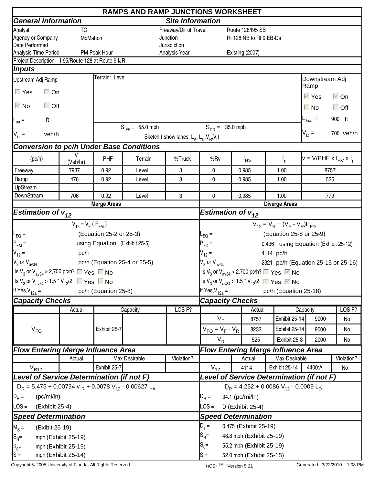|                                                                                                        | <b>RAMPS AND RAMP JUNCTIONS WORKSHEET</b> |                               |                                                |                                                     |                                                                        |          |                          |                                                                                         |                                        |                      |  |  |
|--------------------------------------------------------------------------------------------------------|-------------------------------------------|-------------------------------|------------------------------------------------|-----------------------------------------------------|------------------------------------------------------------------------|----------|--------------------------|-----------------------------------------------------------------------------------------|----------------------------------------|----------------------|--|--|
| <b>General Information</b>                                                                             |                                           |                               |                                                |                                                     | <b>Site Information</b><br>Route 128/195 SB<br>Rt 128 NB to Rt 9 EB-Ds |          |                          |                                                                                         |                                        |                      |  |  |
| Analyst                                                                                                | <b>TC</b>                                 |                               |                                                | Freeway/Dir of Travel                               |                                                                        |          |                          |                                                                                         |                                        |                      |  |  |
| Agency or Company                                                                                      | McMahon                                   |                               |                                                | Junction                                            |                                                                        |          |                          |                                                                                         |                                        |                      |  |  |
| Date Performed                                                                                         |                                           |                               |                                                | Jurisdiction                                        |                                                                        |          |                          |                                                                                         |                                        |                      |  |  |
| Analysis Time Period<br>Project Description I-95/Route 128 at Route 9 IJR                              |                                           | PM Peak Hour                  |                                                | Analysis Year                                       |                                                                        |          | Existing (2007)          |                                                                                         |                                        |                      |  |  |
| Inputs                                                                                                 |                                           |                               |                                                |                                                     |                                                                        |          |                          |                                                                                         |                                        |                      |  |  |
|                                                                                                        |                                           | Terrain: Level                |                                                |                                                     |                                                                        |          |                          |                                                                                         |                                        |                      |  |  |
| Upstream Adj Ramp                                                                                      |                                           |                               |                                                |                                                     |                                                                        |          |                          |                                                                                         | Downstream Adj<br>Ramp                 |                      |  |  |
| $\Gamma$ Yes<br>$\Box$ On                                                                              |                                           |                               |                                                |                                                     |                                                                        |          |                          |                                                                                         | $\overline{\vee}$ Yes                  | $\overline{\vee}$ On |  |  |
| $\overline{\triangleright}$ No<br>$\Box$ Off                                                           |                                           |                               |                                                |                                                     |                                                                        |          |                          |                                                                                         | $\Box$ No                              | $\Box$ Off           |  |  |
| ft<br>$L_{\text{up}} =$                                                                                |                                           |                               |                                                |                                                     |                                                                        |          |                          |                                                                                         | $-$ <sub>down</sub> $=$                | 900 ft               |  |  |
| $V_{u} =$<br>veh/h                                                                                     |                                           |                               | $S_{FF} = 55.0$ mph                            |                                                     | $S_{FR} = 35.0$ mph                                                    |          |                          |                                                                                         | $V_D =$                                | 706 veh/h            |  |  |
|                                                                                                        |                                           |                               |                                                | Sketch (show lanes, $L_A$ , $L_D$ , $V_B$ , $V_f$ ) |                                                                        |          |                          |                                                                                         |                                        |                      |  |  |
| <b>Conversion to pc/h Under Base Conditions</b>                                                        |                                           |                               |                                                |                                                     |                                                                        |          |                          |                                                                                         |                                        |                      |  |  |
| (pc/h)                                                                                                 | V<br>(Veh/hr)                             | PHF                           | Terrain                                        | %Truck                                              | %Rv                                                                    |          | $f_{\mathsf{HV}}$        | $f_{p}$                                                                                 | $v = V/PHF \times f_{HV} \times f_{D}$ |                      |  |  |
| Freeway                                                                                                | 7937                                      | 0.92                          | Level                                          | 3                                                   | 0                                                                      |          | 0.985                    | 1.00                                                                                    | 8757                                   |                      |  |  |
| Ramp                                                                                                   | 476                                       | 0.92                          | Level                                          | 3                                                   | 0                                                                      |          | 0.985                    | 1.00                                                                                    | 525                                    |                      |  |  |
| UpStream                                                                                               |                                           |                               |                                                |                                                     |                                                                        |          |                          |                                                                                         |                                        |                      |  |  |
| DownStream                                                                                             | 706                                       | 0.92                          | 3<br>Level<br>0<br>0.985<br><b>Merge Areas</b> |                                                     |                                                                        |          |                          | 1.00                                                                                    | 779                                    |                      |  |  |
|                                                                                                        |                                           |                               | <b>Diverge Areas</b>                           |                                                     |                                                                        |          |                          |                                                                                         |                                        |                      |  |  |
| <b>Estimation of <math>v_{12}</math></b>                                                               |                                           |                               |                                                |                                                     | Estimation of $v_{12}$                                                 |          |                          |                                                                                         |                                        |                      |  |  |
|                                                                                                        | $V_{12} = V_F (P_{FM})$                   |                               |                                                |                                                     | $V_{12} = V_R + (V_F - V_R)P_{FD}$                                     |          |                          |                                                                                         |                                        |                      |  |  |
| $L_{EQ} =$                                                                                             |                                           | (Equation 25-2 or 25-3)       |                                                |                                                     | $-EQ =$                                                                |          |                          | (Equation 25-8 or 25-9)                                                                 |                                        |                      |  |  |
| $P_{FM}$ =                                                                                             |                                           | using Equation (Exhibit 25-5) |                                                |                                                     | $P_{FD} =$                                                             |          |                          | 0.436 using Equation (Exhibit 25-12)                                                    |                                        |                      |  |  |
| $V_{12} =$                                                                                             | pc/h                                      |                               |                                                |                                                     | $V_{12} =$                                                             |          |                          | 4114 pc/h                                                                               |                                        |                      |  |  |
| $V_3$ or $V_{\text{av34}}$                                                                             |                                           |                               | pc/h (Equation 25-4 or 25-5)                   |                                                     | $V_3$ or $V_{av34}$                                                    |          |                          | 2321 pc/h (Equation 25-15 or 25-16)                                                     |                                        |                      |  |  |
| Is V <sub>3</sub> or V <sub>av34</sub> > 2,700 pc/h? $\Box$ Yes $\Box$ No                              |                                           |                               |                                                |                                                     |                                                                        |          |                          | Is V <sub>3</sub> or V <sub>av34</sub> > 2,700 pc/h? $\Box$ Yes $\Box$ No               |                                        |                      |  |  |
| $\left  \frac{\text{ls}}{3}$ or $\text{V}_{\text{av34}}$ > 1.5 $\text{*}$ $\text{V}_{12}/2$ ■ Yes ■ No |                                           |                               |                                                |                                                     |                                                                        |          |                          | Is V <sub>3</sub> or V <sub>av34</sub> > 1.5 <sup>*</sup> V <sub>12</sub> /2 ■ Yes ■ No |                                        |                      |  |  |
|                                                                                                        |                                           | pc/h (Equation 25-8)          |                                                |                                                     |                                                                        |          |                          |                                                                                         |                                        |                      |  |  |
| If Yes, $V_{12a}$ =                                                                                    |                                           |                               |                                                |                                                     | If Yes, $V_{12a} =$                                                    |          |                          | pc/h (Equation 25-18)                                                                   |                                        |                      |  |  |
| <b>Capacity Checks</b>                                                                                 |                                           |                               |                                                |                                                     | <b>Capacity Checks</b>                                                 |          |                          |                                                                                         |                                        |                      |  |  |
|                                                                                                        | Actual                                    |                               | Capacity                                       | LOS <sub>F?</sub>                                   |                                                                        |          | Actual                   |                                                                                         | Capacity                               | LOS <sub>F?</sub>    |  |  |
|                                                                                                        |                                           |                               |                                                |                                                     | $V_F$                                                                  |          | 8757                     | Exhibit 25-14                                                                           | 9000                                   | No                   |  |  |
| $V_{FO}$                                                                                               |                                           | Exhibit 25-7                  |                                                |                                                     | $V_{FO} = V_F - V_R$                                                   |          | 8232                     | Exhibit 25-14                                                                           | 9000                                   | No                   |  |  |
|                                                                                                        |                                           |                               |                                                |                                                     | $V_R$                                                                  |          | 525                      | Exhibit 25-3                                                                            | 2000                                   | No                   |  |  |
| <b>Flow Entering Merge Influence Area</b>                                                              |                                           |                               |                                                |                                                     |                                                                        |          |                          | <b>Flow Entering Merge Influence Area</b>                                               |                                        |                      |  |  |
|                                                                                                        | Actual                                    |                               | Max Desirable                                  | Violation?                                          |                                                                        |          | Actual                   | Max Desirable                                                                           |                                        | Violation?           |  |  |
| $V_{R12}$                                                                                              |                                           | $V_{12}$                      |                                                | 4114                                                | Exhibit 25-14                                                          | 4400:All | No                       |                                                                                         |                                        |                      |  |  |
| Level of Service Determination (if not F)                                                              |                                           |                               |                                                |                                                     | Level of Service Determination (if not F)                              |          |                          |                                                                                         |                                        |                      |  |  |
| $D_R$ = 5.475 + 0.00734 v $_R$ + 0.0078 V <sub>12</sub> - 0.00627 L <sub>A</sub>                       |                                           |                               |                                                |                                                     | $D_R = 4.252 + 0.0086 V_{12} - 0.0009 L_D$                             |          |                          |                                                                                         |                                        |                      |  |  |
| $\mathbb{D}_R =$<br>(pc/mi/ln)                                                                         |                                           |                               |                                                |                                                     | $D_R =$                                                                |          | 34.1 (pc/mi/ln)          |                                                                                         |                                        |                      |  |  |
| LOS =<br>(Exhibit 25-4)                                                                                |                                           |                               |                                                |                                                     | $\text{LOS} =$                                                         |          | D (Exhibit 25-4)         |                                                                                         |                                        |                      |  |  |
| <b>Speed Determination</b>                                                                             |                                           |                               |                                                |                                                     | <b>Speed Determination</b>                                             |          |                          |                                                                                         |                                        |                      |  |  |
|                                                                                                        |                                           |                               |                                                |                                                     | $D_s =$                                                                |          | 0.475 (Exhibit 25-19)    |                                                                                         |                                        |                      |  |  |
| $M_S =$<br>(Exibit 25-19)                                                                              |                                           |                               |                                                |                                                     |                                                                        |          |                          |                                                                                         |                                        |                      |  |  |
| $ S_{R}$ =                                                                                             | mph (Exhibit 25-19)                       |                               |                                                |                                                     | $\mathsf{S}_{\mathsf{R}}$ =                                            |          | 48.8 mph (Exhibit 25-19) |                                                                                         |                                        |                      |  |  |
| $S_0 =$                                                                                                | mph (Exhibit 25-19)                       |                               |                                                |                                                     | $S_0=$<br>55.2 mph (Exhibit 25-19)                                     |          |                          |                                                                                         |                                        |                      |  |  |
| $ S =$                                                                                                 | mph (Exhibit 25-14)                       |                               |                                                |                                                     | $s =$                                                                  |          | 52.0 mph (Exhibit 25-15) |                                                                                         |                                        |                      |  |  |

Copyright © 2005 University of Florida, All Rights Reserved **HCS+TM** Version 5.21 Generated: 3/22/2010 1:08 PM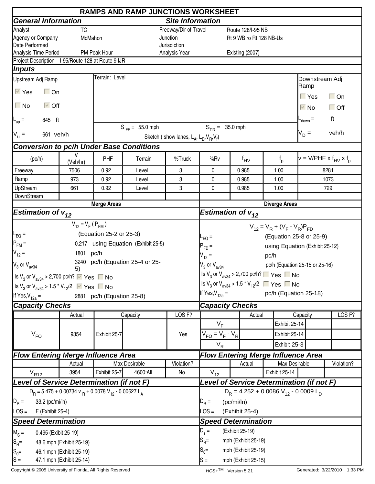|                                                                                                  |                          |                                           | <b>RAMPS AND RAMP JUNCTIONS WORKSHEET</b> |                                                     |                                                                                         |                                            |                         |      |                      |                                |                                        |
|--------------------------------------------------------------------------------------------------|--------------------------|-------------------------------------------|-------------------------------------------|-----------------------------------------------------|-----------------------------------------------------------------------------------------|--------------------------------------------|-------------------------|------|----------------------|--------------------------------|----------------------------------------|
| <b>General Information</b>                                                                       |                          |                                           |                                           | <b>Site Information</b>                             |                                                                                         |                                            |                         |      |                      |                                |                                        |
| Analyst                                                                                          | <b>TC</b>                |                                           |                                           | Freeway/Dir of Travel                               |                                                                                         |                                            | Route 128/I-95 NB       |      |                      |                                |                                        |
| Agency or Company                                                                                | McMahon                  |                                           |                                           | Junction                                            |                                                                                         |                                            | Rt 9 WB ro Rt 128 NB-Us |      |                      |                                |                                        |
| Date Performed                                                                                   |                          |                                           |                                           | Jurisdiction                                        |                                                                                         |                                            |                         |      |                      |                                |                                        |
| Analysis Time Period<br>Project Description I-95/Route 128 at Route 9 IJR                        |                          | PM Peak Hour                              |                                           | Analysis Year                                       |                                                                                         |                                            | Existing (2007)         |      |                      |                                |                                        |
| Inputs                                                                                           |                          |                                           |                                           |                                                     |                                                                                         |                                            |                         |      |                      |                                |                                        |
|                                                                                                  |                          | Terrain: Level                            |                                           |                                                     |                                                                                         |                                            |                         |      |                      |                                |                                        |
| Upstream Adj Ramp                                                                                |                          |                                           |                                           |                                                     |                                                                                         |                                            |                         |      |                      | Downstream Adj<br> Ramp        |                                        |
| $\overline{\vee}$ Yes<br>$\Box$ On                                                               |                          |                                           |                                           |                                                     |                                                                                         |                                            |                         |      |                      | $\Gamma$ Yes                   | $\Box$ On                              |
| $\Box$ No<br>$\overline{\vee}$ Off                                                               |                          |                                           |                                           |                                                     |                                                                                         |                                            |                         |      |                      | $\overline{\vee}$ No           | $\Box$ Off                             |
| 845 ft<br>$L_{\text{up}}$ =                                                                      |                          |                                           |                                           |                                                     |                                                                                         |                                            |                         |      |                      | $-$ <sub>down</sub> $=$        | ft                                     |
| 661 veh/h                                                                                        |                          |                                           | $S_{FF} = 55.0$ mph                       |                                                     | $S_{FB} = 35.0$ mph                                                                     |                                            |                         |      |                      | $V_D =$                        | veh/h                                  |
| $N_u =$                                                                                          |                          |                                           |                                           | Sketch (show lanes, $L_A$ , $L_D$ , $V_B$ , $V_f$ ) |                                                                                         |                                            |                         |      |                      |                                |                                        |
| <b>Conversion to pc/h Under Base Conditions</b>                                                  |                          |                                           |                                           |                                                     |                                                                                         |                                            |                         |      |                      |                                |                                        |
| (pc/h)                                                                                           | V<br>(Veh/hr)            | PHF                                       | Terrain                                   | %Truck                                              | %Rv                                                                                     |                                            | $f_{\text{HV}}$         |      | $f_{p}$              |                                | $v = V/PHF \times f_{HV} \times f_{D}$ |
| Freeway                                                                                          | 7506                     | 0.92                                      | Level                                     | 3                                                   | 0                                                                                       |                                            | 0.985                   |      | 1.00                 |                                | 8281                                   |
| Ramp                                                                                             | 973                      | 0.92                                      | Level                                     | 3                                                   | 0                                                                                       |                                            | 0.985                   |      | 1.00                 |                                | 1073                                   |
| UpStream                                                                                         | 661                      | 0.92                                      | Level                                     | 3                                                   | 0                                                                                       |                                            | 0.985                   |      | 1.00                 |                                | 729                                    |
| DownStream                                                                                       |                          |                                           |                                           |                                                     |                                                                                         |                                            |                         |      |                      |                                |                                        |
|                                                                                                  |                          | <b>Merge Areas</b>                        |                                           |                                                     |                                                                                         |                                            |                         |      | <b>Diverge Areas</b> |                                |                                        |
| <b>Estimation of <math>v_{12}</math></b>                                                         |                          |                                           |                                           |                                                     | Estimation of $v_{12}$                                                                  |                                            |                         |      |                      |                                |                                        |
|                                                                                                  | $V_{12} = V_F (P_{FM})$  |                                           |                                           |                                                     | $V_{12} = V_R + (V_F - V_R)P_{FD}$                                                      |                                            |                         |      |                      |                                |                                        |
| $\mathsf{I}_{\mathsf{EQ}}$ =                                                                     |                          | (Equation 25-2 or 25-3)                   |                                           |                                                     | L <sub>EQ</sub> =                                                                       |                                            |                         |      |                      | (Equation 25-8 or 25-9)        |                                        |
| $P_{FM}$ =                                                                                       |                          |                                           | 0.217 using Equation (Exhibit 25-5)       |                                                     | $P_{FD}$ =                                                                              |                                            |                         |      |                      | using Equation (Exhibit 25-12) |                                        |
| $V_{12} =$                                                                                       | 1801 pc/h                |                                           |                                           |                                                     | $V_{12} =$                                                                              |                                            |                         | pc/h |                      |                                |                                        |
| $\mathsf{V}_3$ or $\mathsf{V}_{\mathsf{av34}}$                                                   |                          |                                           | 3240 pc/h (Equation 25-4 or 25-           |                                                     | $V_3$ or $V_{av34}$                                                                     |                                            |                         |      |                      | pc/h (Equation 25-15 or 25-16) |                                        |
|                                                                                                  | 5)                       |                                           |                                           |                                                     | Is $V_3$ or $V_{av34}$ > 2,700 pc/h? $\Box$ Yes $\Box$ No                               |                                            |                         |      |                      |                                |                                        |
| Is $V_3$ or $V_{\text{av34}}$ > 2,700 pc/h? $\triangledown$ Yes $\blacksquare$ No                |                          |                                           |                                           |                                                     |                                                                                         |                                            |                         |      |                      |                                |                                        |
| Is V <sub>3</sub> or V <sub>av34</sub> > 1.5 <sup>*</sup> V <sub>12</sub> /2 $\sqrt{ }$ Yes ■ No |                          |                                           |                                           |                                                     | Is V <sub>3</sub> or V <sub>av34</sub> > 1.5 <sup>*</sup> V <sub>12</sub> /2 ■ Yes ■ No |                                            |                         |      |                      |                                |                                        |
| If Yes, $V_{12a}$ =                                                                              |                          | 2881 pc/h (Equation 25-8)                 |                                           |                                                     | If Yes, $V_{12a} =$                                                                     |                                            |                         |      |                      | pc/h (Equation 25-18)          |                                        |
| <b>Capacity Checks</b>                                                                           |                          |                                           |                                           |                                                     | <b>Capacity Checks</b>                                                                  |                                            |                         |      |                      |                                |                                        |
|                                                                                                  | Actual                   |                                           | Capacity                                  | LOS <sub>F?</sub>                                   |                                                                                         |                                            | Actual                  |      |                      | Capacity                       | LOS <sub>F?</sub>                      |
|                                                                                                  |                          |                                           |                                           |                                                     | $V_F$                                                                                   |                                            |                         |      | Exhibit 25-14        |                                |                                        |
| $V_{FO}$                                                                                         | 9354                     | Exhibit 25-7                              |                                           | Yes                                                 | $V_{FO} = V_F - V_R$                                                                    |                                            |                         |      | Exhibit 25-14        |                                |                                        |
|                                                                                                  |                          |                                           |                                           |                                                     | $V_R$                                                                                   |                                            |                         |      | Exhibit 25-3         |                                |                                        |
| <b>Flow Entering Merge Influence Area</b>                                                        |                          |                                           |                                           |                                                     | <b>Flow Entering Merge Influence Area</b>                                               |                                            |                         |      |                      |                                |                                        |
|                                                                                                  | Actual                   |                                           | Max Desirable                             | Violation?                                          |                                                                                         |                                            | Actual                  |      | Max Desirable        |                                | Violation?                             |
| $V_{R12}$                                                                                        | 3954                     | Exhibit 25-7                              | 4600:All                                  | No                                                  | $V_{12}$                                                                                |                                            |                         |      | Exhibit 25-14        |                                |                                        |
| Level of Service Determination (if not F)                                                        |                          | Level of Service Determination (if not F) |                                           |                                                     |                                                                                         |                                            |                         |      |                      |                                |                                        |
| $D_R = 5.475 + 0.00734$ v $_R + 0.0078$ V <sub>12</sub> - 0.00627 L <sub>A</sub>                 |                          |                                           |                                           |                                                     |                                                                                         | $D_R = 4.252 + 0.0086 V_{12} - 0.0009 L_D$ |                         |      |                      |                                |                                        |
| $D_R =$<br>33.2 (pc/mi/ln)                                                                       |                          |                                           |                                           |                                                     | $D_R =$                                                                                 | (pc/mi/ln)                                 |                         |      |                      |                                |                                        |
|                                                                                                  |                          |                                           |                                           |                                                     | $\textsf{LOS} =$                                                                        |                                            |                         |      |                      |                                |                                        |
| $\textsf{LOS} =$<br>F (Exhibit 25-4)                                                             |                          |                                           |                                           |                                                     |                                                                                         |                                            | (Exhibit 25-4)          |      |                      |                                |                                        |
| <b>Speed Determination</b>                                                                       |                          |                                           |                                           |                                                     | <b>Speed Determination</b>                                                              |                                            |                         |      |                      |                                |                                        |
| $M_S =$<br>0.495 (Exibit 25-19)                                                                  |                          |                                           |                                           |                                                     | $D_{s} =$<br>(Exhibit 25-19)                                                            |                                            |                         |      |                      |                                |                                        |
| $ S_{R}$ =                                                                                       | 48.6 mph (Exhibit 25-19) |                                           |                                           |                                                     | $S_{\sf R}$ =                                                                           |                                            | mph (Exhibit 25-19)     |      |                      |                                |                                        |
| $S_0 =$                                                                                          | 46.1 mph (Exhibit 25-19) |                                           |                                           |                                                     | $S_0 =$<br>mph (Exhibit 25-19)                                                          |                                            |                         |      |                      |                                |                                        |
| $ S =$                                                                                           | 47.1 mph (Exhibit 25-14) |                                           |                                           |                                                     | mph (Exhibit 25-15)<br>lS =                                                             |                                            |                         |      |                      |                                |                                        |

Copyright © 2005 University of Florida, All Rights Reserved **HCS+TM** Version 5.21 Generated: 3/22/2010 1:33 PM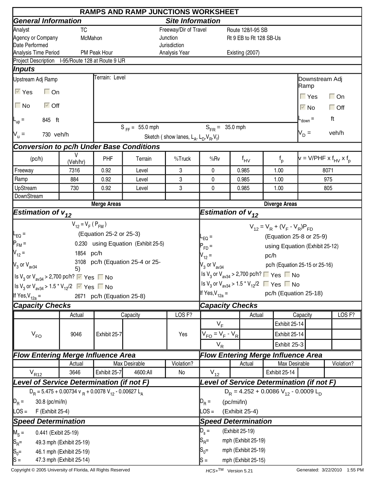|                                                                                                  |                          |                                           | <b>RAMPS AND RAMP JUNCTIONS WORKSHEET</b> |                                                     |                                                                                         |                                            |                         |      |               |                                |                                        |  |
|--------------------------------------------------------------------------------------------------|--------------------------|-------------------------------------------|-------------------------------------------|-----------------------------------------------------|-----------------------------------------------------------------------------------------|--------------------------------------------|-------------------------|------|---------------|--------------------------------|----------------------------------------|--|
| <b>General Information</b>                                                                       |                          |                                           |                                           | <b>Site Information</b>                             |                                                                                         |                                            |                         |      |               |                                |                                        |  |
| Analyst                                                                                          | <b>TC</b>                |                                           |                                           | Freeway/Dir of Travel                               |                                                                                         |                                            | Route 128/I-95 SB       |      |               |                                |                                        |  |
| Agency or Company                                                                                | McMahon                  |                                           |                                           | Junction                                            |                                                                                         |                                            | Rt 9 EB to Rt 128 SB-Us |      |               |                                |                                        |  |
| Date Performed                                                                                   |                          |                                           |                                           | Jurisdiction                                        |                                                                                         |                                            |                         |      |               |                                |                                        |  |
| Analysis Time Period                                                                             |                          | PM Peak Hour                              |                                           | Analysis Year                                       |                                                                                         |                                            | Existing (2007)         |      |               |                                |                                        |  |
| Project Description I-95/Route 128 at Route 9 IJR                                                |                          |                                           |                                           |                                                     |                                                                                         |                                            |                         |      |               |                                |                                        |  |
| Inputs                                                                                           |                          | Terrain: Level                            |                                           |                                                     |                                                                                         |                                            |                         |      |               |                                |                                        |  |
| Upstream Adj Ramp                                                                                |                          |                                           |                                           |                                                     |                                                                                         |                                            |                         |      |               | Downstream Adj<br> Ramp        |                                        |  |
| $\overline{\vee}$ Yes<br>$\Box$ On                                                               |                          |                                           |                                           |                                                     |                                                                                         |                                            |                         |      |               | $\Gamma$ Yes                   | $\Box$ On                              |  |
| $\Box$ No<br>$\overline{\vee}$ Off                                                               |                          |                                           |                                           |                                                     |                                                                                         |                                            |                         |      |               | $\overline{\vee}$ No           | $\Box$ Off                             |  |
| 845 ft<br>$L_{\text{up}} =$                                                                      |                          |                                           |                                           |                                                     |                                                                                         |                                            |                         |      |               | $-$ <sub>down</sub> $=$        | ft                                     |  |
| 730 veh/h                                                                                        |                          |                                           | $S_{FF} = 55.0$ mph                       |                                                     | $S_{FB} = 35.0$ mph                                                                     |                                            |                         |      |               | $V_D =$                        | veh/h                                  |  |
| $N_u =$                                                                                          |                          |                                           |                                           | Sketch (show lanes, $L_A$ , $L_D$ , $V_B$ , $V_f$ ) |                                                                                         |                                            |                         |      |               |                                |                                        |  |
| <b>Conversion to pc/h Under Base Conditions</b>                                                  |                          |                                           |                                           |                                                     |                                                                                         |                                            |                         |      |               |                                |                                        |  |
| (pc/h)                                                                                           | V<br>(Veh/hr)            | PHF                                       | Terrain                                   | %Truck                                              | %Rv                                                                                     |                                            | $f_{\text{HV}}$         |      | $f_{p}$       |                                | $v = V/PHF \times f_{HV} \times f_{D}$ |  |
| Freeway                                                                                          | 7316                     | 0.92                                      | Level                                     | 3                                                   | 0                                                                                       |                                            | 0.985                   | 1.00 |               |                                | 8071                                   |  |
| Ramp                                                                                             | 884                      | 0.92                                      | Level                                     | 3                                                   | 0                                                                                       |                                            | 0.985                   | 1.00 |               |                                | 975                                    |  |
| UpStream                                                                                         | 730                      | 0.92                                      | Level                                     | 3                                                   | 0                                                                                       |                                            | 0.985                   | 1.00 |               |                                | 805                                    |  |
| DownStream                                                                                       |                          |                                           |                                           |                                                     |                                                                                         |                                            |                         |      |               |                                |                                        |  |
|                                                                                                  |                          | <b>Merge Areas</b>                        |                                           |                                                     | <b>Diverge Areas</b>                                                                    |                                            |                         |      |               |                                |                                        |  |
| <b>Estimation of <math>v_{12}</math></b>                                                         |                          |                                           |                                           |                                                     | Estimation of $v_{12}$                                                                  |                                            |                         |      |               |                                |                                        |  |
|                                                                                                  | $V_{12} = V_F (P_{FM})$  |                                           |                                           |                                                     | $V_{12} = V_R + (V_F - V_R)P_{FD}$                                                      |                                            |                         |      |               |                                |                                        |  |
| $\mathsf{I}_{\mathsf{EQ}}$ =                                                                     |                          | (Equation 25-2 or 25-3)                   |                                           |                                                     | $L_{EQ}$ =                                                                              |                                            |                         |      |               | (Equation 25-8 or 25-9)        |                                        |  |
| $P_{FM}$ =                                                                                       |                          |                                           | 0.230 using Equation (Exhibit 25-5)       |                                                     | $P_{FD}$ =                                                                              |                                            |                         |      |               | using Equation (Exhibit 25-12) |                                        |  |
| $V_{12} =$                                                                                       | 1854 pc/h                |                                           |                                           |                                                     | $V_{12} =$                                                                              |                                            |                         | pc/h |               |                                |                                        |  |
| $V_3$ or $V_{\text{av34}}$                                                                       |                          |                                           | 3108 pc/h (Equation 25-4 or 25-           |                                                     | $V_3$ or $V_{av34}$                                                                     |                                            |                         |      |               | pc/h (Equation 25-15 or 25-16) |                                        |  |
|                                                                                                  | 5)                       |                                           |                                           |                                                     | Is $V_3$ or $V_{av34}$ > 2,700 pc/h? $\Box$ Yes $\Box$ No                               |                                            |                         |      |               |                                |                                        |  |
| Is $V_3$ or $V_{\text{av34}}$ > 2,700 pc/h? $\triangledown$ Yes $\blacksquare$ No                |                          |                                           |                                           |                                                     | Is V <sub>3</sub> or V <sub>av34</sub> > 1.5 <sup>*</sup> V <sub>12</sub> /2 ■ Yes ■ No |                                            |                         |      |               |                                |                                        |  |
| Is V <sub>3</sub> or V <sub>av34</sub> > 1.5 <sup>*</sup> V <sub>12</sub> /2 $\sqrt{ }$ Yes ■ No |                          |                                           |                                           |                                                     | If Yes, $V_{12a} =$                                                                     |                                            |                         |      |               | pc/h (Equation 25-18)          |                                        |  |
| If Yes, $V_{12a}$ =                                                                              |                          | 2671 pc/h (Equation 25-8)                 |                                           |                                                     |                                                                                         |                                            |                         |      |               |                                |                                        |  |
| <b>Capacity Checks</b>                                                                           |                          |                                           |                                           |                                                     | <b>Capacity Checks</b>                                                                  |                                            |                         |      |               |                                |                                        |  |
|                                                                                                  | Actual                   |                                           | Capacity                                  | LOS <sub>F?</sub>                                   |                                                                                         |                                            | Actual                  |      |               | Capacity                       | LOS <sub>F?</sub>                      |  |
|                                                                                                  |                          |                                           |                                           |                                                     | $V_F$                                                                                   |                                            |                         |      | Exhibit 25-14 |                                |                                        |  |
| $V_{FO}$                                                                                         | 9046                     | Exhibit 25-7                              |                                           | Yes                                                 | $V_{FO} = V_F - V_R$                                                                    |                                            |                         |      | Exhibit 25-14 |                                |                                        |  |
|                                                                                                  |                          |                                           |                                           |                                                     | $V_R$                                                                                   |                                            |                         |      | Exhibit 25-3  |                                |                                        |  |
| <b>Flow Entering Merge Influence Area</b>                                                        |                          |                                           |                                           |                                                     | <b>Flow Entering Merge Influence Area</b>                                               |                                            |                         |      |               |                                |                                        |  |
|                                                                                                  | Actual                   |                                           | Max Desirable                             | Violation?                                          |                                                                                         |                                            | Actual                  |      | Max Desirable |                                | Violation?                             |  |
| $V_{R12}$                                                                                        | 3646                     | Exhibit 25-7                              | 4600:All                                  | No                                                  | $V_{12}$                                                                                |                                            |                         |      | Exhibit 25-14 |                                |                                        |  |
| Level of Service Determination (if not F)                                                        |                          | Level of Service Determination (if not F) |                                           |                                                     |                                                                                         |                                            |                         |      |               |                                |                                        |  |
| $D_R = 5.475 + 0.00734$ v $_R + 0.0078$ V <sub>12</sub> - 0.00627 L <sub>A</sub>                 |                          |                                           |                                           |                                                     |                                                                                         | $D_R = 4.252 + 0.0086 V_{12} - 0.0009 L_D$ |                         |      |               |                                |                                        |  |
| $D_R =$<br>30.8 (pc/mi/ln)                                                                       |                          |                                           | $D_R =$                                   | (pc/mi/ln)                                          |                                                                                         |                                            |                         |      |               |                                |                                        |  |
| $\textsf{LOS} =$<br>F (Exhibit 25-4)                                                             |                          |                                           |                                           |                                                     | $\textsf{LOS} =$                                                                        |                                            | (Exhibit 25-4)          |      |               |                                |                                        |  |
| <b>Speed Determination</b>                                                                       |                          |                                           | <b>Speed Determination</b>                |                                                     |                                                                                         |                                            |                         |      |               |                                |                                        |  |
| $M_S =$<br>0.441 (Exibit 25-19)                                                                  |                          |                                           |                                           |                                                     | $D_{s} =$                                                                               | (Exhibit 25-19)                            |                         |      |               |                                |                                        |  |
|                                                                                                  | 49.3 mph (Exhibit 25-19) |                                           |                                           |                                                     | $S_{\sf R}$ =                                                                           |                                            | mph (Exhibit 25-19)     |      |               |                                |                                        |  |
| $ S_{R}$ =                                                                                       | 46.1 mph (Exhibit 25-19) |                                           |                                           |                                                     | $S_0 =$                                                                                 |                                            |                         |      |               |                                |                                        |  |
| $S_0 =$<br>$ S =$                                                                                | 47.3 mph (Exhibit 25-14) |                                           |                                           |                                                     | mph (Exhibit 25-19)<br>mph (Exhibit 25-15)<br>lS =                                      |                                            |                         |      |               |                                |                                        |  |
|                                                                                                  |                          |                                           |                                           |                                                     |                                                                                         |                                            |                         |      |               |                                |                                        |  |

Copyright © 2005 University of Florida, All Rights Reserved **HCS+TM** Version 5.21 Generated: 3/22/2010 1:55 PM